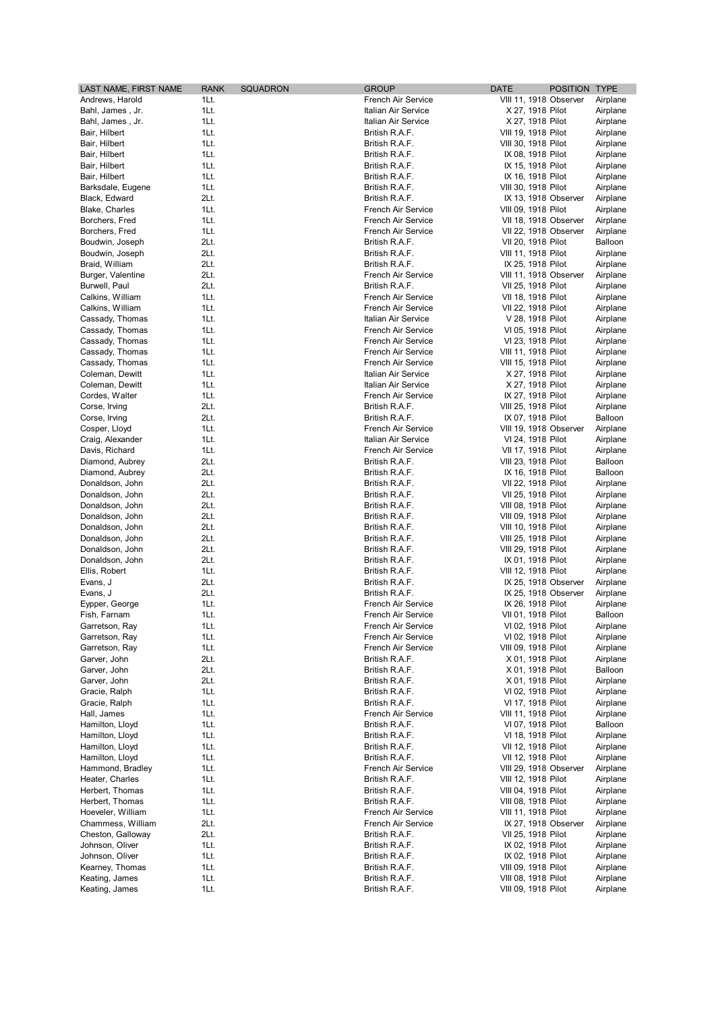| LAST NAME, FIRST NAME | <b>RANK</b> | <b>SQUADRON</b> | <b>GROUP</b>        | <b>DATE</b>            | POSITION TYPE |          |
|-----------------------|-------------|-----------------|---------------------|------------------------|---------------|----------|
| Andrews, Harold       | 1Lt.        |                 | French Air Service  | VIII 11, 1918 Observer |               | Airplane |
| Bahl, James, Jr.      | 1Lt.        |                 | Italian Air Service | X 27, 1918 Pilot       |               | Airplane |
| Bahl, James, Jr.      | 1Lt.        |                 | Italian Air Service | X 27, 1918 Pilot       |               | Airplane |
| Bair, Hilbert         | 1Lt.        |                 | British R.A.F.      | VIII 19, 1918 Pilot    |               | Airplane |
| Bair, Hilbert         | 1Lt.        |                 | British R.A.F.      | VIII 30, 1918 Pilot    |               | Airplane |
| Bair, Hilbert         | 1Lt.        |                 | British R.A.F.      | IX 08, 1918 Pilot      |               | Airplane |
| Bair, Hilbert         | 1Lt.        |                 | British R.A.F.      | IX 15, 1918 Pilot      |               | Airplane |
| Bair, Hilbert         | 1Lt.        |                 | British R.A.F.      | IX 16, 1918 Pilot      |               | Airplane |
| Barksdale, Eugene     | 1Lt.        |                 | British R.A.F.      | VIII 30, 1918 Pilot    |               | Airplane |
| Black, Edward         | 2Lt.        |                 | British R.A.F.      | IX 13, 1918 Observer   |               | Airplane |
| Blake, Charles        | 1Lt.        |                 | French Air Service  | VIII 09, 1918 Pilot    |               | Airplane |
| Borchers, Fred        | 1Lt.        |                 | French Air Service  | VII 18, 1918 Observer  |               | Airplane |
| Borchers, Fred        | 1Lt.        |                 | French Air Service  | VII 22, 1918 Observer  |               | Airplane |
| Boudwin, Joseph       | 2Lt.        |                 | British R.A.F.      | VII 20, 1918 Pilot     |               | Balloon  |
| Boudwin, Joseph       | 2Lt.        |                 | British R.A.F.      | VIII 11, 1918 Pilot    |               | Airplane |
| Braid, William        | 2Lt.        |                 | British R.A.F.      | IX 25, 1918 Pilot      |               | Airplane |
| Burger, Valentine     | 2Lt.        |                 | French Air Service  | VIII 11, 1918 Observer |               | Airplane |
| Burwell, Paul         | 2Lt.        |                 | British R.A.F.      | VII 25, 1918 Pilot     |               | Airplane |
| Calkins, William      | 1Lt.        |                 | French Air Service  | VII 18, 1918 Pilot     |               | Airplane |
| Calkins, William      | 1Lt.        |                 | French Air Service  | VII 22, 1918 Pilot     |               | Airplane |
| Cassady, Thomas       | 1Lt.        |                 | Italian Air Service | V 28, 1918 Pilot       |               | Airplane |
| Cassady, Thomas       | 1Lt.        |                 | French Air Service  | VI 05, 1918 Pilot      |               |          |
|                       |             |                 | French Air Service  | VI 23, 1918 Pilot      |               | Airplane |
| Cassady, Thomas       | 1Lt.        |                 |                     |                        |               | Airplane |
| Cassady, Thomas       | 1Lt.        |                 | French Air Service  | VIII 11, 1918 Pilot    |               | Airplane |
| Cassady, Thomas       | 1Lt.        |                 | French Air Service  | VIII 15, 1918 Pilot    |               | Airplane |
| Coleman, Dewitt       | 1Lt.        |                 | Italian Air Service | X 27, 1918 Pilot       |               | Airplane |
| Coleman, Dewitt       | 1Lt.        |                 | Italian Air Service | X 27, 1918 Pilot       |               | Airplane |
| Cordes, Walter        | 1Lt.        |                 | French Air Service  | IX 27, 1918 Pilot      |               | Airplane |
| Corse, Irving         | 2Lt.        |                 | British R.A.F.      | VIII 25, 1918 Pilot    |               | Airplane |
| Corse, Irving         | 2Lt.        |                 | British R.A.F.      | IX 07, 1918 Pilot      |               | Balloon  |
| Cosper, Lloyd         | 1Lt.        |                 | French Air Service  | VIII 19, 1918 Observer |               | Airplane |
| Craig, Alexander      | 1Lt.        |                 | Italian Air Service | VI 24, 1918 Pilot      |               | Airplane |
| Davis, Richard        | 1Lt.        |                 | French Air Service  | VII 17, 1918 Pilot     |               | Airplane |
| Diamond, Aubrey       | 2Lt.        |                 | British R.A.F.      | VIII 23, 1918 Pilot    |               | Balloon  |
| Diamond, Aubrey       | 2Lt.        |                 | British R.A.F.      | IX 16, 1918 Pilot      |               | Balloon  |
| Donaldson, John       | 2Lt.        |                 | British R.A.F.      | VII 22, 1918 Pilot     |               | Airplane |
| Donaldson, John       | 2Lt.        |                 | British R.A.F.      | VII 25, 1918 Pilot     |               | Airplane |
| Donaldson, John       | 2Lt.        |                 | British R.A.F.      | VIII 08, 1918 Pilot    |               | Airplane |
| Donaldson, John       | 2Lt.        |                 | British R.A.F.      | VIII 09, 1918 Pilot    |               | Airplane |
| Donaldson, John       | 2Lt.        |                 | British R.A.F.      | VIII 10, 1918 Pilot    |               | Airplane |
| Donaldson, John       | 2Lt.        |                 | British R.A.F.      | VIII 25, 1918 Pilot    |               | Airplane |
|                       | 2Lt.        |                 | British R.A.F.      |                        |               |          |
| Donaldson, John       | 2Lt.        |                 |                     | VIII 29, 1918 Pilot    |               | Airplane |
| Donaldson, John       |             |                 | British R.A.F.      | IX 01, 1918 Pilot      |               | Airplane |
| Ellis, Robert         | 1Lt.        |                 | British R.A.F.      | VIII 12, 1918 Pilot    |               | Airplane |
| Evans, J              | 2Lt.        |                 | British R.A.F.      | IX 25, 1918 Observer   |               | Airplane |
| Evans, J              | 2Lt.        |                 | British R.A.F.      | IX 25, 1918 Observer   |               | Airplane |
| Eypper, George        | 1Lt.        |                 | French Air Service  | IX 26, 1918 Pilot      |               | Airplane |
| Fish, Farnam          | 1Lt.        |                 | French Air Service  | VII 01, 1918 Pilot     |               | Balloon  |
| Garretson, Ray        | 1Lt.        |                 | French Air Service  | VI 02, 1918 Pilot      |               | Airplane |
| Garretson, Ray        | 1Lt.        |                 | French Air Service  | VI 02, 1918 Pilot      |               | Airplane |
| Garretson, Ray        | 1Lt.        |                 | French Air Service  | VIII 09, 1918 Pilot    |               | Airplane |
| Garver, John          | 2Lt.        |                 | British R.A.F.      | X 01, 1918 Pilot       |               | Airplane |
| Garver, John          | 2Lt.        |                 | British R.A.F.      | X 01, 1918 Pilot       |               | Balloon  |
| Garver, John          | 2Lt.        |                 | British R.A.F.      | X 01, 1918 Pilot       |               | Airplane |
| Gracie, Ralph         | 1Lt.        |                 | British R.A.F.      | VI 02, 1918 Pilot      |               | Airplane |
| Gracie, Ralph         | 1Lt.        |                 | British R.A.F.      | VI 17, 1918 Pilot      |               | Airplane |
| Hall, James           | 1Lt.        |                 | French Air Service  | VIII 11, 1918 Pilot    |               | Airplane |
| Hamilton, Lloyd       | 1Lt.        |                 | British R.A.F.      | VI 07, 1918 Pilot      |               | Balloon  |
| Hamilton, Lloyd       | 1Lt.        |                 | British R.A.F.      | VI 18, 1918 Pilot      |               | Airplane |
| Hamilton, Lloyd       | 1Lt.        |                 | British R.A.F.      | VII 12, 1918 Pilot     |               | Airplane |
| Hamilton, Lloyd       | 1Lt.        |                 | British R.A.F.      | VII 12, 1918 Pilot     |               | Airplane |
| Hammond, Bradley      | 1Lt.        |                 | French Air Service  | VIII 29, 1918 Observer |               | Airplane |
| Heater, Charles       | 1Lt.        |                 | British R.A.F.      | VIII 12, 1918 Pilot    |               | Airplane |
| Herbert, Thomas       | 1Lt.        |                 | British R.A.F.      | VIII 04, 1918 Pilot    |               | Airplane |
| Herbert, Thomas       | 1Lt.        |                 | British R.A.F.      |                        |               |          |
|                       |             |                 |                     | VIII 08, 1918 Pilot    |               | Airplane |
| Hoeveler, William     | 1Lt.        |                 | French Air Service  | VIII 11, 1918 Pilot    |               | Airplane |
| Chammess, William     | 2Lt.        |                 | French Air Service  | IX 27, 1918 Observer   |               | Airplane |
| Cheston, Galloway     | 2Lt.        |                 | British R.A.F.      | VII 25, 1918 Pilot     |               | Airplane |
| Johnson, Oliver       | 1Lt.        |                 | British R.A.F.      | IX 02, 1918 Pilot      |               | Airplane |
| Johnson, Oliver       | 1Lt.        |                 | British R.A.F.      | IX 02, 1918 Pilot      |               | Airplane |
| Kearney, Thomas       | 1Lt.        |                 | British R.A.F.      | VIII 09, 1918 Pilot    |               | Airplane |
| Keating, James        | 1Lt.        |                 | British R.A.F.      | VIII 08, 1918 Pilot    |               | Airplane |
| Keating, James        | 1Lt.        |                 | British R.A.F.      | VIII 09, 1918 Pilot    |               | Airplane |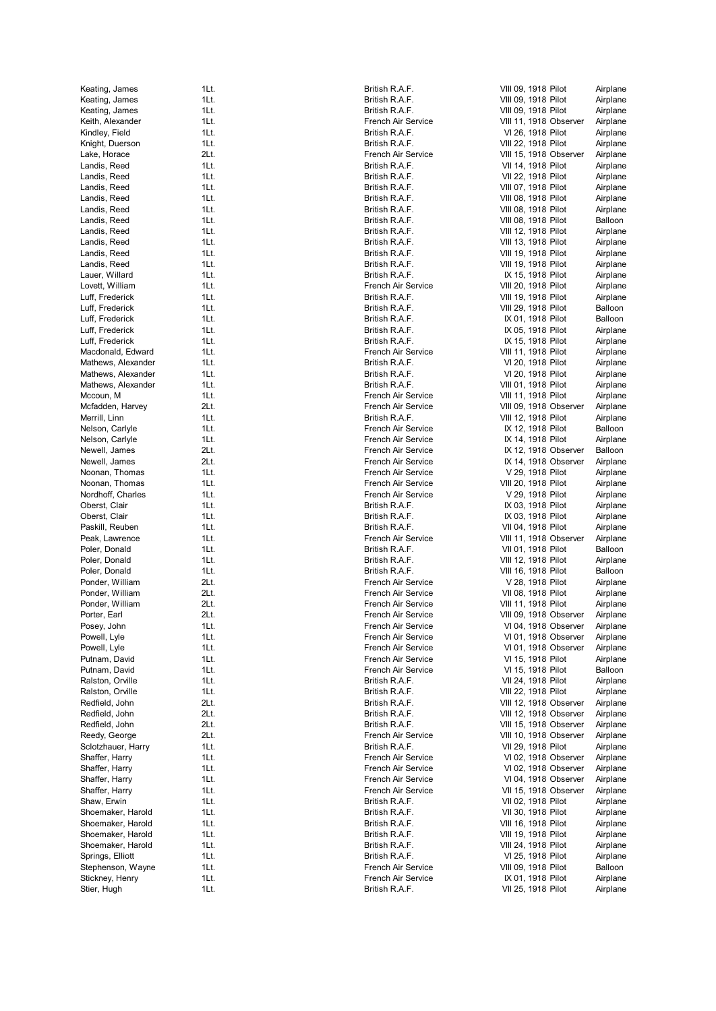| Keating, James                        | 1Lt.         | Britis                         |
|---------------------------------------|--------------|--------------------------------|
| Keating, James                        | 1Lt.         | <b>Britis</b>                  |
| Keating, James                        | 1Lt.         | <b>Britis</b>                  |
| Keith, Alexander                      | 1Lt.         | Fren                           |
| Kindley, Field                        | 1Lt.         | <b>Britis</b>                  |
| Knight, Duerson                       | 1Lt.         | <b>Britis</b>                  |
| Lake, Horace                          | 2Lt.         | Fren                           |
| Landis, Reed                          | 1Lt.         | <b>Britis</b>                  |
| Landis, Reed                          | 1Lt.         | <b>Britis</b>                  |
| Landis, Reed                          | 1Lt.         | <b>Britis</b>                  |
| Landis, Reed                          | 1Lt.         | <b>Britis</b>                  |
| Landis, Reed                          | 1Lt.         | <b>Britis</b>                  |
| Landis, Reed                          | 1Lt.         | <b>Britis</b>                  |
| Landis, Reed                          | 1Lt.         | <b>Britis</b>                  |
| Landis, Reed<br>Landis, Reed          | 1Lt.<br>1Lt. | <b>Britis</b>                  |
| Landis, Reed                          | 1Lt.         | <b>Britis</b><br><b>Britis</b> |
| Lauer, Willard                        | 1Lt.         | <b>Britis</b>                  |
| Lovett, William                       | 1Lt.         | Fren                           |
| Luff, Frederick                       | 1Lt.         | <b>Britis</b>                  |
| Luff, Frederick                       | 1Lt.         | <b>Britis</b>                  |
| Luff, Frederick                       | 1Lt.         | <b>Britis</b>                  |
| Luff, Frederick                       | 1Lt.         | <b>Britis</b>                  |
| Luff, Frederick                       | 1Lt.         | <b>Britis</b>                  |
| Macdonald, Edward                     | 1Lt.         | Fren                           |
| Mathews, Alexander                    | 1Lt.         | <b>Britis</b>                  |
| Mathews, Alexander                    | 1Lt.         | <b>Britis</b>                  |
| Mathews, Alexander                    | 1Lt.         | <b>Britis</b>                  |
| Mccoun, M                             | 1Lt.         | Fren                           |
| Mcfadden, Harvey                      | 2Lt.         | Fren                           |
| Merrill, Linn                         | 1Lt.         | <b>Britis</b>                  |
| Nelson, Carlyle                       | 1Lt.         | Fren                           |
| Nelson, Carlyle                       | 1Lt.         | Fren                           |
| Newell, James<br>Newell, James        | 2Lt.<br>2Lt. | Fren<br>Fren                   |
| Noonan, Thomas                        | 1Lt.         | Fren                           |
| Noonan, Thomas                        | 1Lt.         | Fren                           |
| Nordhoff, Charles                     | 1Lt.         | Fren                           |
| Oberst, Clair                         | 1Lt.         | <b>Britis</b>                  |
| Oberst, Clair                         | 1Lt.         | <b>Britis</b>                  |
| Paskill, Reuben                       | 1Lt.         | <b>Britis</b>                  |
| Peak, Lawrence                        | 1Lt.         | Fren                           |
| Poler, Donald                         | 1Lt.         | <b>Britis</b>                  |
| Poler, Donald                         | 1Lt.         | <b>Britis</b>                  |
| Poler, Donald                         | 1Lt.         | <b>Britis</b>                  |
| Ponder, William                       | 2Lt.         | Fren                           |
| Ponder, William                       | 2Lt.         | Fren                           |
| Ponder, William                       | 2Lt.         | Fren                           |
| Porter, Earl                          | 2Lt.         | Fren                           |
| Posey, John                           | 1Lt.<br>1Lt. | Fren                           |
| Powell, Lyle<br>Powell, Lyle          | 1Lt.         | Fren<br>Fren                   |
| Putnam, David                         | 1Lt.         | Fren                           |
| Putnam, David                         | 1Lt.         | Fren                           |
| Ralston, Orville                      | 1Lt.         | <b>Britis</b>                  |
| Ralston, Orville                      | 1Lt.         | Britis                         |
| Redfield, John                        | 2Lt.         | <b>Britis</b>                  |
| Redfield, John                        | 2Lt.         | <b>Britis</b>                  |
| Redfield, John                        | 2Lt.         | <b>Britis</b>                  |
| Reedy, George                         | 2Lt.         | Fren                           |
| Sclotzhauer, Harry                    | 1Lt.         | <b>Britis</b>                  |
| Shaffer, Harry                        | 1Lt.         | Fren                           |
| Shaffer, Harry                        | 1Lt.         | Fren                           |
| Shaffer, Harry                        | 1Lt.         | Fren                           |
| Shaffer, Harry                        | 1Lt.         | Fren                           |
| Shaw, Erwin                           | 1Lt.         | <b>Britis</b>                  |
| Shoemaker, Harold                     | 1Lt.         | Britis                         |
| Shoemaker, Harold                     | 1Lt.         | Britis                         |
| Shoemaker, Harold                     | 1Lt.         | Britis                         |
| Shoemaker, Harold                     | 1Lt.         | <b>Britis</b>                  |
| Springs, Elliott<br>Stephenson, Wayne | 1Lt.<br>1Lt. | Britis<br>Fren                 |
| Stickney, Henry                       | 1Lt.         | Fren                           |
| Stier, Hugh                           | 1Lt.         | Britis                         |
|                                       |              |                                |

|     | 1Lt. | British R.A.F.     | VIII 09, 191        |
|-----|------|--------------------|---------------------|
|     | 1Lt. | British R.A.F.     | VIII 09, 191        |
|     | 1Lt. | British R.A.F.     | VIII 09, 191        |
|     | 1Lt. | French Air Service | <b>VIII 11, 191</b> |
|     |      |                    |                     |
|     | 1Lt. | British R.A.F.     | VI 26, 191          |
|     | 1Lt. | British R.A.F.     | VIII 22, 191        |
|     | 2Lt. | French Air Service | VIII 15, 191        |
|     | 1Lt. | British R.A.F.     | VII 14, 191         |
|     | 1Lt. | British R.A.F.     | VII 22, 191         |
|     | 1Lt. | British R.A.F.     | VIII 07, 191        |
|     | 1Lt. | British R.A.F.     | VIII 08, 191        |
|     |      |                    |                     |
|     | 1Lt. | British R.A.F.     | VIII 08, 191        |
|     | 1Lt. | British R.A.F.     | VIII 08, 191        |
|     | 1Lt. | British R.A.F.     | VIII 12, 191        |
|     | 1Lt. | British R.A.F.     | VIII 13, 191        |
|     | 1Lt. | British R.A.F.     | VIII 19, 191        |
|     | 1Lt. | British R.A.F.     | VIII 19, 191        |
|     | 1Lt. | British R.A.F.     |                     |
|     |      |                    | IX 15, 191          |
|     | 1Lt. | French Air Service | VIII 20, 191        |
|     | 1Lt. | British R.A.F.     | VIII 19, 191        |
|     | 1Lt. | British R.A.F.     | VIII 29, 191        |
|     | 1Lt. | British R.A.F.     | IX 01, 191          |
|     | 1Lt. | British R.A.F.     | IX 05, 191          |
|     | 1Lt. | British R.A.F.     | IX 15, 191          |
|     |      |                    |                     |
| ard | 1Lt. | French Air Service | VIII 11, 191        |
| der | 1Lt. | British R.A.F.     | VI 20, 191          |
| der | 1Lt. | British R.A.F.     | VI 20, 191          |
| der | 1Lt. | British R.A.F.     | VIII 01, 191        |
|     | 1Lt. | French Air Service | <b>VIII 11, 191</b> |
| У   | 2Lt. | French Air Service | VIII 09, 191        |
|     |      | British R.A.F.     |                     |
|     | 1Lt. |                    | VIII 12, 191        |
|     | 1Lt. | French Air Service | IX 12, 191          |
|     | 1Lt. | French Air Service | IX 14, 191          |
|     | 2Lt. | French Air Service | IX 12, 191          |
|     | 2Lt. | French Air Service | IX 14, 191          |
|     | 1Lt. | French Air Service | V 29, 191           |
|     | 1Lt. | French Air Service | VIII 20, 191        |
|     |      |                    |                     |
| s   | 1Lt. | French Air Service | $V$ 29, 191         |
|     | 1Lt. | British R.A.F.     | IX 03, 191          |
|     | 1Lt. | British R.A.F.     | IX 03, 191          |
|     | 1Lt. | British R.A.F.     | VII 04, 191         |
|     | 1Lt. | French Air Service | VIII 11, 191        |
|     | 1Lt. | British R.A.F.     | VII 01, 191         |
|     | 1Lt. | British R.A.F.     |                     |
|     |      |                    | VIII 12, 191        |
|     | 1Lt. | British R.A.F.     | VIII 16, 191        |
|     | 2Lt. | French Air Service | V 28, 191           |
|     | 2Lt. | French Air Service | VII 08, 191         |
|     | 2Lt. | French Air Service | VIII 11, 191        |
|     | 2Lt. | French Air Service | VIII 09, 191        |
|     | 1Lt. | French Air Service | VI 04, 191          |
|     |      |                    |                     |
|     | 1Lt. | French Air Service | VI 01, 191          |
|     | 1Lt. | French Air Service | VI 01, 191          |
|     | 1Lt. | French Air Service | VI 15, 191          |
|     | 1Lt. | French Air Service | VI 15, 191          |
|     | 1Lt. | British R.A.F.     | VII 24, 191         |
|     | 1Lt. | British R.A.F.     | VIII 22, 191        |
|     |      |                    | VIII 12, 191        |
|     | 2Lt. | British R.A.F.     |                     |
|     | 2Lt. | British R.A.F.     | VIII 12, 191        |
|     | 2Lt. | British R.A.F.     | VIII 15, 191        |
|     | 2Lt. | French Air Service | <b>VIII 10, 191</b> |
| ry  | 1Lt. | British R.A.F.     | VII 29, 191         |
|     | 1Lt. | French Air Service | VI 02, 191          |
|     | 1Lt. | French Air Service | VI 02, 191          |
|     |      |                    |                     |
|     | 1Lt. | French Air Service | VI 04, 191          |
|     | 1Lt. | French Air Service | VII 15, 191         |
|     | 1Lt. | British R.A.F.     | VII 02, 191         |
| blc | 1Lt. | British R.A.F.     | VII 30, 191         |
| blc | 1Lt. | British R.A.F.     | VIII 16, 191        |
|     |      |                    |                     |
| blc | 1Lt. | British R.A.F.     | VIII 19, 191        |
| blc | 1Lt. | British R.A.F.     | VIII 24, 191        |
|     | 1Lt. | British R.A.F.     | VI 25, 191          |
| yne | 1Lt. | French Air Service | VIII 09, 191        |
|     | 1Lt. | French Air Service | IX 01, 191          |
|     | 1Lt. | British R.A.F.     | VII 25, 191         |
|     |      |                    |                     |

|              | VIII 09, 1918 Pilot                          | Airplane             |
|--------------|----------------------------------------------|----------------------|
|              | VIII 09, 1918 Pilot                          | Airplane             |
|              | VIII 09, 1918 Pilot                          | Airplane             |
| vice         | VIII 11, 1918 Observer                       | Airplane             |
|              | VI 26, 1918 Pilot<br>VIII 22, 1918 Pilot     | Airplane<br>Airplane |
| vice         | VIII 15, 1918 Observer                       | Airplane             |
|              | VII 14, 1918 Pilot                           | Airplane             |
|              | VII 22, 1918 Pilot                           | Airplane             |
|              | VIII 07, 1918 Pilot                          | Airplane             |
|              | VIII 08, 1918 Pilot                          | Airplane             |
|              | VIII 08, 1918 Pilot                          | Airplane             |
|              | VIII 08, 1918 Pilot                          | Balloon              |
|              | VIII 12, 1918 Pilot                          | Airplane             |
|              | VIII 13, 1918 Pilot                          | Airplane             |
|              | VIII 19, 1918 Pilot                          | Airplane             |
|              | VIII 19, 1918 Pilot                          | Airplane             |
|              | IX 15, 1918 Pilot                            | Airplane             |
| vice         | VIII 20, 1918 Pilot                          | Airplane             |
|              | VIII 19, 1918 Pilot<br>VIII 29, 1918 Pilot   | Airplane<br>Balloon  |
|              | IX 01, 1918 Pilot                            | Balloon              |
|              | IX 05. 1918 Pilot                            | Airplane             |
|              | IX 15, 1918 Pilot                            | Airplane             |
| vice         | VIII 11, 1918 Pilot                          | Airplane             |
|              | VI 20, 1918 Pilot                            | Airplane             |
|              | VI 20, 1918 Pilot                            | Airplane             |
|              | VIII 01, 1918 Pilot                          | Airplane             |
| vice         | VIII 11, 1918 Pilot                          | Airplane             |
| vice         | VIII 09, 1918 Observer                       | Airplane             |
|              | VIII 12, 1918 Pilot                          | Airplane             |
| vice<br>vice | IX 12, 1918 Pilot<br>IX 14, 1918 Pilot       | Balloon<br>Airplane  |
| vice         | IX 12, 1918 Observer                         | Balloon              |
| vice         | IX 14, 1918 Observer                         | Airplane             |
| vice         | V 29, 1918 Pilot                             | Airplane             |
| vice         | VIII 20, 1918 Pilot                          | Airplane             |
| vice         | V 29, 1918 Pilot                             | Airplane             |
|              | IX 03, 1918 Pilot                            | Airplane             |
|              | IX 03, 1918 Pilot                            | Airplane             |
| vice         | VII 04, 1918 Pilot<br>VIII 11, 1918 Observer | Airplane<br>Airplane |
|              | VII 01, 1918 Pilot                           | Balloon              |
|              | VIII 12, 1918 Pilot                          | Airplane             |
|              | VIII 16, 1918 Pilot                          | Balloon              |
| vice         | V 28, 1918 Pilot                             | Airplane             |
| vice         | VII 08, 1918 Pilot                           | Airplane             |
| vice         | VIII 11, 1918 Pilot                          | Airplane             |
| vice         | VIII 09, 1918 Observer                       | Airplane             |
| vice<br>vice | VI 04, 1918 Observer<br>VI 01, 1918 Observer | Airplane<br>Airplane |
| vice         | VI 01, 1918 Observer                         | Airplane             |
| vice         | VI 15, 1918 Pilot                            | Airplane             |
| vice         | VI 15, 1918 Pilot                            | Balloon              |
|              | VII 24, 1918 Pilot                           | Airplane             |
|              | VIII 22, 1918 Pilot                          | Airplane             |
|              | VIII 12, 1918 Observer                       | Airplane             |
|              | VIII 12, 1918 Observer                       | Airplane             |
|              | VIII 15, 1918 Observer                       | Airplane             |
| vice         | VIII 10, 1918 Observer<br>VII 29, 1918 Pilot | Airplane             |
| vice         | VI 02, 1918 Observer                         | Airplane<br>Airplane |
| vice         | VI 02, 1918 Observer                         | Airplane             |
| vice         | VI 04, 1918 Observer                         | Airplane             |
| vice         | VII 15, 1918 Observer                        | Airplane             |
|              | VII 02, 1918 Pilot                           | Airplane             |
|              | VII 30, 1918 Pilot                           | Airplane             |
|              | VIII 16, 1918 Pilot                          | Airplane             |
|              | VIII 19, 1918 Pilot                          | Airplane             |
|              | VIII 24, 1918 Pilot<br>VI 25, 1918 Pilot     | Airplane<br>Airplane |
| vice         | VIII 09, 1918 Pilot                          | Balloon              |
| vice         | IX 01, 1918 Pilot                            | Airplane             |
|              |                                              |                      |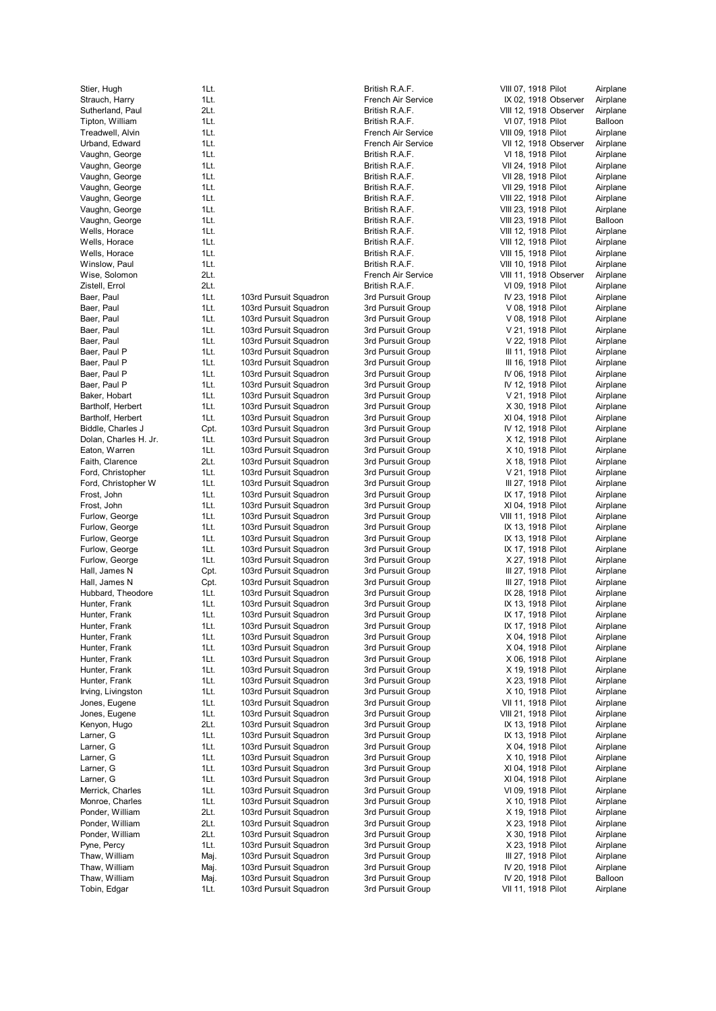| Stier, Hugh           | 1Lt. |     |
|-----------------------|------|-----|
| Strauch, Harry        | 1Lt. |     |
| Sutherland, Paul      | 2Lt. |     |
| Tipton, William       | 1Lt. |     |
| Treadwell, Alvin      | 1Lt. |     |
| Urband, Edward        | 1Lt. |     |
| Vaughn, George        | 1Lt. |     |
| Vaughn, George        | 1Lt. |     |
| Vaughn, George        | 1Lt. |     |
| Vaughn, George        | 1Lt. |     |
| Vaughn, George        | 1Lt. |     |
| Vaughn, George        | 1Lt. |     |
| Vaughn, George        | 1Lt. |     |
| Wells, Horace         | 1Lt. |     |
| Wells, Horace         | 1Lt. |     |
| Wells, Horace         | 1Lt. |     |
| Winslow, Paul         | 1Lt. |     |
| Wise, Solomon         | 2Lt. |     |
| Zistell, Errol        | 2Lt. |     |
| Baer, Paul            | 1Lt. | 103 |
| Baer, Paul            | 1Lt. | 103 |
| Baer, Paul            | 1Lt. | 103 |
| Baer, Paul            | 1Lt. | 103 |
| Baer, Paul            | 1Lt. | 103 |
| Baer, Paul P          | 1Lt. | 103 |
| Baer, Paul P          | 1Lt. | 103 |
| Baer, Paul P          | 1Lt. | 103 |
| Baer, Paul P          | 1Lt. | 103 |
| Baker, Hobart         | 1Lt. | 103 |
| Bartholf, Herbert     | 1Lt. | 103 |
| Bartholf, Herbert     | 1Lt. | 103 |
| Biddle, Charles J     | Cpt. | 103 |
| Dolan, Charles H. Jr. | 1Lt. | 103 |
| Eaton, Warren         | 1Lt. | 103 |
| Faith, Clarence       | 2Lt. | 103 |
| Ford, Christopher     | 1Lt. | 103 |
| Ford, Christopher W   | 1Lt. | 103 |
|                       |      |     |
| Frost, John           | 1Lt. | 103 |
| Frost, John           | 1Lt. | 103 |
| Furlow, George        | 1Lt. | 103 |
| Furlow, George        | 1Lt. | 103 |
| Furlow, George        | 1Lt. | 103 |
| Furlow, George        | 1Lt. | 103 |
| Furlow, George        | 1Lt. | 103 |
| Hall, James N         | Cpt. | 103 |
| Hall, James N         | Cpt. | 103 |
| Hubbard, Theodore     | 1Lt. | 103 |
| Hunter, Frank         | 1Lt. | 103 |
| Hunter, Frank         | 1Lt. | 103 |
| Hunter, Frank         | 1Lt. | 103 |
| Hunter, Frank         | 1Lt. | 103 |
| Hunter, Frank         | 1Lt. | 103 |
| Hunter, Frank         | 1Lt. | 103 |
| Hunter, Frank         | 1Lt. | 103 |
| Hunter, Frank         | 1Lt. | 103 |
| Irving, Livingston    | 1Lt. | 103 |
| Jones, Eugene         | 1Lt. | 103 |
| Jones, Eugene         | 1Lt. | 103 |
| Kenyon, Hugo          | 2Lt. | 103 |
| Larner, G             | 1Lt. | 103 |
| Larner, G             | 1Lt. | 103 |
| Larner, G             | 1Lt. | 103 |
| Larner, G             | 1Lt. | 103 |
| Larner, G             | 1Lt. | 103 |
| Merrick, Charles      | 1Lt. | 103 |
| Monroe, Charles       | 1Lt. | 103 |
| Ponder, William       | 2Lt. | 103 |
| Ponder, William       | 2Lt. | 103 |
| Ponder, William       | 2Lt. | 103 |
| Pyne, Percy           | 1Lt. | 103 |
| Thaw, William         | Maj. | 103 |
| Thaw, William         | Maj. | 103 |
| Thaw, William         | Maj. | 103 |
| Tobin, Edgar          | 1Lt. | 103 |
|                       |      |     |

| L                    | TLT.         |                        | впиз                  |
|----------------------|--------------|------------------------|-----------------------|
| arry                 | 1Lt.         |                        | Fren                  |
| l, Paul              | 2Lt.         |                        | <b>Britis</b>         |
| lliam                | 1Lt.<br>1Lt. |                        | <b>Britis</b><br>Fren |
| Alvin<br>dward       | 1Lt.         |                        | Fren                  |
|                      | 1Lt.         |                        | <b>Britis</b>         |
| eorge<br>eorge       | 1Lt.         |                        | <b>Britis</b>         |
| eorge                | 1Lt.         |                        | <b>Britis</b>         |
| eorge                | 1Lt.         |                        | <b>Britis</b>         |
| eorge                | 1Lt.         |                        | <b>Britis</b>         |
| eorge                | 1Lt.         |                        | <b>Britis</b>         |
| eorge                | 1Lt.         |                        | <b>Britis</b>         |
| асе                  | 1Lt.         |                        | <b>Britis</b>         |
| асе                  | 1Lt.         |                        | <b>Britis</b>         |
| ace                  | 1Lt.         |                        | <b>Britis</b>         |
| Paul                 | 1Lt.         |                        | <b>Britis</b>         |
| mon                  | 2Lt.         |                        | Fren                  |
| Jс                   | 2Lt.         |                        | <b>Britis</b>         |
|                      | 1Lt.         | 103rd Pursuit Squadron | 3rd F                 |
|                      | 1Lt.         | 103rd Pursuit Squadron | 3rd F                 |
|                      | 1Lt.         | 103rd Pursuit Squadron | 3rd F                 |
|                      | 1Lt.         | 103rd Pursuit Squadron | 3rd F                 |
|                      | 1Lt.         | 103rd Pursuit Squadron | 3rd F                 |
| P                    | 1Lt.         | 103rd Pursuit Squadron | 3rd F                 |
| P                    | 1Lt.         | 103rd Pursuit Squadron | 3rd F                 |
| P                    | 1Lt.         | 103rd Pursuit Squadron | 3rd F                 |
| P                    | 1Lt.         | 103rd Pursuit Squadron | 3rd F                 |
| art                  | 1Lt.         | 103rd Pursuit Squadron | 3rd F                 |
| erbert               | 1Lt.         | 103rd Pursuit Squadron | 3rd F                 |
| erbert               | 1Lt.         | 103rd Pursuit Squadron | 3rd F                 |
| arles J              | Cpt.         | 103rd Pursuit Squadron | 3rd F                 |
| arles H. Jr.         | 1Lt.         | 103rd Pursuit Squadron | 3rd F                 |
| rren                 | 1Lt.         | 103rd Pursuit Squadron | 3rd F                 |
| ence                 | 2Lt.         | 103rd Pursuit Squadron | 3rd F                 |
| stopher              | 1Lt.         | 103rd Pursuit Squadron | 3rd F                 |
| stopher W            | 1Lt.         | 103rd Pursuit Squadron | 3rd F                 |
| ۱                    | 1Lt.         | 103rd Pursuit Squadron | 3rd F                 |
| ١                    | 1Lt.         | 103rd Pursuit Squadron | 3rd F                 |
| orge                 | 1Lt.         | 103rd Pursuit Squadron | 3rd F                 |
| orge:                | 1Lt.         | 103rd Pursuit Squadron | 3rd F                 |
| orge:                | 1Lt.         | 103rd Pursuit Squadron | 3rd F                 |
| orge:                | 1Lt.         | 103rd Pursuit Squadron | 3rd F                 |
| orge                 | 1Lt.         | 103rd Pursuit Squadron | 3rd F                 |
| s N                  | Cpt.         | 103rd Pursuit Squadron | 3rd F                 |
| s N                  | Cpt.         | 103rd Pursuit Squadron | 3rd F                 |
| heodore <sup>-</sup> | 1Lt.         | 103rd Pursuit Squadron | 3rd F                 |
| ank                  | 1Lt.         | 103rd Pursuit Squadron | 3rd F                 |
| ank                  | 1Lt.         | 103rd Pursuit Squadron | 3rd F                 |
| ank                  | 1Lt.         | 103rd Pursuit Squadron | 3rd F                 |
| ank                  | 1Lt.         | 103rd Pursuit Squadron | 3rd F                 |
| ank                  | 1Lt.         | 103rd Pursuit Squadron | 3rd F                 |
| ank                  | 1Lt.         | 103rd Pursuit Squadron | 3rd F                 |
| ank                  | 1Lt.         | 103rd Pursuit Squadron | 3rd F                 |
| ank                  | 1Lt.         | 103rd Pursuit Squadron | 3rd F                 |
| ıgston               | 1Lt.         | 103rd Pursuit Squadron | 3rd F                 |
| jene                 | 1Lt.         | 103rd Pursuit Squadron | 3rd F                 |
| jene                 | 1Lt.         | 103rd Pursuit Squadron | 3rd F                 |
| ugo                  | 2Lt.         | 103rd Pursuit Squadron | 3rd F                 |
|                      | 1Lt.         | 103rd Pursuit Squadron | 3rd F                 |
|                      | 1Lt.         | 103rd Pursuit Squadron | 3rd F                 |
|                      | 1Lt.         | 103rd Pursuit Squadron | 3rd F                 |
|                      | 1Lt.         | 103rd Pursuit Squadron | 3rd F                 |
|                      | 1Lt.         | 103rd Pursuit Squadron | 3rd F                 |
| าarles               | 1Lt.         | 103rd Pursuit Squadron | 3rd F                 |
| harles               | 1Lt.         | 103rd Pursuit Squadron | 3rd F                 |
| illiam               | 2Lt.         | 103rd Pursuit Squadron | 3rd F                 |
| illiam               | 2Lt.         | 103rd Pursuit Squadron | 3rd F                 |
| illiam               | 2Lt.         | 103rd Pursuit Squadron | 3rd F                 |
| y                    | 1Lt.         | 103rd Pursuit Squadron | 3rd F                 |
| iam                  | Maj.         | 103rd Pursuit Squadron | 3rd F                 |
| iam                  | Maj.         | 103rd Pursuit Squadron | 3rd F                 |
| iam                  | Maj.         | 103rd Pursuit Squadron | 3rd F                 |
| ιar                  | 1Lt.         | 103rd Pursuit Squadron | 3rd F                 |

|     |  |  | British R.A.F.                   |  |  |  |                                          |
|-----|--|--|----------------------------------|--|--|--|------------------------------------------|
|     |  |  |                                  |  |  |  | French Air Service                       |
|     |  |  | British R.A.F.                   |  |  |  |                                          |
|     |  |  | British R.A.F.                   |  |  |  |                                          |
|     |  |  |                                  |  |  |  | French Air Service<br>French Air Service |
|     |  |  | British R.A.F.                   |  |  |  |                                          |
|     |  |  | British R.A.F.                   |  |  |  |                                          |
|     |  |  | British R.A.F.                   |  |  |  |                                          |
|     |  |  | British R.A.F                    |  |  |  |                                          |
|     |  |  | British R.A.F                    |  |  |  |                                          |
|     |  |  | British R.A.F                    |  |  |  |                                          |
|     |  |  | British R.A.F                    |  |  |  |                                          |
|     |  |  | British R.A.F                    |  |  |  |                                          |
|     |  |  | British R.A.F.                   |  |  |  |                                          |
|     |  |  | British R.A.F<br>British R.A.F.  |  |  |  |                                          |
|     |  |  |                                  |  |  |  | French Air Service                       |
|     |  |  | British R.A.F.                   |  |  |  |                                          |
|     |  |  | 3rd Pursuit Group                |  |  |  |                                          |
|     |  |  | 3rd Pursuit Group                |  |  |  |                                          |
|     |  |  | 3rd Pursuit Group                |  |  |  |                                          |
|     |  |  | 3rd Pursuit Group                |  |  |  |                                          |
|     |  |  | 3rd Pursuit                      |  |  |  | Group                                    |
|     |  |  | 3rd Pursuit                      |  |  |  | Group                                    |
|     |  |  | 3rd Pursuit                      |  |  |  | Group                                    |
|     |  |  | 3rd Pursuit                      |  |  |  | Group                                    |
|     |  |  | 3rd Pursuit<br>3rd Pursuit       |  |  |  | Group                                    |
|     |  |  | 3rd Pursuit                      |  |  |  | Group<br>Group                           |
|     |  |  | 3rd Pursuit                      |  |  |  | Group                                    |
|     |  |  | 3rd Pursuit                      |  |  |  | Group                                    |
|     |  |  | 3rd Pursuit                      |  |  |  | Group                                    |
|     |  |  | 3rd Pursuit                      |  |  |  | Group                                    |
|     |  |  | 3rd Pursuit                      |  |  |  | Group                                    |
|     |  |  | 3rd Pursuit                      |  |  |  | Group                                    |
|     |  |  | 3rd Pursuit                      |  |  |  | Group                                    |
|     |  |  | 3rd Pursuit                      |  |  |  | Group                                    |
|     |  |  | 3rd Pursuit<br>3rd Pursuit       |  |  |  | Group<br>Group                           |
|     |  |  | 3rd Pursuit                      |  |  |  | Group                                    |
|     |  |  | 3rd Pursuit                      |  |  |  | Group                                    |
|     |  |  | 3rd Pursuit                      |  |  |  | Group                                    |
|     |  |  | 3rd Pursuit                      |  |  |  | Group                                    |
|     |  |  | 3rd Pursuit                      |  |  |  | Group                                    |
|     |  |  | 3rd Pursuit                      |  |  |  | Group                                    |
|     |  |  | 3rd Pursuit                      |  |  |  | Group                                    |
|     |  |  | 3rd Pursuit Group                |  |  |  |                                          |
|     |  |  | 3rd Pursuit Group<br>3rd Pursuit |  |  |  | Group                                    |
|     |  |  | 3rd Pursuit                      |  |  |  | Group                                    |
|     |  |  | 3rd Pursuit                      |  |  |  | Group                                    |
|     |  |  | 3rd Pursuit                      |  |  |  | Group                                    |
|     |  |  | 3rd Pursuit                      |  |  |  | Group                                    |
|     |  |  | 3rd Pursuit                      |  |  |  | Group                                    |
|     |  |  | 3rd Pursuit                      |  |  |  | Group                                    |
| 3rd |  |  | Pursuit                          |  |  |  | Group                                    |
| 3rd |  |  | Pursuit                          |  |  |  | Group                                    |
|     |  |  | 3rd Pursuit<br>3rd Pursuit       |  |  |  | Group                                    |
|     |  |  | 3rd Pursuit                      |  |  |  | Group<br>Group                           |
|     |  |  | 3rd Pursuit                      |  |  |  | Group                                    |
|     |  |  | 3rd Pursuit                      |  |  |  | Group                                    |
|     |  |  | 3rd Pursuit                      |  |  |  | Group                                    |
|     |  |  | 3rd Pursuit                      |  |  |  | Group                                    |
|     |  |  | 3rd Pursuit                      |  |  |  | Group                                    |
|     |  |  | 3rd Pursuit                      |  |  |  | Group                                    |
|     |  |  | 3rd Pursuit                      |  |  |  | Group                                    |
|     |  |  | 3rd Pursuit                      |  |  |  | Group                                    |
|     |  |  | 3rd Pursuit<br>3rd Pursuit       |  |  |  | Group                                    |
|     |  |  | 3rd Pursuit                      |  |  |  | Group<br>Group                           |
|     |  |  | 3rd Pursuit                      |  |  |  | Group                                    |

| Stier, Hugh           | 1Lt. |                        | British R.A.F.     | VIII 07, 1918 Pilot    | Airplane |
|-----------------------|------|------------------------|--------------------|------------------------|----------|
| Strauch, Harry        | 1Lt. |                        | French Air Service | IX 02, 1918 Observer   | Airplane |
| Sutherland, Paul      | 2Lt. |                        | British R.A.F.     | VIII 12, 1918 Observer | Airplane |
| Tipton, William       | 1Lt. |                        | British R.A.F.     | VI 07, 1918 Pilot      | Balloon  |
| Treadwell, Alvin      | 1Lt. |                        | French Air Service | VIII 09, 1918 Pilot    | Airplane |
| Urband, Edward        | 1Lt. |                        | French Air Service | VII 12, 1918 Observer  | Airplane |
| Vaughn, George        | 1Lt. |                        | British R.A.F.     | VI 18, 1918 Pilot      | Airplane |
| Vaughn, George        | 1Lt. |                        | British R.A.F.     | VII 24, 1918 Pilot     | Airplane |
| Vaughn, George        | 1Lt. |                        | British R.A.F.     | VII 28, 1918 Pilot     | Airplane |
| Vaughn, George        | 1Lt. |                        | British R.A.F.     | VII 29, 1918 Pilot     | Airplane |
| Vaughn, George        | 1Lt. |                        | British R.A.F.     | VIII 22, 1918 Pilot    | Airplane |
| Vaughn, George        | 1Lt. |                        | British R.A.F.     | VIII 23, 1918 Pilot    | Airplane |
| Vaughn, George        | 1Lt. |                        | British R.A.F.     | VIII 23, 1918 Pilot    | Balloon  |
| Wells, Horace         | 1Lt. |                        | British R.A.F.     | VIII 12, 1918 Pilot    | Airplane |
| Wells, Horace         | 1Lt. |                        | British R.A.F.     | VIII 12, 1918 Pilot    | Airplane |
| Wells, Horace         | 1Lt. |                        | British R.A.F.     | VIII 15, 1918 Pilot    | Airplane |
| Winslow, Paul         | 1Lt. |                        | British R.A.F.     | VIII 10, 1918 Pilot    | Airplane |
| Wise, Solomon         | 2Lt. |                        | French Air Service | VIII 11, 1918 Observer | Airplane |
| Zistell, Errol        | 2Lt. |                        | British R.A.F.     | VI 09, 1918 Pilot      | Airplane |
| Baer, Paul            | 1Lt. | 103rd Pursuit Squadron | 3rd Pursuit Group  | IV 23, 1918 Pilot      | Airplane |
| Baer, Paul            | 1Lt. | 103rd Pursuit Squadron | 3rd Pursuit Group  | V 08, 1918 Pilot       | Airplane |
| Baer, Paul            | 1Lt. | 103rd Pursuit Squadron | 3rd Pursuit Group  | V 08, 1918 Pilot       | Airplane |
| Baer, Paul            | 1Lt. | 103rd Pursuit Squadron | 3rd Pursuit Group  | V 21, 1918 Pilot       | Airplane |
| Baer, Paul            | 1Lt. | 103rd Pursuit Squadron | 3rd Pursuit Group  | V 22, 1918 Pilot       | Airplane |
| Baer, Paul P          | 1Lt. | 103rd Pursuit Squadron | 3rd Pursuit Group  | III 11, 1918 Pilot     | Airplane |
| Baer, Paul P          | 1Lt. | 103rd Pursuit Squadron | 3rd Pursuit Group  | III 16, 1918 Pilot     | Airplane |
| Baer, Paul P          | 1Lt. | 103rd Pursuit Squadron | 3rd Pursuit Group  | IV 06, 1918 Pilot      | Airplane |
| Baer, Paul P          | 1Lt. | 103rd Pursuit Squadron | 3rd Pursuit Group  | IV 12, 1918 Pilot      | Airplane |
| Baker, Hobart         | 1Lt. | 103rd Pursuit Squadron | 3rd Pursuit Group  | V 21, 1918 Pilot       | Airplane |
| Bartholf, Herbert     | 1Lt. | 103rd Pursuit Squadron | 3rd Pursuit Group  | X 30, 1918 Pilot       | Airplane |
| Bartholf, Herbert     | 1Lt. | 103rd Pursuit Squadron | 3rd Pursuit Group  | XI 04, 1918 Pilot      | Airplane |
| Biddle, Charles J     | Cpt. | 103rd Pursuit Squadron | 3rd Pursuit Group  | IV 12, 1918 Pilot      | Airplane |
| Dolan, Charles H. Jr. | 1Lt. | 103rd Pursuit Squadron | 3rd Pursuit Group  | X 12, 1918 Pilot       | Airplane |
| Eaton, Warren         | 1Lt. | 103rd Pursuit Squadron | 3rd Pursuit Group  | X 10, 1918 Pilot       | Airplane |
| Faith, Clarence       | 2Lt. | 103rd Pursuit Squadron | 3rd Pursuit Group  | X 18, 1918 Pilot       | Airplane |
| Ford, Christopher     | 1Lt. | 103rd Pursuit Squadron | 3rd Pursuit Group  | V 21, 1918 Pilot       | Airplane |
| Ford, Christopher W   | 1Lt. | 103rd Pursuit Squadron | 3rd Pursuit Group  | III 27, 1918 Pilot     | Airplane |
| Frost, John           | 1Lt. | 103rd Pursuit Squadron | 3rd Pursuit Group  | IX 17, 1918 Pilot      | Airplane |
| Frost, John           | 1Lt. | 103rd Pursuit Squadron | 3rd Pursuit Group  | XI 04, 1918 Pilot      | Airplane |
| Furlow, George        | 1Lt. | 103rd Pursuit Squadron | 3rd Pursuit Group  | VIII 11, 1918 Pilot    | Airplane |
| Furlow, George        | 1Lt. | 103rd Pursuit Squadron | 3rd Pursuit Group  | IX 13, 1918 Pilot      | Airplane |
| Furlow, George        | 1Lt. | 103rd Pursuit Squadron | 3rd Pursuit Group  | IX 13, 1918 Pilot      | Airplane |
| Furlow, George        | 1Lt. | 103rd Pursuit Squadron | 3rd Pursuit Group  | IX 17, 1918 Pilot      | Airplane |
| Furlow, George        | 1Lt. | 103rd Pursuit Squadron | 3rd Pursuit Group  | X 27, 1918 Pilot       | Airplane |
| Hall, James N         | Cpt. | 103rd Pursuit Squadron | 3rd Pursuit Group  | III 27, 1918 Pilot     | Airplane |
| Hall, James N         | Cpt. | 103rd Pursuit Squadron | 3rd Pursuit Group  | III 27, 1918 Pilot     | Airplane |
| Hubbard, Theodore     | 1Lt. | 103rd Pursuit Squadron | 3rd Pursuit Group  | IX 28, 1918 Pilot      | Airplane |
| Hunter, Frank         | 1Lt. | 103rd Pursuit Squadron | 3rd Pursuit Group  | IX 13, 1918 Pilot      | Airplane |
| Hunter, Frank         | 1Lt. | 103rd Pursuit Squadron | 3rd Pursuit Group  | IX 17, 1918 Pilot      | Airplane |
| Hunter, Frank         | 1Lt. | 103rd Pursuit Squadron | 3rd Pursuit Group  | IX 17, 1918 Pilot      | Airplane |
| Hunter, Frank         | 1Lt. | 103rd Pursuit Squadron | 3rd Pursuit Group  | X 04, 1918 Pilot       | Airplane |
| Hunter, Frank         | 1Lt. | 103rd Pursuit Squadron | 3rd Pursuit Group  | X 04, 1918 Pilot       | Airplane |
| Hunter, Frank         | 1Lt. | 103rd Pursuit Squadron | 3rd Pursuit Group  | X 06, 1918 Pilot       | Airplane |
| Hunter, Frank         | 1Lt. | 103rd Pursuit Squadron | 3rd Pursuit Group  | X 19, 1918 Pilot       | Airplane |
| Hunter, Frank         | 1Lt. | 103rd Pursuit Squadron | 3rd Pursuit Group  | X 23, 1918 Pilot       | Airplane |
| Irving, Livingston    | 1Lt. | 103rd Pursuit Squadron | 3rd Pursuit Group  | X 10, 1918 Pilot       | Airplane |
| Jones, Eugene         | 1Lt. | 103rd Pursuit Squadron | 3rd Pursuit Group  | VII 11, 1918 Pilot     | Airplane |
| Jones, Eugene         | 1Lt. | 103rd Pursuit Squadron | 3rd Pursuit Group  | VIII 21, 1918 Pilot    | Airplane |
| Kenyon, Hugo          | 2Lt. | 103rd Pursuit Squadron | 3rd Pursuit Group  | IX 13, 1918 Pilot      | Airplane |
| Larner, G             | 1Lt. | 103rd Pursuit Squadron | 3rd Pursuit Group  | IX 13, 1918 Pilot      | Airplane |
| Larner, G             | 1Lt. | 103rd Pursuit Squadron | 3rd Pursuit Group  | X 04, 1918 Pilot       | Airplane |
| Larner, G             | 1Lt. | 103rd Pursuit Squadron | 3rd Pursuit Group  | X 10, 1918 Pilot       | Airplane |
| Larner, G             | 1Lt. | 103rd Pursuit Squadron | 3rd Pursuit Group  | XI 04, 1918 Pilot      | Airplane |
| Larner, G             | 1Lt. | 103rd Pursuit Squadron | 3rd Pursuit Group  | XI 04, 1918 Pilot      | Airplane |
| Merrick, Charles      | 1Lt. | 103rd Pursuit Squadron | 3rd Pursuit Group  | VI 09, 1918 Pilot      | Airplane |
| Monroe, Charles       | 1Lt. | 103rd Pursuit Squadron | 3rd Pursuit Group  | X 10, 1918 Pilot       | Airplane |
| Ponder, William       | 2Lt. | 103rd Pursuit Squadron | 3rd Pursuit Group  | X 19, 1918 Pilot       | Airplane |
| Ponder, William       | 2Lt. | 103rd Pursuit Squadron | 3rd Pursuit Group  | X 23, 1918 Pilot       | Airplane |
| Ponder, William       | 2Lt. | 103rd Pursuit Squadron | 3rd Pursuit Group  | X 30, 1918 Pilot       | Airplane |
| Pyne, Percy           | 1Lt. | 103rd Pursuit Squadron | 3rd Pursuit Group  | X 23, 1918 Pilot       | Airplane |
| Thaw, William         | Maj. | 103rd Pursuit Squadron | 3rd Pursuit Group  | III 27, 1918 Pilot     | Airplane |
| Thaw, William         | Maj. | 103rd Pursuit Squadron | 3rd Pursuit Group  | IV 20, 1918 Pilot      | Airplane |
| Thaw, William         | Maj. | 103rd Pursuit Squadron | 3rd Pursuit Group  | IV 20, 1918 Pilot      | Balloon  |
| Tobin, Edgar          | 1Lt. | 103rd Pursuit Squadron | 3rd Pursuit Group  | VII 11, 1918 Pilot     | Airplane |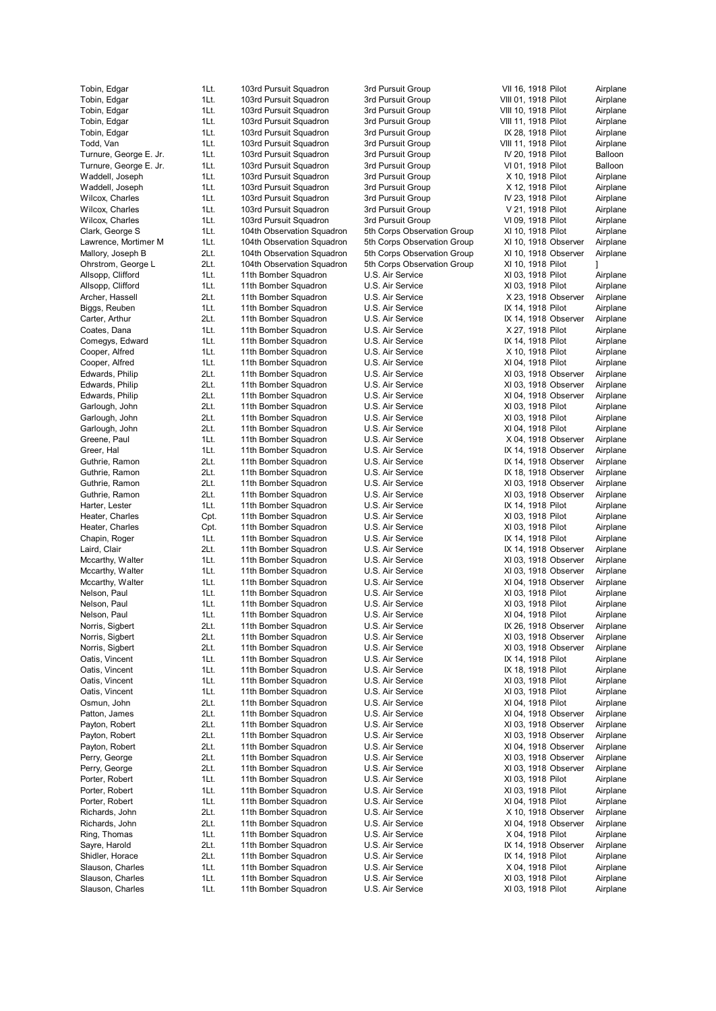Tobin, Edgar **1Lt.** 103rd Pursuit Squadron 3rd Pursuit Group VIII 01, 1918 Pilot Airplane Tobin, Edgar 1Lt. 103rd Pursuit Squadron 3rd Pursuit Group VIII 10, 1918 Pilot Airplane Tobin, Edgar 1Lt. 103rd Pursuit Squadron 3rd Pursuit Group VIII 11, 1918 Pilot Airplane Tobin, Edgar **1Lt.** 103rd Pursuit Squadron 3rd Pursuit Group IX 28, 1918 Pilot Airplane Todd, Van 1998 11t. 103rd Pursuit Squadron 3rd Pursuit Group VIII 11, 1918 Pilot Airplane Turnure, George E. Jr. 1Lt. 103rd Pursuit Squadron 3rd Pursuit Group IV 20, 1918 Pilot Balloon Turnure, George E. Jr. 1Lt. 103rd Pursuit Squadron 3rd Pursuit Group VI 01, 1918 Pilot Balloon Waddell, Joseph 1Lt. 103rd Pursuit Squadron 3rd Pursuit Group X 10, 1918 Pilot Airplane Waddell, Joseph 1Lt. 103rd Pursuit Squadron 3rd Pursuit Group X 12, 1918 Pilot Airplane<br>Wilcox, Charles 1Lt. 103rd Pursuit Squadron 3rd Pursuit Group IV 23, 1918 Pilot Airplane Wilcox, Charles 1Lt. 103rd Pursuit Squadron 3rd Pursuit Group Wilcox, Charles **1Lt.** 103rd Pursuit Squadron 3rd Pursuit Group V 21, 1918 Pilot Airplane Wilcox, Charles **1Lt.** 103rd Pursuit Squadron 3rd Pursuit Group VI 09, 1918 Pilot Airplane Clark, George S 1Lt. 104th Observation Squadron 5th Corps Observation Group XI 10, 1918 Pilot Airplane Lawrence, Mortimer M 1Lt. 104th Observation Squadron 5th Corps Observation Group XI 10, 1918 Observer Airplane Mallory, Joseph B 2Lt. 104th Observation Squadron 5th Corps Observation Group XI 10, 1918 Observer Airplane Ohrstrom, George L 2Lt. 104th Observation Squadron 5th Corps Observation Group XI 10, 1918 Pilot Allsopp, Clifford 11t. 11th Bomber Squadron U.S. Air Service XI 03, 1918 Pilot Airplane<br>Allsopp, Clifford 11t. 11th Bomber Squadron U.S. Air Service XI 03, 1918 Pilot Airplane 1Lt. 11th Bomber Squadron U.S. Air Service XI 03, 1918 Pilot Airplane Archer, Hassell 2Lt. 11th Bomber Squadron U.S. Air Service X 23, 1918 Observer Airplane Biggs, Reuben 1Lt. 11th Bomber Squadron U.S. Air Service IX 14, 1918 Pilot Airplane Carter, Arthur 2Lt. 11th Bomber Squadron U.S. Air Service IX 14, 1918 Observer Airplane Coates, Dana 1Lt. 11th Bomber Squadron U.S. Air Service X 27, 1918 Pilot Airplane Comegys, Edward 1Lt. 11th Bomber Squadron U.S. Air Service 1X 14, 1918 Pilot Airplane Cooper, Alfred **1Lt.** 11th Bomber Squadron U.S. Air Service X 10, 1918 Pilot Airplane Cooper, Alfred **1Lt.** 11th Bomber Squadron U.S. Air Service XI 04, 1918 Pilot Airplane Edwards, Philip 2Lt. 11th Bomber Squadron U.S. Air Service XI 03, 1918 Observer Airplane Edwards, Philip 2Lt. 11th Bomber Squadron U.S. Air Service XV 03, 1918 Observer Airplane Edwards, Philip 2Lt. 11th Bomber Squadron U.S. Air Service XI 04, 1918 Observer Airplane Garlough, John 2Lt. 11th Bomber Squadron U.S. Air Service XI 03, 1918 Pilot Airplane Garlough, John 2Lt. 11th Bomber Squadron U.S. Air Service XI 03, 1918 Pilot Airplane Garlough, John 2Lt. 11th Bomber Squadron U.S. Air Service XI 04, 1918 Pilot Airplane Greene, Paul 11. 11th Bomber Squadron U.S. Air Service X 04, 1918 Observer Airplane Greer, Hal 11. 11th Bomber Squadron U.S. Air Service IX 14, 1918 Observer Airplane Guthrie, Ramon 2Lt. 11th Bomber Squadron U.S. Air Service IX 14, 1918 Observer Airplane Guthrie, Ramon 2Lt. 11th Bomber Squadron U.S. Air Service IX 18, 1918 Observer Airplane Guthrie, Ramon 2Lt. 11th Bomber Squadron U.S. Air Service XI 03, 1918 Observer Airplane Guthrie, Ramon 2Lt. 11th Bomber Squadron U.S. Air Service XI 03, 1918 Observer Airplane Harter, Lester **11t.** 11th Bomber Squadron U.S. Air Service **IX 14, 1918 Pilot** Airplane Heater, Charles Cot. 11th Bomber Squadron U.S. Air Service XI 03, 1918 Pilot Airplane<br>Heater, Charles Cot. 11th Bomber Squadron U.S. Air Service XI 03, 1918 Pilot Airplane Heater, Charles Charles Cot. 11th Bomber Squadron U.S. Air Service XI 03, 1918 Pilot Chapin, Roger 1Lt. 11th Bomber Squadron U.S. Air Service IX 14, 1918 Pilot Airplane Laird, Clair **2Lt.** 11th Bomber Squadron U.S. Air Service **IX 14, 1918 Observer** Airplane Mccarthy, Walter 11th. 11th Bomber Squadron U.S. Air Service XI 03, 1918 Observer Airplane Mccarthy, Walter **1Lt.** 11th Bomber Squadron U.S. Air Service **XI 03, 1918 Observer** Airplane Mccarthy, Walter 11th 11th Bomber Squadron U.S. Air Service XI 04, 1918 Observer Airplane Nelson, Paul 11. 11th Bomber Squadron U.S. Air Service XI 03, 1918 Pilot Airplane Nelson, Paul 1992 11th 11th Bomber Squadron U.S. Air Service 7 103, 1918 Pilot Airplane Nelson, Paul 11t. 11th Bomber Squadron U.S. Air Service XI 04, 1918 Pilot Airplane Norris, Sigbert 2Lt. 11th Bomber Squadron U.S. Air Service IX 26, 1918 Observer Airplane Norris, Sigbert 2Lt. 11th Bomber Squadron U.S. Air Service XI 03, 1918 Observer Airplane Norris, Sigbert 2Lt. 11th Bomber Squadron U.S. Air Service XV 03, 1918 Observer Airplane Oatis, Vincent 1Lt. 11th Bomber Squadron U.S. Air Service IX 14, 1918 Pilot Airplane Oatis, Vincent 1Lt. 11th Bomber Squadron U.S. Air Service IX 18, 1918 Pilot Airplane Oatis, Vincent 11t. 11th Bomber Squadron U.S. Air Service XI 03, 1918 Pilot Airplane Oatis, Vincent 1Lt. 11th Bomber Squadron U.S. Air Service XI 03, 1918 Pilot Airplane Osmun, John 2Lt. 11th Bomber Squadron U.S. Air Service XI 04, 1918 Pilot Airplane Patton, James 2Lt. 11th Bomber Squadron U.S. Air Service XI 04, 1918 Observer Airplane Payton, Robert 2Lt. 11th Bomber Squadron U.S. Air Service XI 03, 1918 Observer Airplane Payton, Robert 2Lt. 11th Bomber Squadron U.S. Air Service XI 03, 1918 Observer Airplane Payton, Robert 2Lt. 11th Bomber Squadron U.S. Air Service XI 04, 1918 Observer Airplane Perry, George 2Lt. 11th Bomber Squadron U.S. Air Service XI 03, 1918 Observer Airplane Perry, George 2Lt. 11th Bomber Squadron 2D.S. Air Service 3D. XI 03, 1918 Observer Airplane<br>11th Bomber Squadron 2D.S. Air Service 2003, 1918 Pilot Airplane Porter, Robert 11t. 11th Bomber Squadron U.S. Air Service XI 03, 1918 Pilot Airplane Porter, Robert **1Lt.** 11th Bomber Squadron U.S. Air Service XI 03, 1918 Pilot Airplane Porter, Robert **1Lt.** 11th Bomber Squadron U.S. Air Service XI 04, 1918 Pilot Airplane Richards, John 2Lt. 11th Bomber Squadron U.S. Air Service X 10, 1918 Observer Airplane Richards, John 2Lt. 11th Bomber Squadron U.S. Air Service XI 04, 1918 Observer Airplane Ring, Thomas 1Lt. 11th Bomber Squadron U.S. Air Service X 04, 1918 Pilot Airplane Sayre, Harold **2Lt.** 11th Bomber Squadron U.S. Air Service **IX 14, 1918 Observer** Airplane Shidler, Horace 2Lt. 11th Bomber Squadron U.S. Air Service IX 14, 1918 Pilot Airplane Slauson, Charles **1Lt.** 11th Bomber Squadron U.S. Air Service **X 04, 1918 Pilot** Airplane Slauson, Charles **1Lt.** 11th Bomber Squadron U.S. Air Service XI 03, 1918 Pilot Airplane Slauson, Charles 1Lt. 11th Bomber Squadron U.S. Air Service XI 03, 1918 Pilot Airplane

Tobin, Edgar 1Lt. 103rd Pursuit Squadron 3rd Pursuit Group VII 16, 1918 Pilot Airplane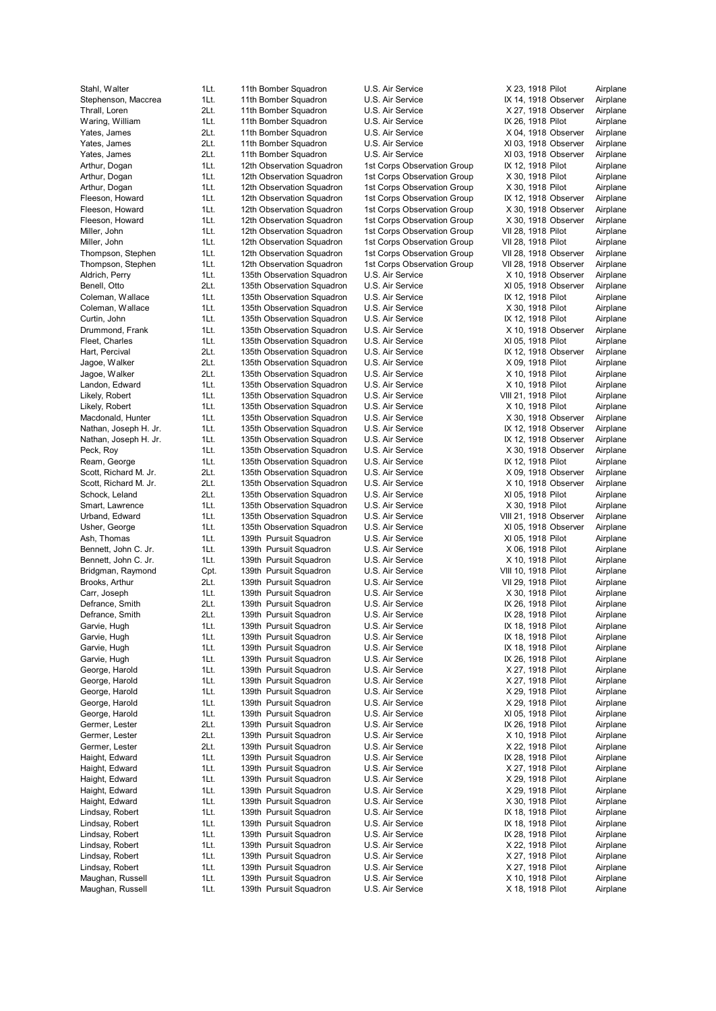Stahl, Walter 1Lt. 11th Bomber Squadron 1LS. Air Service 1. X 23, 1918 Pilot Airplane Stephenson, Maccrea 1Lt. 11th Bomber Squadron U.S. Air Service IX 14, 1918 Observer Airplane Thrall, Loren 2Lt. 11th Bomber Squadron U.S. Air Service X 27, 1918 Observer Airplane Waring, William 1Lt. 11th Bomber Squadron U.S. Air Service IX 26, 1918 Pilot Airplane Yates, James 2Lt. 11th Bomber Squadron U.S. Air Service X 04, 1918 Observer Airplane Yates, James 2Lt. 11th Bomber Squadron U.S. Air Service XI 03, 1918 Observer Airplane Yates, James 2Lt. 11th Bomber Squadron U.S. Air Service XI 03, 1918 Observer Airplane Arthur, Dogan 1Lt. 12th Observation Squadron 1st Corps Observation Group IX 12, 1918 Pilot Airplane Arthur, Dogan 1Lt. 12th Observation Squadron 1st Corps Observation Group X 30, 1918 Pilot Airplane Arthur, Dogan 1Lt. 12th Observation Squadron 1st Corps Observation Group X 30, 1918 Pilot Airplane Fleeson, Howard 1Lt. 12th Observation Squadron 1st Corps Observation Group IX 12, 1918 Observer Airplane Fleeson, Howard 1Lt. 12th Observation Squadron 1st Corps Observation Group X 30, 1918 Observer Airplane Fleeson, Howard 1Lt. 12th Observation Squadron 1st Corps Observation Group X 30, 1918 Observer Airplane Miller, John 1Lt. 12th Observation Squadron 1st Corps Observation Group VII 28, 1918 Pilot Airplane Miller, John 1Lt. 12th Observation Squadron 1st Corps Observation Group VII 28, 1918 Pilot Airplane Thompson, Stephen 1Lt. 12th Observation Squadron 1st Corps Observation Group VII 28, 1918 Observer Airplane Thompson, Stephen 1Lt. 12th Observation Squadron 1st Corps Observation Group VII 28, 1918 Observer Airplane Aldrich, Perry **1Lt.** 135th Observation Squadron U.S. Air Service X 10, 1918 Observer Airplane Benell, Otto 2Lt. 135th Observation Squadron U.S. Air Service XI 05, 1918 Observer Airplane Coleman, Wallace **1Lt.** 135th Observation Squadron U.S. Air Service **IX 12, 1918 Pilot** Airplane Coleman, Wallace 1Lt. 135th Observation Squadron U.S. Air Service X 30, 1918 Pilot Airplane Curtin, John 1Lt. 135th Observation Squadron U.S. Air Service IX 12, 1918 Pilot Airplane Drummond, Frank 1Lt. 135th Observation Squadron U.S. Air Service X 10, 1918 Observer Airplane Fleet, Charles **1Lt.** 135th Observation Squadron U.S. Air Service XI 05, 1918 Pilot Airplane Hart, Percival **2Lt.** 135th Observation Squadron U.S. Air Service IX 12, 1918 Observer Airplane Jagoe, Walker 2Lt. 135th Observation Squadron U.S. Air Service X 09, 1918 Pilot Airplane Jagoe, Walker 2Lt. 135th Observation Squadron U.S. Air Service X 10, 1918 Pilot Airplane Landon, Edward 11t. 135th Observation Squadron U.S. Air Service X 10, 1918 Pilot Airplane Likely, Robert 11t. 135th Observation Squadron U.S. Air Service VIII 21, 1918 Pilot Airplane Likely, Robert **1Lt.** 135th Observation Squadron U.S. Air Service X 10, 1918 Pilot Airplane Macdonald, Hunter 1Lt. 135th Observation Squadron U.S. Air Service X 30, 1918 Observer Airplane Nathan, Joseph H. Jr. 1Lt. 135th Observation Squadron U.S. Air Service IX 12, 1918 Observer Airplane Nathan, Joseph H. Jr. 11. 135th Observation Squadron U.S. Air Service IX 12, 1918 Observer Airplane Peck, Roy **1Lt.** 135th Observation Squadron U.S. Air Service X 30, 1918 Observer Airplane Ream, George **1Lt.** 135th Observation Squadron U.S. Air Service **12, 1918 Pilot** Airplane<br>135th Airplane Scott, Richard M. Jr. 2011, 1918 Observation Squadron U.S. Air Service 1986 Airplane Scott, Richard M. Jr. 2Lt. 135th Observation Squadron U.S. Air Service X 09, 1918 Observer Airplane Scott, Richard M. Jr. 2Lt. 135th Observation Squadron U.S. Air Service X 10, 1918 Observer Airplane Schock, Leland 2Lt. 135th Observation Squadron U.S. Air Service XI 05, 1918 Pilot Airplane Smart, Lawrence **1Lt.** 135th Observation Squadron U.S. Air Service X 30, 1918 Pilot Airplane Urband, Edward 11t. 135th Observation Squadron U.S. Air Service VIII 21, 1918 Observer Airplane Usher, George **1Lt.** 135th Observation Squadron U.S. Air Service XI 05, 1918 Observer Airplane Ash, Thomas 1Lt. 139th Pursuit Squadron U.S. Air Service XI 05, 1918 Pilot Airplane Bennett, John C. Jr. 11Lt. 139th Pursuit Squadron U.S. Air Service X 06, 1918 Pilot Airplane Bennett, John C. Jr. 1Lt. 139th Pursuit Squadron U.S. Air Service X 10, 1918 Pilot Airplane Bridgman, Raymond Cpt. 139th Pursuit Squadron U.S. Air Service VIII 10, 1918 Pilot Airplane Brooks, Arthur 2Lt. 139th Pursuit Squadron U.S. Air Service VII 29, 1918 Pilot Airplane Carr, Joseph 1Lt. 139th Pursuit Squadron U.S. Air Service X 30, 1918 Pilot Airplane Defrance, Smith 2Lt. 139th Pursuit Squadron U.S. Air Service IX 26, 1918 Pilot Airplane<br>Defrance, Smith 2Lt. 139th Pursuit Squadron U.S. Air Service IX 28. 1918 Pilot Airplane Defrance, Smith 2Lt. 139th Pursuit Squadron U.S. Air Service IX 28, 1918 Pilot Garvie, Hugh 11t. 139th Pursuit Squadron U.S. Air Service IX 18, 1918 Pilot Airplane Garvie, Hugh 11t. 139th Pursuit Squadron U.S. Air Service IX 18, 1918 Pilot Airplane Garvie, Hugh 199th 11. 139th Pursuit Squadron U.S. Air Service 13 May 18, 1918 Pilot Airplane Garvie, Hugh 11t. 139th Pursuit Squadron U.S. Air Service IX 26, 1918 Pilot Airplane George, Harold **1Lt.** 139th Pursuit Squadron U.S. Air Service X 27, 1918 Pilot Airplane George, Harold **1Lt.** 139th Pursuit Squadron U.S. Air Service X 27, 1918 Pilot Airplane George, Harold **1Lt.** 139th Pursuit Squadron U.S. Air Service X 29, 1918 Pilot Airplane George, Harold **1Lt.** 139th Pursuit Squadron U.S. Air Service X 29, 1918 Pilot Airplane George, Harold 1Lt. 139th Pursuit Squadron U.S. Air Service XI 05, 1918 Pilot Airplane Germer, Lester 2Lt. 139th Pursuit Squadron U.S. Air Service IX 26, 1918 Pilot Airplane Germer, Lester 2Lt. 139th Pursuit Squadron U.S. Air Service X 10, 1918 Pilot Airplane Germer, Lester **2Lt.** 139th Pursuit Squadron U.S. Air Service X 22, 1918 Pilot Airplane Haight, Edward 1Lt. 139th Pursuit Squadron U.S. Air Service IX 28, 1918 Pilot Airplane Haight, Edward 11t. 139th Pursuit Squadron U.S. Air Service 1995 X 27, 1918 Pilot Airplane<br>1991 Haight, Edward 11t. 139th Pursuit Squadron U.S. Air Service 1996 X 29, 1918 Pilot Airplane Haight, Edward 1Lt. 139th Pursuit Squadron U.S. Air Service X 29, 1918 Pilot Airplane Haight, Edward 1Lt. 139th Pursuit Squadron U.S. Air Service X 29, 1918 Pilot Airplane Haight, Edward 1Lt. 139th Pursuit Squadron U.S. Air Service X 30, 1918 Pilot Airplane Lindsay, Robert 1Lt. 139th Pursuit Squadron U.S. Air Service IX 18, 1918 Pilot Airplane Lindsay, Robert 1Lt. 139th Pursuit Squadron U.S. Air Service IX 18, 1918 Pilot Airplane Lindsay, Robert 1Lt. 139th Pursuit Squadron U.S. Air Service IX 28, 1918 Pilot Airplane Lindsay, Robert 1Lt. 139th Pursuit Squadron U.S. Air Service X 22, 1918 Pilot Airplane Lindsay, Robert 1Lt. 139th Pursuit Squadron U.S. Air Service X 27, 1918 Pilot Airplane Lindsay, Robert 1Lt. 139th Pursuit Squadron U.S. Air Service X 27, 1918 Pilot Airplane Maughan, Russell **1Lt.** 139th Pursuit Squadron U.S. Air Service X 10, 1918 Pilot Airplane Maughan, Russell **1Lt.** 139th Pursuit Squadron U.S. Air Service X 18, 1918 Pilot Airplane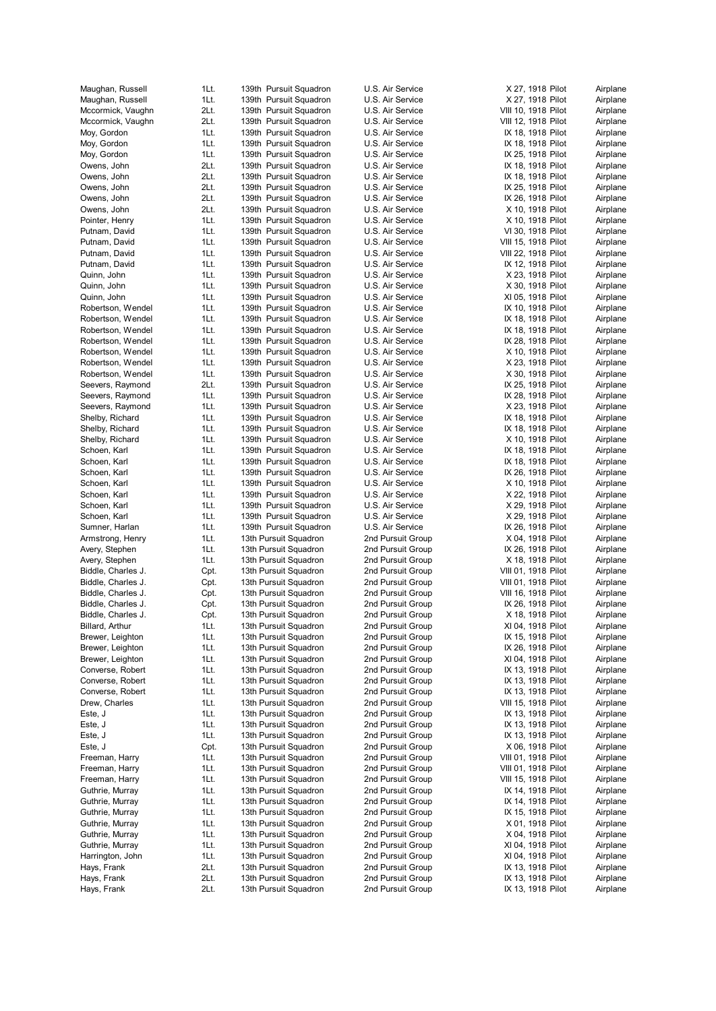| Maughan, Russell                 | 1Lt.         | 139th Pursuit Squadron                           | U.S. Air Service                       | X 27, 1918 Pilot                           | Airplane             |
|----------------------------------|--------------|--------------------------------------------------|----------------------------------------|--------------------------------------------|----------------------|
| Maughan, Russell                 | 1Lt.         | 139th Pursuit Squadron                           | U.S. Air Service                       | X 27, 1918 Pilot                           | Airplane             |
| Mccormick, Vaughn                | 2Lt.         | 139th Pursuit Squadron                           | U.S. Air Service                       | VIII 10, 1918 Pilot                        | Airplane             |
| Mccormick, Vaughn                | 2Lt.         | 139th Pursuit Squadron                           | U.S. Air Service                       | VIII 12, 1918 Pilot                        | Airplane             |
| Moy, Gordon                      | 1Lt.         | 139th Pursuit Squadron                           | U.S. Air Service                       | IX 18, 1918 Pilot                          | Airplane             |
| Moy, Gordon                      | 1Lt.         | 139th Pursuit Squadron                           | U.S. Air Service                       | IX 18, 1918 Pilot                          | Airplane             |
| Moy, Gordon                      | 1Lt.         | 139th Pursuit Squadron                           | U.S. Air Service                       | IX 25, 1918 Pilot                          | Airplane             |
| Owens, John                      | 2Lt.         | 139th Pursuit Squadron                           | U.S. Air Service                       | IX 18, 1918 Pilot                          | Airplane             |
| Owens, John                      | 2Lt.         | 139th Pursuit Squadron                           | U.S. Air Service                       | IX 18, 1918 Pilot                          | Airplane             |
| Owens, John                      | 2Lt.         | 139th Pursuit Squadron                           | U.S. Air Service                       | IX 25, 1918 Pilot                          | Airplane             |
| Owens, John                      | 2Lt.         | 139th Pursuit Squadron                           | U.S. Air Service                       | IX 26, 1918 Pilot                          | Airplane             |
| Owens, John                      | 2Lt.         | 139th Pursuit Squadron                           | U.S. Air Service                       | X 10, 1918 Pilot                           | Airplane             |
| Pointer, Henry                   | 1Lt.         | 139th Pursuit Squadron                           | U.S. Air Service                       | X 10, 1918 Pilot                           | Airplane             |
| Putnam, David                    | 1Lt.<br>1Lt. | 139th Pursuit Squadron                           | U.S. Air Service                       | VI 30, 1918 Pilot                          | Airplane             |
| Putnam, David                    | 1Lt.         | 139th Pursuit Squadron                           | U.S. Air Service                       | VIII 15, 1918 Pilot                        | Airplane             |
| Putnam, David<br>Putnam, David   | 1Lt.         | 139th Pursuit Squadron<br>139th Pursuit Squadron | U.S. Air Service<br>U.S. Air Service   | VIII 22, 1918 Pilot<br>IX 12, 1918 Pilot   | Airplane<br>Airplane |
| Quinn, John                      | 1Lt.         | 139th Pursuit Squadron                           | U.S. Air Service                       | X 23, 1918 Pilot                           | Airplane             |
| Quinn, John                      | 1Lt.         | 139th Pursuit Squadron                           | U.S. Air Service                       | X 30, 1918 Pilot                           | Airplane             |
| Quinn, John                      | 1Lt.         | 139th Pursuit Squadron                           | U.S. Air Service                       | XI 05, 1918 Pilot                          | Airplane             |
| Robertson, Wendel                | 1Lt.         | 139th Pursuit Squadron                           | U.S. Air Service                       | IX 10, 1918 Pilot                          | Airplane             |
| Robertson, Wendel                | 1Lt.         | 139th Pursuit Squadron                           | U.S. Air Service                       | IX 18, 1918 Pilot                          | Airplane             |
| Robertson, Wendel                | 1Lt.         | 139th Pursuit Squadron                           | U.S. Air Service                       | IX 18, 1918 Pilot                          | Airplane             |
| Robertson, Wendel                | 1Lt.         | 139th Pursuit Squadron                           | U.S. Air Service                       | IX 28, 1918 Pilot                          | Airplane             |
| Robertson, Wendel                | 1Lt.         | 139th Pursuit Squadron                           | U.S. Air Service                       | X 10, 1918 Pilot                           | Airplane             |
| Robertson, Wendel                | 1Lt.         | 139th Pursuit Squadron                           | U.S. Air Service                       | X 23, 1918 Pilot                           | Airplane             |
| Robertson, Wendel                | 1Lt.         | 139th Pursuit Squadron                           | U.S. Air Service                       | X 30, 1918 Pilot                           | Airplane             |
| Seevers, Raymond                 | 2Lt.         | 139th Pursuit Squadron                           | U.S. Air Service                       | IX 25, 1918 Pilot                          | Airplane             |
| Seevers, Raymond                 | 1Lt.         | 139th Pursuit Squadron                           | U.S. Air Service                       | IX 28, 1918 Pilot                          | Airplane             |
| Seevers, Raymond                 | 1Lt.         | 139th Pursuit Squadron                           | U.S. Air Service                       | X 23, 1918 Pilot                           | Airplane             |
| Shelby, Richard                  | 1Lt.         | 139th Pursuit Squadron                           | U.S. Air Service                       | IX 18, 1918 Pilot                          | Airplane             |
| Shelby, Richard                  | 1Lt.         | 139th Pursuit Squadron                           | U.S. Air Service                       | IX 18, 1918 Pilot                          | Airplane             |
| Shelby, Richard                  | 1Lt.         | 139th Pursuit Squadron                           | U.S. Air Service                       | X 10, 1918 Pilot                           | Airplane             |
| Schoen, Karl                     | 1Lt.         | 139th Pursuit Squadron                           | U.S. Air Service                       | IX 18, 1918 Pilot                          | Airplane             |
| Schoen, Karl                     | 1Lt.         | 139th Pursuit Squadron                           | U.S. Air Service                       | IX 18, 1918 Pilot                          | Airplane             |
| Schoen, Karl                     | 1Lt.         | 139th Pursuit Squadron                           | U.S. Air Service                       | IX 26, 1918 Pilot                          | Airplane             |
| Schoen, Karl                     | 1Lt.         | 139th Pursuit Squadron                           | U.S. Air Service                       | X 10, 1918 Pilot                           | Airplane             |
| Schoen, Karl                     | 1Lt.         | 139th Pursuit Squadron                           | U.S. Air Service                       | X 22, 1918 Pilot                           | Airplane             |
| Schoen, Karl                     | 1Lt.         | 139th Pursuit Squadron                           | U.S. Air Service                       | X 29, 1918 Pilot                           | Airplane             |
| Schoen, Karl                     | 1Lt.         | 139th Pursuit Squadron                           | U.S. Air Service                       | X 29, 1918 Pilot                           | Airplane             |
| Sumner, Harlan                   | 1Lt.         | 139th Pursuit Squadron                           | U.S. Air Service                       | IX 26, 1918 Pilot                          | Airplane             |
| Armstrong, Henry                 | 1Lt.         | 13th Pursuit Squadron                            | 2nd Pursuit Group                      | X 04, 1918 Pilot                           | Airplane             |
| Avery, Stephen                   | 1Lt.         | 13th Pursuit Squadron                            | 2nd Pursuit Group                      | IX 26, 1918 Pilot                          | Airplane             |
| Avery, Stephen                   | 1Lt.         | 13th Pursuit Squadron                            | 2nd Pursuit Group                      | X 18, 1918 Pilot                           | Airplane             |
| Biddle, Charles J.               | Cpt.         | 13th Pursuit Squadron                            | 2nd Pursuit Group                      | VIII 01, 1918 Pilot                        | Airplane             |
| Biddle, Charles J.               | Cpt.         | 13th Pursuit Squadron                            | 2nd Pursuit Group                      | VIII 01, 1918 Pilot                        | Airplane             |
| Biddle, Charles J.               | Cpt.         | 13th Pursuit Squadron                            | 2nd Pursuit Group                      | VIII 16, 1918 Pilot                        | Airplane             |
| Biddle, Charles J.               | Cpt.         | 13th Pursuit Squadron                            | 2nd Pursuit Group                      | IX 26, 1918 Pilot                          | Airplane             |
| Biddle, Charles J.               | Cpt.         | 13th Pursuit Squadron                            | 2nd Pursuit Group                      | X 18, 1918 Pilot                           | Airplane             |
| Billard, Arthur                  | 1 Lt.        | 13th Pursuit Squadron                            | 2nd Pursuit Group                      | XI 04, 1918 Pilot                          | Airplane             |
| Brewer, Leighton                 | 1Lt.         | 13th Pursuit Squadron                            | 2nd Pursuit Group                      | IX 15, 1918 Pilot                          | Airplane             |
| Brewer, Leighton                 | 1Lt.         | 13th Pursuit Squadron                            | 2nd Pursuit Group                      | IX 26, 1918 Pilot                          | Airplane             |
| Brewer, Leighton                 | 1Lt.         | 13th Pursuit Squadron                            | 2nd Pursuit Group                      | XI 04, 1918 Pilot                          | Airplane             |
| Converse, Robert                 | 1Lt.         | 13th Pursuit Squadron                            | 2nd Pursuit Group                      | IX 13, 1918 Pilot                          | Airplane             |
| Converse, Robert                 | 1Lt.         | 13th Pursuit Squadron                            | 2nd Pursuit Group                      | IX 13, 1918 Pilot                          | Airplane             |
| Converse, Robert                 | 1Lt.         | 13th Pursuit Squadron                            | 2nd Pursuit Group                      | IX 13, 1918 Pilot                          | Airplane             |
| Drew, Charles                    | 1Lt.         | 13th Pursuit Squadron                            | 2nd Pursuit Group                      | VIII 15, 1918 Pilot                        | Airplane             |
| Este, J                          | 1Lt.         | 13th Pursuit Squadron                            | 2nd Pursuit Group                      | IX 13, 1918 Pilot                          | Airplane             |
| Este, J                          | 1Lt.         | 13th Pursuit Squadron                            | 2nd Pursuit Group                      | IX 13, 1918 Pilot                          | Airplane             |
| Este, J                          | 1Lt.         | 13th Pursuit Squadron<br>13th Pursuit Squadron   | 2nd Pursuit Group<br>2nd Pursuit Group | IX 13, 1918 Pilot<br>X 06, 1918 Pilot      | Airplane<br>Airplane |
| Este, J                          | Cpt.         |                                                  |                                        |                                            |                      |
| Freeman, Harry                   | 1Lt.<br>1Lt. | 13th Pursuit Squadron<br>13th Pursuit Squadron   | 2nd Pursuit Group<br>2nd Pursuit Group | VIII 01, 1918 Pilot<br>VIII 01, 1918 Pilot | Airplane<br>Airplane |
| Freeman, Harry<br>Freeman, Harry |              |                                                  |                                        |                                            |                      |
| Guthrie, Murray                  | 1Lt.<br>1Lt. | 13th Pursuit Squadron<br>13th Pursuit Squadron   | 2nd Pursuit Group<br>2nd Pursuit Group | VIII 15, 1918 Pilot<br>IX 14, 1918 Pilot   | Airplane<br>Airplane |
| Guthrie, Murray                  | 1Lt.         | 13th Pursuit Squadron                            | 2nd Pursuit Group                      | IX 14, 1918 Pilot                          | Airplane             |
| Guthrie, Murray                  | 1Lt.         | 13th Pursuit Squadron                            | 2nd Pursuit Group                      | IX 15, 1918 Pilot                          | Airplane             |
| Guthrie, Murray                  | 1Lt.         | 13th Pursuit Squadron                            | 2nd Pursuit Group                      | X 01, 1918 Pilot                           | Airplane             |
| Guthrie, Murray                  | 1Lt.         | 13th Pursuit Squadron                            | 2nd Pursuit Group                      | X 04, 1918 Pilot                           | Airplane             |
| Guthrie, Murray                  | 1Lt.         | 13th Pursuit Squadron                            | 2nd Pursuit Group                      | XI 04, 1918 Pilot                          | Airplane             |
| Harrington, John                 | 1Lt.         | 13th Pursuit Squadron                            | 2nd Pursuit Group                      | XI 04, 1918 Pilot                          | Airplane             |
| Hays, Frank                      | 2Lt.         | 13th Pursuit Squadron                            | 2nd Pursuit Group                      | IX 13, 1918 Pilot                          | Airplane             |
| Hays, Frank                      | 2Lt.         | 13th Pursuit Squadron                            | 2nd Pursuit Group                      | IX 13, 1918 Pilot                          | Airplane             |
| Hays, Frank                      | 2Lt.         | 13th Pursuit Squadron                            | 2nd Pursuit Group                      | IX 13, 1918 Pilot                          | Airplane             |
|                                  |              |                                                  |                                        |                                            |                      |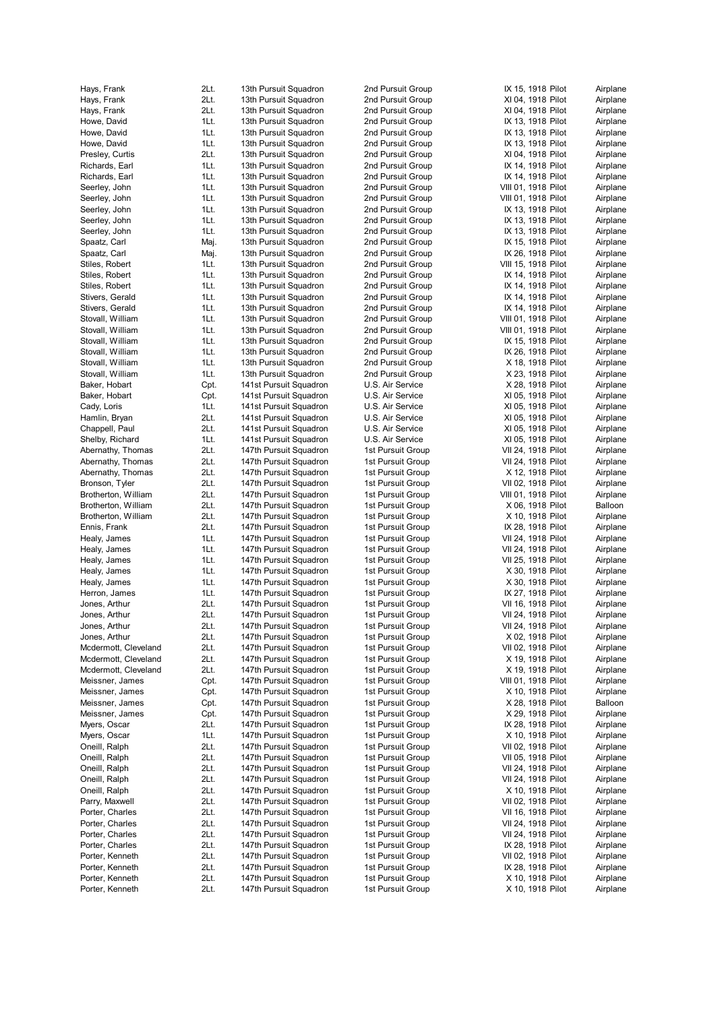| Hays, Frank                          | 2Lt.         | 13th Pursuit Squadron                            | 2nd Pursuit Group                      | IX 15, 1918 Pilot                        | Airplane             |
|--------------------------------------|--------------|--------------------------------------------------|----------------------------------------|------------------------------------------|----------------------|
| Hays, Frank                          | 2Lt.         | 13th Pursuit Squadron                            | 2nd Pursuit Group                      | XI 04, 1918 Pilot                        | Airplane             |
| Hays, Frank                          | 2Lt.         | 13th Pursuit Squadron                            | 2nd Pursuit Group                      | XI 04, 1918 Pilot                        | Airplane             |
| Howe, David                          | 1Lt.         | 13th Pursuit Squadron                            | 2nd Pursuit Group                      | IX 13, 1918 Pilot                        | Airplane             |
| Howe, David<br>Howe, David           | 1Lt.<br>1Lt. | 13th Pursuit Squadron<br>13th Pursuit Squadron   | 2nd Pursuit Group<br>2nd Pursuit Group | IX 13, 1918 Pilot<br>IX 13, 1918 Pilot   | Airplane<br>Airplane |
| Presley, Curtis                      | 2Lt.         | 13th Pursuit Squadron                            | 2nd Pursuit Group                      | XI 04, 1918 Pilot                        | Airplane             |
| Richards, Earl                       | 1Lt.         | 13th Pursuit Squadron                            | 2nd Pursuit Group                      | IX 14, 1918 Pilot                        | Airplane             |
| Richards, Earl                       | 1Lt.         | 13th Pursuit Squadron                            | 2nd Pursuit Group                      | IX 14, 1918 Pilot                        | Airplane             |
| Seerley, John                        | 1Lt.         | 13th Pursuit Squadron                            | 2nd Pursuit Group                      | VIII 01, 1918 Pilot                      | Airplane             |
| Seerley, John                        | 1Lt.         | 13th Pursuit Squadron                            | 2nd Pursuit Group                      | VIII 01, 1918 Pilot                      | Airplane             |
| Seerley, John                        | 1Lt.         | 13th Pursuit Squadron                            | 2nd Pursuit Group                      | IX 13, 1918 Pilot                        | Airplane             |
| Seerley, John                        | 1Lt.         | 13th Pursuit Squadron                            | 2nd Pursuit Group                      | IX 13, 1918 Pilot                        | Airplane             |
| Seerley, John                        | 1Lt.         | 13th Pursuit Squadron                            | 2nd Pursuit Group                      | IX 13, 1918 Pilot                        | Airplane             |
| Spaatz, Carl                         | Maj.         | 13th Pursuit Squadron                            | 2nd Pursuit Group                      | IX 15, 1918 Pilot                        | Airplane             |
| Spaatz, Carl                         | Maj.         | 13th Pursuit Squadron                            | 2nd Pursuit Group                      | IX 26, 1918 Pilot                        | Airplane             |
| Stiles, Robert<br>Stiles, Robert     | 1Lt.<br>1Lt. | 13th Pursuit Squadron<br>13th Pursuit Squadron   | 2nd Pursuit Group<br>2nd Pursuit Group | VIII 15, 1918 Pilot<br>IX 14, 1918 Pilot | Airplane<br>Airplane |
| Stiles, Robert                       | 1Lt.         | 13th Pursuit Squadron                            | 2nd Pursuit Group                      | IX 14, 1918 Pilot                        | Airplane             |
| Stivers, Gerald                      | 1Lt.         | 13th Pursuit Squadron                            | 2nd Pursuit Group                      | IX 14, 1918 Pilot                        | Airplane             |
| Stivers, Gerald                      | 1Lt.         | 13th Pursuit Squadron                            | 2nd Pursuit Group                      | IX 14, 1918 Pilot                        | Airplane             |
| Stovall, William                     | 1Lt.         | 13th Pursuit Squadron                            | 2nd Pursuit Group                      | VIII 01, 1918 Pilot                      | Airplane             |
| Stovall, William                     | 1Lt.         | 13th Pursuit Squadron                            | 2nd Pursuit Group                      | VIII 01, 1918 Pilot                      | Airplane             |
| Stovall, William                     | 1Lt.         | 13th Pursuit Squadron                            | 2nd Pursuit Group                      | IX 15, 1918 Pilot                        | Airplane             |
| Stovall, William                     | 1Lt.         | 13th Pursuit Squadron                            | 2nd Pursuit Group                      | IX 26, 1918 Pilot                        | Airplane             |
| Stovall, William                     | 1Lt.         | 13th Pursuit Squadron                            | 2nd Pursuit Group                      | X 18, 1918 Pilot                         | Airplane             |
| Stovall, William                     | 1Lt.         | 13th Pursuit Squadron                            | 2nd Pursuit Group                      | X 23, 1918 Pilot                         | Airplane             |
| Baker, Hobart                        | Cpt.         | 141st Pursuit Squadron                           | U.S. Air Service                       | X 28, 1918 Pilot                         | Airplane             |
| Baker, Hobart                        | Cpt.         | 141st Pursuit Squadron                           | U.S. Air Service                       | XI 05, 1918 Pilot                        | Airplane             |
| Cady, Loris                          | 1Lt.         | 141st Pursuit Squadron                           | U.S. Air Service                       | XI 05, 1918 Pilot                        | Airplane             |
| Hamlin, Bryan                        | 2Lt.         | 141st Pursuit Squadron                           | U.S. Air Service                       | XI 05, 1918 Pilot                        | Airplane             |
| Chappell, Paul                       | 2Lt.<br>1Lt. | 141st Pursuit Squadron                           | U.S. Air Service                       | XI 05, 1918 Pilot                        | Airplane             |
| Shelby, Richard<br>Abernathy, Thomas | 2Lt.         | 141st Pursuit Squadron<br>147th Pursuit Squadron | U.S. Air Service<br>1st Pursuit Group  | XI 05, 1918 Pilot<br>VII 24, 1918 Pilot  | Airplane<br>Airplane |
| Abernathy, Thomas                    | 2Lt.         | 147th Pursuit Squadron                           | 1st Pursuit Group                      | VII 24, 1918 Pilot                       | Airplane             |
| Abernathy, Thomas                    | 2Lt.         | 147th Pursuit Squadron                           | 1st Pursuit Group                      | X 12, 1918 Pilot                         | Airplane             |
| Bronson, Tyler                       | 2Lt.         | 147th Pursuit Squadron                           | 1st Pursuit Group                      | VII 02, 1918 Pilot                       | Airplane             |
| Brotherton, William                  | 2Lt.         | 147th Pursuit Squadron                           | 1st Pursuit Group                      | VIII 01, 1918 Pilot                      | Airplane             |
| Brotherton, William                  | 2Lt.         | 147th Pursuit Squadron                           | 1st Pursuit Group                      | X 06, 1918 Pilot                         | Balloon              |
| Brotherton, William                  | 2Lt.         | 147th Pursuit Squadron                           | 1st Pursuit Group                      | X 10, 1918 Pilot                         | Airplane             |
| Ennis, Frank                         | 2Lt.         | 147th Pursuit Squadron                           | 1st Pursuit Group                      | IX 28, 1918 Pilot                        | Airplane             |
| Healy, James                         | 1Lt.         | 147th Pursuit Squadron                           | 1st Pursuit Group                      | VII 24, 1918 Pilot                       | Airplane             |
| Healy, James                         | 1Lt.         | 147th Pursuit Squadron                           | 1st Pursuit Group                      | VII 24, 1918 Pilot                       | Airplane             |
| Healy, James                         | 1Lt.         | 147th Pursuit Squadron                           | 1st Pursuit Group                      | VII 25, 1918 Pilot                       | Airplane             |
| Healy, James                         | 1Lt.         | 147th Pursuit Squadron                           | 1st Pursuit Group                      | X 30, 1918 Pilot                         | Airplane             |
| Healy, James                         | 1Lt.         | 147th Pursuit Squadron                           | 1st Pursuit Group                      | X 30, 1918 Pilot                         | Airplane             |
| Herron, James                        | 1Lt.         | 147th Pursuit Squadron                           | 1st Pursuit Group                      | IX 27, 1918 Pilot<br>VII 16, 1918 Pilot  | Airplane             |
| Jones, Arthur<br>Jones, Arthur       | 2Lt.<br>2Lt. | 147th Pursuit Squadron<br>147th Pursuit Squadron | 1st Pursuit Group<br>1st Pursuit Group | VII 24, 1918 Pilot                       | Airplane<br>Airplane |
| Jones, Arthur                        | 2Lt.         | 147th Pursuit Squadron                           | 1st Pursuit Group                      | VII 24, 1918 Pilot                       |                      |
| Jones, Arthur                        | 2Lt.         | 147th Pursuit Squadron                           | 1st Pursuit Group                      | X 02, 1918 Pilot                         | Airplane<br>Airplane |
| Mcdermott, Cleveland                 | 2Lt.         | 147th Pursuit Squadron                           | 1st Pursuit Group                      | VII 02, 1918 Pilot                       | Airplane             |
| Mcdermott, Cleveland                 | 2Lt.         | 147th Pursuit Squadron                           | 1st Pursuit Group                      | X 19, 1918 Pilot                         | Airplane             |
| Mcdermott, Cleveland                 | 2Lt.         | 147th Pursuit Squadron                           | 1st Pursuit Group                      | X 19, 1918 Pilot                         | Airplane             |
| Meissner, James                      | Cpt.         | 147th Pursuit Squadron                           | 1st Pursuit Group                      | VIII 01, 1918 Pilot                      | Airplane             |
| Meissner, James                      | Cpt.         | 147th Pursuit Squadron                           | 1st Pursuit Group                      | X 10, 1918 Pilot                         | Airplane             |
| Meissner, James                      | Cpt.         | 147th Pursuit Squadron                           | 1st Pursuit Group                      | X 28, 1918 Pilot                         | Balloon              |
| Meissner, James                      | Cpt.         | 147th Pursuit Squadron                           | 1st Pursuit Group                      | X 29, 1918 Pilot                         | Airplane             |
| Myers, Oscar                         | 2Lt.         | 147th Pursuit Squadron                           | 1st Pursuit Group                      | IX 28, 1918 Pilot                        | Airplane             |
| Myers, Oscar                         | 1Lt.         | 147th Pursuit Squadron                           | 1st Pursuit Group                      | X 10, 1918 Pilot                         | Airplane             |
| Oneill, Ralph                        | 2Lt.         | 147th Pursuit Squadron                           | 1st Pursuit Group                      | VII 02, 1918 Pilot                       | Airplane             |
| Oneill, Ralph<br>Oneill, Ralph       | 2Lt.<br>2Lt. | 147th Pursuit Squadron<br>147th Pursuit Squadron | 1st Pursuit Group<br>1st Pursuit Group | VII 05, 1918 Pilot<br>VII 24, 1918 Pilot | Airplane<br>Airplane |
| Oneill, Ralph                        | 2Lt.         | 147th Pursuit Squadron                           | 1st Pursuit Group                      | VII 24, 1918 Pilot                       | Airplane             |
| Oneill, Ralph                        | 2Lt.         | 147th Pursuit Squadron                           | 1st Pursuit Group                      | X 10, 1918 Pilot                         | Airplane             |
| Parry, Maxwell                       | 2Lt.         | 147th Pursuit Squadron                           | 1st Pursuit Group                      | VII 02, 1918 Pilot                       | Airplane             |
| Porter, Charles                      | 2Lt.         | 147th Pursuit Squadron                           | 1st Pursuit Group                      | VII 16, 1918 Pilot                       | Airplane             |
| Porter, Charles                      | 2Lt.         | 147th Pursuit Squadron                           | 1st Pursuit Group                      | VII 24, 1918 Pilot                       | Airplane             |
| Porter, Charles                      | 2Lt.         | 147th Pursuit Squadron                           | 1st Pursuit Group                      | VII 24, 1918 Pilot                       | Airplane             |
| Porter, Charles                      | 2Lt.         | 147th Pursuit Squadron                           | 1st Pursuit Group                      | IX 28, 1918 Pilot                        | Airplane             |
| Porter, Kenneth                      | 2Lt.         | 147th Pursuit Squadron                           | 1st Pursuit Group                      | VII 02, 1918 Pilot                       | Airplane             |
| Porter, Kenneth                      | 2Lt.         | 147th Pursuit Squadron                           | 1st Pursuit Group                      | IX 28, 1918 Pilot                        | Airplane             |
| Porter, Kenneth                      | 2Lt.         | 147th Pursuit Squadron                           | 1st Pursuit Group                      | X 10, 1918 Pilot                         | Airplane             |
| Porter, Kenneth                      | 2Lt.         | 147th Pursuit Squadron                           | 1st Pursuit Group                      | X 10, 1918 Pilot                         | Airplane             |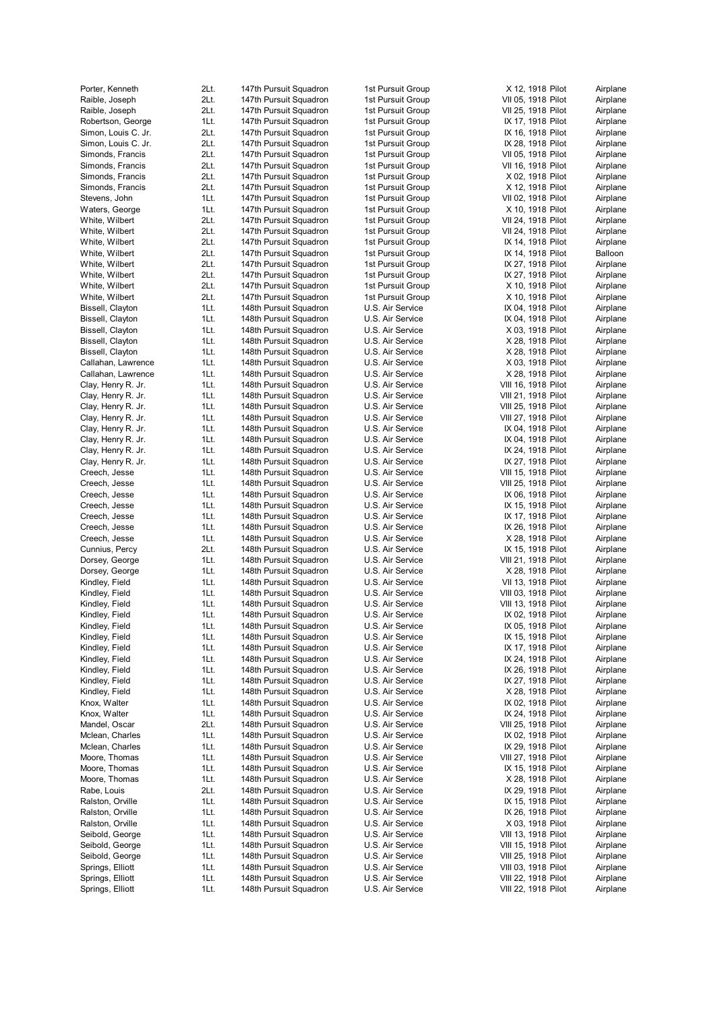| Porter, Kenneth                         | 2Lt.         | 147th Pursuit Squadron                           | 1st Pursuit Group                      | X 12, 1918 Pilot                           | Airplane             |
|-----------------------------------------|--------------|--------------------------------------------------|----------------------------------------|--------------------------------------------|----------------------|
| Raible, Joseph                          | 2Lt.         | 147th Pursuit Squadron                           | 1st Pursuit Group                      | VII 05, 1918 Pilot                         | Airplane             |
| Raible, Joseph                          | 2Lt.         | 147th Pursuit Squadron                           | 1st Pursuit Group                      | VII 25, 1918 Pilot                         | Airplane             |
| Robertson, George                       | 1Lt.         | 147th Pursuit Squadron                           | 1st Pursuit Group                      | IX 17, 1918 Pilot                          | Airplane             |
| Simon, Louis C. Jr.                     | 2Lt.         | 147th Pursuit Squadron                           | 1st Pursuit Group                      | IX 16, 1918 Pilot                          | Airplane             |
| Simon, Louis C. Jr.<br>Simonds, Francis | 2Lt.<br>2Lt. | 147th Pursuit Squadron<br>147th Pursuit Squadron | 1st Pursuit Group<br>1st Pursuit Group | IX 28, 1918 Pilot<br>VII 05, 1918 Pilot    | Airplane<br>Airplane |
| Simonds, Francis                        | 2Lt.         | 147th Pursuit Squadron                           | 1st Pursuit Group                      | VII 16, 1918 Pilot                         | Airplane             |
| Simonds, Francis                        | 2Lt.         | 147th Pursuit Squadron                           | 1st Pursuit Group                      | X 02, 1918 Pilot                           | Airplane             |
| Simonds, Francis                        | 2Lt.         | 147th Pursuit Squadron                           | 1st Pursuit Group                      | X 12, 1918 Pilot                           | Airplane             |
| Stevens, John                           | 1Lt.         | 147th Pursuit Squadron                           | 1st Pursuit Group                      | VII 02, 1918 Pilot                         | Airplane             |
| Waters, George                          | 1Lt.         | 147th Pursuit Squadron                           | 1st Pursuit Group                      | X 10, 1918 Pilot                           | Airplane             |
| White, Wilbert                          | 2Lt.         | 147th Pursuit Squadron                           | 1st Pursuit Group                      | VII 24, 1918 Pilot                         | Airplane             |
| White, Wilbert                          | 2Lt.         | 147th Pursuit Squadron                           | 1st Pursuit Group                      | VII 24, 1918 Pilot                         | Airplane             |
| White, Wilbert                          | 2Lt.         | 147th Pursuit Squadron                           | 1st Pursuit Group                      | IX 14, 1918 Pilot                          | Airplane             |
| White, Wilbert                          | 2Lt.         | 147th Pursuit Squadron                           | 1st Pursuit Group                      | IX 14, 1918 Pilot                          | Balloon              |
| White, Wilbert                          | 2Lt.         | 147th Pursuit Squadron                           | 1st Pursuit Group                      | IX 27, 1918 Pilot                          | Airplane             |
| White, Wilbert                          | 2Lt.         | 147th Pursuit Squadron                           | 1st Pursuit Group                      | IX 27, 1918 Pilot                          | Airplane             |
| White, Wilbert<br>White, Wilbert        | 2Lt.<br>2Lt. | 147th Pursuit Squadron<br>147th Pursuit Squadron | 1st Pursuit Group<br>1st Pursuit Group | X 10, 1918 Pilot<br>X 10, 1918 Pilot       | Airplane<br>Airplane |
| Bissell, Clayton                        | 1Lt.         | 148th Pursuit Squadron                           | U.S. Air Service                       | IX 04, 1918 Pilot                          | Airplane             |
| Bissell, Clayton                        | 1Lt.         | 148th Pursuit Squadron                           | U.S. Air Service                       | IX 04, 1918 Pilot                          | Airplane             |
| Bissell, Clayton                        | 1Lt.         | 148th Pursuit Squadron                           | U.S. Air Service                       | X 03, 1918 Pilot                           | Airplane             |
| Bissell, Clayton                        | 1Lt.         | 148th Pursuit Squadron                           | U.S. Air Service                       | X 28, 1918 Pilot                           | Airplane             |
| Bissell, Clayton                        | 1Lt.         | 148th Pursuit Squadron                           | U.S. Air Service                       | X 28, 1918 Pilot                           | Airplane             |
| Callahan, Lawrence                      | 1Lt.         | 148th Pursuit Squadron                           | U.S. Air Service                       | X 03, 1918 Pilot                           | Airplane             |
| Callahan, Lawrence                      | 1Lt.         | 148th Pursuit Squadron                           | U.S. Air Service                       | X 28, 1918 Pilot                           | Airplane             |
| Clay, Henry R. Jr.                      | 1Lt.         | 148th Pursuit Squadron                           | U.S. Air Service                       | VIII 16, 1918 Pilot                        | Airplane             |
| Clay, Henry R. Jr.                      | 1Lt.         | 148th Pursuit Squadron                           | U.S. Air Service                       | VIII 21, 1918 Pilot                        | Airplane             |
| Clay, Henry R. Jr.                      | 1Lt.         | 148th Pursuit Squadron                           | U.S. Air Service                       | VIII 25, 1918 Pilot                        | Airplane             |
| Clay, Henry R. Jr.                      | 1Lt.         | 148th Pursuit Squadron                           | U.S. Air Service                       | VIII 27, 1918 Pilot                        | Airplane             |
| Clay, Henry R. Jr.                      | 1Lt.         | 148th Pursuit Squadron                           | U.S. Air Service                       | IX 04, 1918 Pilot                          | Airplane             |
| Clay, Henry R. Jr.                      | 1Lt.         | 148th Pursuit Squadron                           | U.S. Air Service                       | IX 04, 1918 Pilot                          | Airplane             |
| Clay, Henry R. Jr.                      | 1Lt.         | 148th Pursuit Squadron                           | U.S. Air Service                       | IX 24, 1918 Pilot                          | Airplane             |
| Clay, Henry R. Jr.                      | 1Lt.         | 148th Pursuit Squadron                           | U.S. Air Service                       | IX 27, 1918 Pilot                          | Airplane             |
| Creech, Jesse                           | 1Lt.<br>1Lt. | 148th Pursuit Squadron                           | U.S. Air Service                       | VIII 15, 1918 Pilot                        | Airplane             |
| Creech, Jesse<br>Creech, Jesse          | 1Lt.         | 148th Pursuit Squadron<br>148th Pursuit Squadron | U.S. Air Service<br>U.S. Air Service   | VIII 25, 1918 Pilot<br>IX 06, 1918 Pilot   | Airplane             |
| Creech, Jesse                           | 1Lt.         | 148th Pursuit Squadron                           | U.S. Air Service                       | IX 15, 1918 Pilot                          | Airplane<br>Airplane |
| Creech, Jesse                           | 1Lt.         | 148th Pursuit Squadron                           | U.S. Air Service                       | IX 17, 1918 Pilot                          | Airplane             |
| Creech, Jesse                           | 1Lt.         | 148th Pursuit Squadron                           | U.S. Air Service                       | IX 26, 1918 Pilot                          | Airplane             |
| Creech, Jesse                           | 1Lt.         | 148th Pursuit Squadron                           | U.S. Air Service                       | X 28, 1918 Pilot                           | Airplane             |
| Cunnius, Percy                          | 2Lt.         | 148th Pursuit Squadron                           | U.S. Air Service                       | IX 15, 1918 Pilot                          | Airplane             |
| Dorsey, George                          | 1Lt.         | 148th Pursuit Squadron                           | U.S. Air Service                       | VIII 21, 1918 Pilot                        | Airplane             |
| Dorsey, George                          | 1Lt.         | 148th Pursuit Squadron                           | U.S. Air Service                       | X 28, 1918 Pilot                           | Airplane             |
| Kindley, Field                          | 1Lt.         | 148th Pursuit Squadron                           | U.S. Air Service                       | VII 13, 1918 Pilot                         | Airplane             |
| Kindley, Field                          | 1Lt.         | 148th Pursuit Squadron                           | U.S. Air Service                       | VIII 03, 1918 Pilot                        | Airplane             |
| Kindley, Field                          | 1Lt.         | 148th Pursuit Squadron                           | U.S. Air Service                       | VIII 13, 1918 Pilot                        | Airplane             |
| Kindley, Field                          | 1Lt.         | 148th Pursuit Squadron                           | U.S. Air Service                       | IX 02, 1918 Pilot                          | Airplane             |
| Kindley, Field                          | 1Lt.         | 148th Pursuit Squadron                           | U.S. Air Service                       | IX 05, 1918 Pilot                          | Airplane             |
| Kindley, Field                          | 1Lt.         | 148th Pursuit Squadron                           | U.S. Air Service                       | IX 15, 1918 Pilot                          | Airplane             |
| Kindley, Field<br>Kindley, Field        | 1Lt.<br>1Lt. | 148th Pursuit Squadron<br>148th Pursuit Squadron | U.S. Air Service<br>U.S. Air Service   | IX 17, 1918 Pilot<br>IX 24, 1918 Pilot     | Airplane<br>Airplane |
| Kindley, Field                          | 1Lt.         | 148th Pursuit Squadron                           | U.S. Air Service                       | IX 26, 1918 Pilot                          | Airplane             |
| Kindley, Field                          | 1Lt.         | 148th Pursuit Squadron                           | U.S. Air Service                       | IX 27, 1918 Pilot                          | Airplane             |
| Kindley, Field                          | 1Lt.         | 148th Pursuit Squadron                           | U.S. Air Service                       | X 28, 1918 Pilot                           | Airplane             |
| Knox, Walter                            | 1Lt.         | 148th Pursuit Squadron                           | U.S. Air Service                       | IX 02, 1918 Pilot                          | Airplane             |
| Knox, Walter                            | 1Lt.         | 148th Pursuit Squadron                           | U.S. Air Service                       | IX 24, 1918 Pilot                          | Airplane             |
| Mandel, Oscar                           | 2Lt.         | 148th Pursuit Squadron                           | U.S. Air Service                       | VIII 25, 1918 Pilot                        | Airplane             |
| Mclean, Charles                         | 1Lt.         | 148th Pursuit Squadron                           | U.S. Air Service                       | IX 02, 1918 Pilot                          | Airplane             |
| Mclean, Charles                         | 1Lt.         | 148th Pursuit Squadron                           | U.S. Air Service                       | IX 29, 1918 Pilot                          | Airplane             |
| Moore, Thomas                           | 1Lt.         | 148th Pursuit Squadron                           | U.S. Air Service                       | VIII 27, 1918 Pilot                        | Airplane             |
| Moore, Thomas                           | 1Lt.         | 148th Pursuit Squadron                           | U.S. Air Service                       | IX 15, 1918 Pilot                          | Airplane             |
| Moore, Thomas                           | 1Lt.         | 148th Pursuit Squadron                           | U.S. Air Service                       | X 28, 1918 Pilot                           | Airplane             |
| Rabe, Louis                             | 2Lt.         | 148th Pursuit Squadron                           | U.S. Air Service                       | IX 29, 1918 Pilot                          | Airplane             |
| Ralston, Orville                        | 1Lt.         | 148th Pursuit Squadron                           | U.S. Air Service                       | IX 15, 1918 Pilot                          | Airplane             |
| Ralston, Orville                        | 1Lt.         | 148th Pursuit Squadron                           | U.S. Air Service                       | IX 26, 1918 Pilot                          | Airplane             |
| Ralston, Orville<br>Seibold, George     | 1Lt.<br>1Lt. | 148th Pursuit Squadron<br>148th Pursuit Squadron | U.S. Air Service<br>U.S. Air Service   | X 03, 1918 Pilot                           | Airplane             |
| Seibold, George                         | 1Lt.         | 148th Pursuit Squadron                           | U.S. Air Service                       | VIII 13, 1918 Pilot<br>VIII 15, 1918 Pilot | Airplane<br>Airplane |
| Seibold, George                         | 1Lt.         | 148th Pursuit Squadron                           | U.S. Air Service                       | VIII 25, 1918 Pilot                        | Airplane             |
| Springs, Elliott                        | 1Lt.         | 148th Pursuit Squadron                           | U.S. Air Service                       | VIII 03, 1918 Pilot                        | Airplane             |
| Springs, Elliott                        | 1Lt.         | 148th Pursuit Squadron                           | U.S. Air Service                       | VIII 22, 1918 Pilot                        | Airplane             |
| Springs, Elliott                        | 1Lt.         | 148th Pursuit Squadron                           | U.S. Air Service                       | VIII 22, 1918 Pilot                        | Airplane             |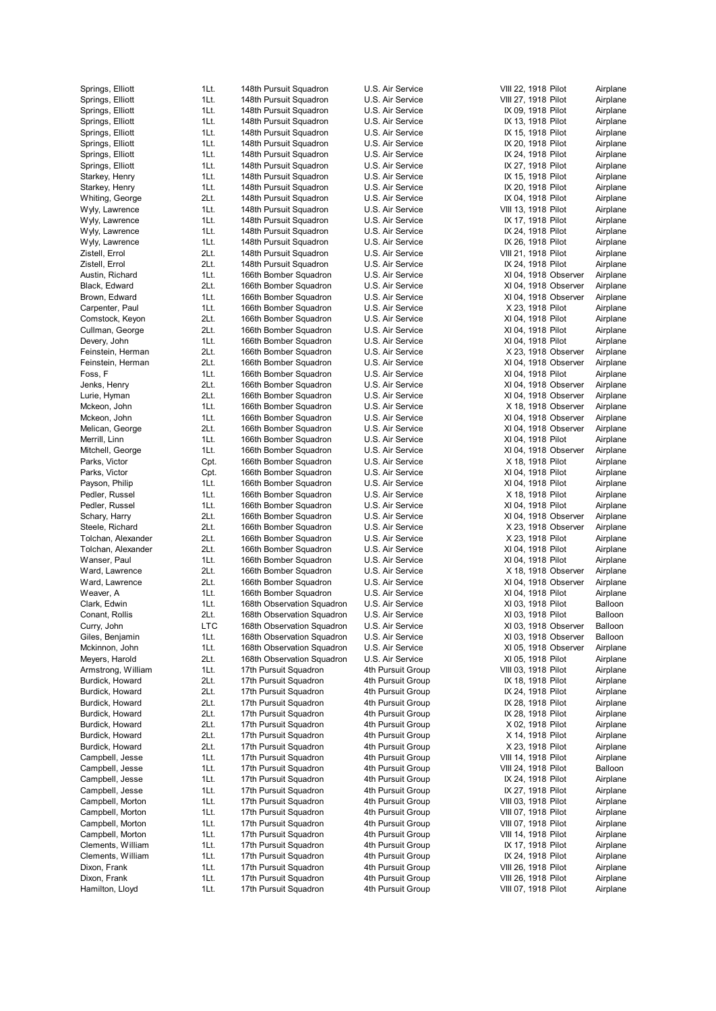| Springs, Elliott   | 1Lt.       | 148th Pursuit Squadron     | U.S. Air Service  | VIII 22, 1918 Pilot  | Airplane |
|--------------------|------------|----------------------------|-------------------|----------------------|----------|
| Springs, Elliott   | 1Lt.       | 148th Pursuit Squadron     | U.S. Air Service  | VIII 27, 1918 Pilot  | Airplane |
| Springs, Elliott   | 1Lt.       | 148th Pursuit Squadron     | U.S. Air Service  | IX 09, 1918 Pilot    | Airplane |
| Springs, Elliott   | 1Lt.       | 148th Pursuit Squadron     | U.S. Air Service  | IX 13, 1918 Pilot    | Airplane |
|                    | 1Lt.       | 148th Pursuit Squadron     | U.S. Air Service  | IX 15, 1918 Pilot    | Airplane |
| Springs, Elliott   |            |                            |                   |                      |          |
| Springs, Elliott   | 1Lt.       | 148th Pursuit Squadron     | U.S. Air Service  | IX 20, 1918 Pilot    | Airplane |
| Springs, Elliott   | 1Lt.       | 148th Pursuit Squadron     | U.S. Air Service  | IX 24, 1918 Pilot    | Airplane |
| Springs, Elliott   | 1Lt.       | 148th Pursuit Squadron     | U.S. Air Service  | IX 27, 1918 Pilot    | Airplane |
| Starkey, Henry     | 1Lt.       | 148th Pursuit Squadron     | U.S. Air Service  | IX 15, 1918 Pilot    | Airplane |
| Starkey, Henry     | 1Lt.       | 148th Pursuit Squadron     | U.S. Air Service  | IX 20, 1918 Pilot    | Airplane |
| Whiting, George    | 2Lt.       | 148th Pursuit Squadron     | U.S. Air Service  | IX 04, 1918 Pilot    | Airplane |
| Wyly, Lawrence     | 1Lt.       | 148th Pursuit Squadron     | U.S. Air Service  | VIII 13, 1918 Pilot  | Airplane |
| Wyly, Lawrence     | 1Lt.       | 148th Pursuit Squadron     | U.S. Air Service  | IX 17, 1918 Pilot    | Airplane |
|                    |            |                            |                   |                      |          |
| Wyly, Lawrence     | 1Lt.       | 148th Pursuit Squadron     | U.S. Air Service  | IX 24, 1918 Pilot    | Airplane |
| Wyly, Lawrence     | 1Lt.       | 148th Pursuit Squadron     | U.S. Air Service  | IX 26, 1918 Pilot    | Airplane |
| Zistell, Errol     | 2Lt.       | 148th Pursuit Squadron     | U.S. Air Service  | VIII 21, 1918 Pilot  | Airplane |
| Zistell, Errol     | 2Lt.       | 148th Pursuit Squadron     | U.S. Air Service  | IX 24, 1918 Pilot    | Airplane |
| Austin, Richard    | 1Lt.       | 166th Bomber Squadron      | U.S. Air Service  | XI 04, 1918 Observer | Airplane |
| Black, Edward      | 2Lt.       | 166th Bomber Squadron      | U.S. Air Service  | XI 04, 1918 Observer | Airplane |
| Brown, Edward      | 1Lt.       | 166th Bomber Squadron      | U.S. Air Service  | XI 04, 1918 Observer | Airplane |
| Carpenter, Paul    | 1Lt.       | 166th Bomber Squadron      | U.S. Air Service  | X 23, 1918 Pilot     | Airplane |
|                    |            |                            |                   |                      |          |
| Comstock, Keyon    | 2Lt.       | 166th Bomber Squadron      | U.S. Air Service  | XI 04, 1918 Pilot    | Airplane |
| Cullman, George    | 2Lt.       | 166th Bomber Squadron      | U.S. Air Service  | XI 04, 1918 Pilot    | Airplane |
| Devery, John       | 1Lt.       | 166th Bomber Squadron      | U.S. Air Service  | XI 04, 1918 Pilot    | Airplane |
| Feinstein, Herman  | 2Lt.       | 166th Bomber Squadron      | U.S. Air Service  | X 23, 1918 Observer  | Airplane |
| Feinstein, Herman  | 2Lt.       | 166th Bomber Squadron      | U.S. Air Service  | XI 04, 1918 Observer | Airplane |
| Foss, F            | 1Lt.       | 166th Bomber Squadron      | U.S. Air Service  | XI 04, 1918 Pilot    | Airplane |
| Jenks, Henry       | 2Lt.       | 166th Bomber Squadron      | U.S. Air Service  | XI 04, 1918 Observer | Airplane |
| Lurie, Hyman       |            |                            | U.S. Air Service  | XI 04, 1918 Observer |          |
|                    | 2Lt.       | 166th Bomber Squadron      |                   |                      | Airplane |
| Mckeon, John       | 1Lt.       | 166th Bomber Squadron      | U.S. Air Service  | X 18, 1918 Observer  | Airplane |
| Mckeon, John       | 1Lt.       | 166th Bomber Squadron      | U.S. Air Service  | XI 04, 1918 Observer | Airplane |
| Melican, George    | 2Lt.       | 166th Bomber Squadron      | U.S. Air Service  | XI 04, 1918 Observer | Airplane |
| Merrill, Linn      | 1Lt.       | 166th Bomber Squadron      | U.S. Air Service  | XI 04, 1918 Pilot    | Airplane |
| Mitchell, George   | 1Lt.       | 166th Bomber Squadron      | U.S. Air Service  | XI 04, 1918 Observer | Airplane |
| Parks, Victor      | Cpt.       | 166th Bomber Squadron      | U.S. Air Service  | X 18, 1918 Pilot     | Airplane |
| Parks, Victor      | Cpt.       | 166th Bomber Squadron      | U.S. Air Service  | XI 04, 1918 Pilot    | Airplane |
|                    |            |                            |                   |                      |          |
| Payson, Philip     | 1Lt.       | 166th Bomber Squadron      | U.S. Air Service  | XI 04, 1918 Pilot    | Airplane |
| Pedler, Russel     | 1Lt.       | 166th Bomber Squadron      | U.S. Air Service  | X 18, 1918 Pilot     | Airplane |
| Pedler, Russel     | 1Lt.       | 166th Bomber Squadron      | U.S. Air Service  | XI 04, 1918 Pilot    | Airplane |
| Schary, Harry      | 2Lt.       | 166th Bomber Squadron      | U.S. Air Service  | XI 04, 1918 Observer | Airplane |
| Steele, Richard    | 2Lt.       | 166th Bomber Squadron      | U.S. Air Service  | X 23, 1918 Observer  | Airplane |
| Tolchan, Alexander | 2Lt.       | 166th Bomber Squadron      | U.S. Air Service  | X 23, 1918 Pilot     | Airplane |
| Tolchan, Alexander | 2Lt.       | 166th Bomber Squadron      | U.S. Air Service  | XI 04, 1918 Pilot    | Airplane |
| Wanser, Paul       | 1Lt.       | 166th Bomber Squadron      | U.S. Air Service  | XI 04, 1918 Pilot    | Airplane |
|                    |            |                            |                   |                      |          |
| Ward, Lawrence     | 2Lt.       | 166th Bomber Squadron      | U.S. Air Service  | X 18, 1918 Observer  | Airplane |
| Ward, Lawrence     | 2Lt.       | 166th Bomber Squadron      | U.S. Air Service  | XI 04, 1918 Observer | Airplane |
| Weaver, A          | 1Lt.       | 166th Bomber Squadron      | U.S. Air Service  | XI 04, 1918 Pilot    | Airplane |
| Clark, Edwin       | 1Lt.       | 168th Observation Squadron | U.S. Air Service  | XI 03, 1918 Pilot    | Balloon  |
| Conant, Rollis     | 2Lt.       | 168th Observation Squadron | U.S. Air Service  | XI 03, 1918 Pilot    | Balloon  |
| Curry, John        | <b>LTC</b> | 168th Observation Squadron | U.S. Air Service  | XI 03, 1918 Observer | Balloon  |
| Giles, Benjamin    | 1Lt.       | 168th Observation Squadron | U.S. Air Service  | XI 03, 1918 Observer | Balloon  |
| Mckinnon, John     | 1Lt.       | 168th Observation Squadron | U.S. Air Service  | XI 05, 1918 Observer | Airplane |
|                    |            |                            |                   |                      |          |
| Meyers, Harold     | 2Lt.       | 168th Observation Squadron | U.S. Air Service  | XI 05, 1918 Pilot    | Airplane |
| Armstrong, William | 1Lt.       | 17th Pursuit Squadron      | 4th Pursuit Group | VIII 03, 1918 Pilot  | Airplane |
| Burdick, Howard    | 2Lt.       | 17th Pursuit Squadron      | 4th Pursuit Group | IX 18, 1918 Pilot    | Airplane |
| Burdick, Howard    | 2Lt.       | 17th Pursuit Squadron      | 4th Pursuit Group | IX 24, 1918 Pilot    | Airplane |
| Burdick, Howard    | 2Lt.       | 17th Pursuit Squadron      | 4th Pursuit Group | IX 28, 1918 Pilot    | Airplane |
| Burdick, Howard    | 2Lt.       | 17th Pursuit Squadron      | 4th Pursuit Group | IX 28, 1918 Pilot    | Airplane |
| Burdick, Howard    | 2Lt.       | 17th Pursuit Squadron      | 4th Pursuit Group | X 02, 1918 Pilot     | Airplane |
| Burdick, Howard    | 2Lt.       | 17th Pursuit Squadron      | 4th Pursuit Group |                      | Airplane |
|                    |            |                            |                   | X 14, 1918 Pilot     |          |
| Burdick, Howard    | 2Lt.       | 17th Pursuit Squadron      | 4th Pursuit Group | X 23, 1918 Pilot     | Airplane |
| Campbell, Jesse    | 1Lt.       | 17th Pursuit Squadron      | 4th Pursuit Group | VIII 14, 1918 Pilot  | Airplane |
| Campbell, Jesse    | 1Lt.       | 17th Pursuit Squadron      | 4th Pursuit Group | VIII 24, 1918 Pilot  | Balloon  |
| Campbell, Jesse    | 1Lt.       | 17th Pursuit Squadron      | 4th Pursuit Group | IX 24, 1918 Pilot    | Airplane |
| Campbell, Jesse    | 1Lt.       | 17th Pursuit Squadron      | 4th Pursuit Group | IX 27, 1918 Pilot    | Airplane |
| Campbell, Morton   | 1Lt.       | 17th Pursuit Squadron      | 4th Pursuit Group | VIII 03, 1918 Pilot  | Airplane |
| Campbell, Morton   | 1Lt.       | 17th Pursuit Squadron      | 4th Pursuit Group | VIII 07, 1918 Pilot  | Airplane |
|                    |            |                            |                   |                      |          |
| Campbell, Morton   | 1Lt.       | 17th Pursuit Squadron      | 4th Pursuit Group | VIII 07, 1918 Pilot  | Airplane |
| Campbell, Morton   | 1Lt.       | 17th Pursuit Squadron      | 4th Pursuit Group | VIII 14, 1918 Pilot  | Airplane |
| Clements, William  | 1Lt.       | 17th Pursuit Squadron      | 4th Pursuit Group | IX 17, 1918 Pilot    | Airplane |
| Clements, William  | 1Lt.       | 17th Pursuit Squadron      | 4th Pursuit Group | IX 24, 1918 Pilot    | Airplane |
| Dixon, Frank       | 1Lt.       | 17th Pursuit Squadron      | 4th Pursuit Group | VIII 26, 1918 Pilot  | Airplane |
| Dixon, Frank       | 1Lt.       | 17th Pursuit Squadron      | 4th Pursuit Group | VIII 26, 1918 Pilot  | Airplane |
| Hamilton, Lloyd    | 1Lt.       | 17th Pursuit Squadron      | 4th Pursuit Group | VIII 07, 1918 Pilot  | Airplane |
|                    |            |                            |                   |                      |          |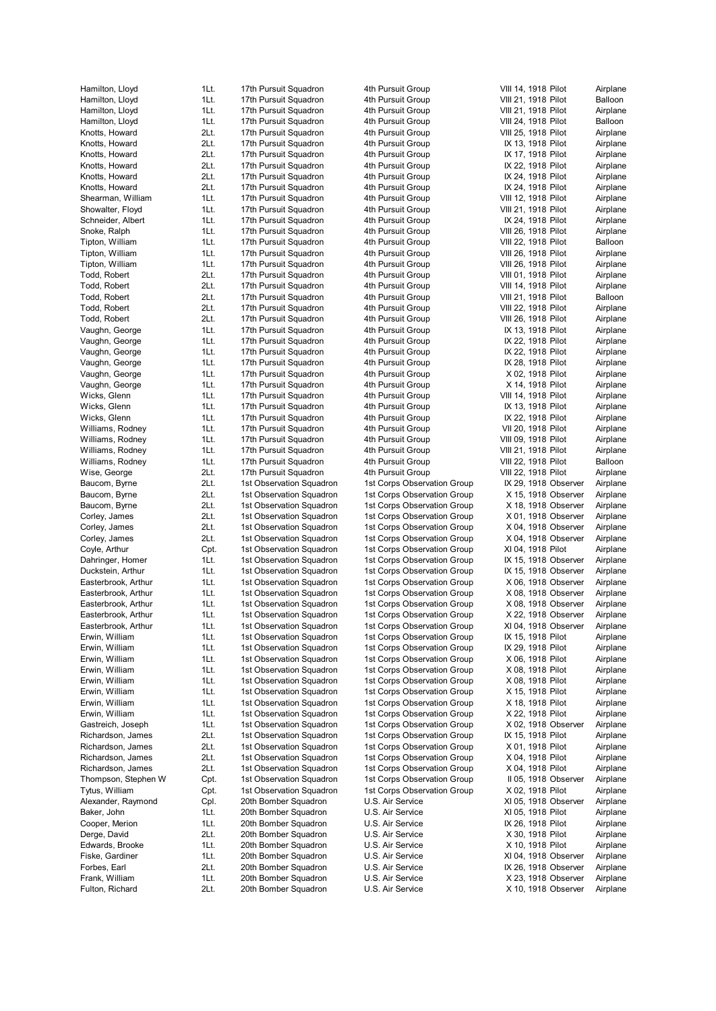|                     | 1Lt. |                          |                             | VIII 14, 1918 Pilot  |          |
|---------------------|------|--------------------------|-----------------------------|----------------------|----------|
| Hamilton, Lloyd     |      | 17th Pursuit Squadron    | 4th Pursuit Group           |                      | Airplane |
| Hamilton, Lloyd     | 1Lt. | 17th Pursuit Squadron    | 4th Pursuit Group           | VIII 21, 1918 Pilot  | Balloon  |
| Hamilton, Lloyd     | 1Lt. | 17th Pursuit Squadron    | 4th Pursuit Group           | VIII 21, 1918 Pilot  | Airplane |
| Hamilton, Lloyd     | 1Lt. | 17th Pursuit Squadron    | 4th Pursuit Group           | VIII 24, 1918 Pilot  | Balloon  |
| Knotts, Howard      | 2Lt. | 17th Pursuit Squadron    | 4th Pursuit Group           | VIII 25, 1918 Pilot  | Airplane |
| Knotts, Howard      | 2Lt. | 17th Pursuit Squadron    | 4th Pursuit Group           | IX 13, 1918 Pilot    | Airplane |
|                     | 2Lt. |                          | 4th Pursuit Group           |                      | Airplane |
| Knotts, Howard      |      | 17th Pursuit Squadron    |                             | IX 17, 1918 Pilot    |          |
| Knotts, Howard      | 2Lt. | 17th Pursuit Squadron    | 4th Pursuit Group           | IX 22, 1918 Pilot    | Airplane |
| Knotts, Howard      | 2Lt. | 17th Pursuit Squadron    | 4th Pursuit Group           | IX 24, 1918 Pilot    | Airplane |
| Knotts, Howard      | 2Lt. | 17th Pursuit Squadron    | 4th Pursuit Group           | IX 24, 1918 Pilot    | Airplane |
| Shearman, William   | 1Lt. | 17th Pursuit Squadron    | 4th Pursuit Group           | VIII 12, 1918 Pilot  | Airplane |
| Showalter, Floyd    | 1Lt. | 17th Pursuit Squadron    | 4th Pursuit Group           | VIII 21, 1918 Pilot  | Airplane |
|                     |      |                          |                             |                      |          |
| Schneider, Albert   | 1Lt. | 17th Pursuit Squadron    | 4th Pursuit Group           | IX 24, 1918 Pilot    | Airplane |
| Snoke, Ralph        | 1Lt. | 17th Pursuit Squadron    | 4th Pursuit Group           | VIII 26, 1918 Pilot  | Airplane |
| Tipton, William     | 1Lt. | 17th Pursuit Squadron    | 4th Pursuit Group           | VIII 22, 1918 Pilot  | Balloon  |
| Tipton, William     | 1Lt. | 17th Pursuit Squadron    | 4th Pursuit Group           | VIII 26, 1918 Pilot  | Airplane |
| Tipton, William     | 1Lt. | 17th Pursuit Squadron    | 4th Pursuit Group           | VIII 26, 1918 Pilot  | Airplane |
| Todd, Robert        | 2Lt. | 17th Pursuit Squadron    | 4th Pursuit Group           | VIII 01, 1918 Pilot  | Airplane |
|                     |      |                          |                             |                      |          |
| Todd, Robert        | 2Lt. | 17th Pursuit Squadron    | 4th Pursuit Group           | VIII 14, 1918 Pilot  | Airplane |
| Todd, Robert        | 2Lt. | 17th Pursuit Squadron    | 4th Pursuit Group           | VIII 21, 1918 Pilot  | Balloon  |
| Todd, Robert        | 2Lt. | 17th Pursuit Squadron    | 4th Pursuit Group           | VIII 22, 1918 Pilot  | Airplane |
| Todd, Robert        | 2Lt. | 17th Pursuit Squadron    | 4th Pursuit Group           | VIII 26, 1918 Pilot  | Airplane |
| Vaughn, George      | 1Lt. | 17th Pursuit Squadron    | 4th Pursuit Group           | IX 13, 1918 Pilot    | Airplane |
|                     |      |                          |                             |                      |          |
| Vaughn, George      | 1Lt. | 17th Pursuit Squadron    | 4th Pursuit Group           | IX 22, 1918 Pilot    | Airplane |
| Vaughn, George      | 1Lt. | 17th Pursuit Squadron    | 4th Pursuit Group           | IX 22, 1918 Pilot    | Airplane |
| Vaughn, George      | 1Lt. | 17th Pursuit Squadron    | 4th Pursuit Group           | IX 28, 1918 Pilot    | Airplane |
| Vaughn, George      | 1Lt. | 17th Pursuit Squadron    | 4th Pursuit Group           | X 02, 1918 Pilot     | Airplane |
| Vaughn, George      | 1Lt. | 17th Pursuit Squadron    | 4th Pursuit Group           | X 14, 1918 Pilot     | Airplane |
| Wicks, Glenn        | 1Lt. | 17th Pursuit Squadron    | 4th Pursuit Group           | VIII 14, 1918 Pilot  | Airplane |
|                     |      |                          |                             |                      |          |
| Wicks, Glenn        | 1Lt. | 17th Pursuit Squadron    | 4th Pursuit Group           | IX 13, 1918 Pilot    | Airplane |
| Wicks, Glenn        | 1Lt. | 17th Pursuit Squadron    | 4th Pursuit Group           | IX 22, 1918 Pilot    | Airplane |
| Williams, Rodney    | 1Lt. | 17th Pursuit Squadron    | 4th Pursuit Group           | VII 20, 1918 Pilot   | Airplane |
| Williams, Rodney    | 1Lt. | 17th Pursuit Squadron    | 4th Pursuit Group           | VIII 09, 1918 Pilot  | Airplane |
| Williams, Rodney    | 1Lt. | 17th Pursuit Squadron    | 4th Pursuit Group           | VIII 21, 1918 Pilot  | Airplane |
| Williams, Rodney    | 1Lt. | 17th Pursuit Squadron    | 4th Pursuit Group           |                      | Balloon  |
|                     |      |                          |                             | VIII 22, 1918 Pilot  |          |
| Wise, George        | 2Lt. | 17th Pursuit Squadron    | 4th Pursuit Group           | VIII 22, 1918 Pilot  | Airplane |
| Baucom, Byrne       | 2Lt. | 1st Observation Squadron | 1st Corps Observation Group | IX 29, 1918 Observer | Airplane |
| Baucom, Byrne       | 2Lt. | 1st Observation Squadron | 1st Corps Observation Group | X 15, 1918 Observer  | Airplane |
| Baucom, Byrne       | 2Lt. | 1st Observation Squadron | 1st Corps Observation Group | X 18, 1918 Observer  | Airplane |
| Corley, James       | 2Lt. | 1st Observation Squadron | 1st Corps Observation Group | X 01, 1918 Observer  | Airplane |
|                     |      |                          |                             |                      |          |
| Corley, James       | 2Lt. | 1st Observation Squadron | 1st Corps Observation Group | X 04, 1918 Observer  | Airplane |
| Corley, James       | 2Lt. | 1st Observation Squadron | 1st Corps Observation Group | X 04, 1918 Observer  | Airplane |
| Coyle, Arthur       | Cpt. | 1st Observation Squadron | 1st Corps Observation Group | XI 04, 1918 Pilot    | Airplane |
| Dahringer, Homer    | 1Lt. | 1st Observation Squadron | 1st Corps Observation Group | IX 15, 1918 Observer | Airplane |
| Duckstein, Arthur   | 1Lt. | 1st Observation Squadron | 1st Corps Observation Group | IX 15, 1918 Observer | Airplane |
| Easterbrook, Arthur | 1Lt. | 1st Observation Squadron | 1st Corps Observation Group | X 06, 1918 Observer  | Airplane |
|                     |      |                          |                             |                      |          |
| Easterbrook, Arthur | 1Lt. | 1st Observation Squadron | 1st Corps Observation Group | X 08, 1918 Observer  | Airplane |
| Easterbrook, Arthur | 1Lt. | 1st Observation Squadron | 1st Corps Observation Group | X 08, 1918 Observer  | Airplane |
| Easterbrook, Arthur | 1Lt. | 1st Observation Squadron | 1st Corps Observation Group | X 22, 1918 Observer  | Airplane |
| Easterbrook, Arthur | 1Lt. | 1st Observation Squadron | 1st Corps Observation Group | XI 04, 1918 Observer | Airplane |
| Erwin, William      | 1Lt. | 1st Observation Squadron | 1st Corps Observation Group | IX 15, 1918 Pilot    | Airplane |
| Erwin, William      | 1Lt. | 1st Observation Squadron | 1st Corps Observation Group | IX 29, 1918 Pilot    | Airplane |
|                     |      |                          |                             |                      |          |
| Erwin, William      | 1Lt. | 1st Observation Squadron | 1st Corps Observation Group | X 06, 1918 Pilot     | Airplane |
| Erwin, William      | 1Lt. | 1st Observation Squadron | 1st Corps Observation Group | X 08, 1918 Pilot     | Airplane |
| Erwin, William      | 1Lt. | 1st Observation Squadron | 1st Corps Observation Group | X 08, 1918 Pilot     | Airplane |
| Erwin, William      | 1Lt. | 1st Observation Squadron | 1st Corps Observation Group | X 15, 1918 Pilot     | Airplane |
| Erwin, William      | 1Lt. | 1st Observation Squadron | 1st Corps Observation Group | X 18, 1918 Pilot     | Airplane |
| Erwin, William      | 1Lt. | 1st Observation Squadron | 1st Corps Observation Group | X 22, 1918 Pilot     | Airplane |
| Gastreich, Joseph   | 1Lt. | 1st Observation Squadron | 1st Corps Observation Group | X 02, 1918 Observer  | Airplane |
|                     |      |                          |                             |                      |          |
| Richardson, James   | 2Lt. | 1st Observation Squadron | 1st Corps Observation Group | IX 15, 1918 Pilot    | Airplane |
| Richardson, James   | 2Lt. | 1st Observation Squadron | 1st Corps Observation Group | X 01, 1918 Pilot     | Airplane |
| Richardson, James   | 2Lt. | 1st Observation Squadron | 1st Corps Observation Group | X 04, 1918 Pilot     | Airplane |
| Richardson, James   | 2Lt. | 1st Observation Squadron | 1st Corps Observation Group | X 04, 1918 Pilot     | Airplane |
| Thompson, Stephen W | Cpt. | 1st Observation Squadron | 1st Corps Observation Group | II 05, 1918 Observer | Airplane |
|                     |      |                          |                             |                      |          |
| Tytus, William      | Cpt. | 1st Observation Squadron | 1st Corps Observation Group | X 02, 1918 Pilot     | Airplane |
| Alexander, Raymond  | Cpl. | 20th Bomber Squadron     | U.S. Air Service            | XI 05, 1918 Observer | Airplane |
| Baker, John         | 1Lt. | 20th Bomber Squadron     | U.S. Air Service            | XI 05, 1918 Pilot    | Airplane |
| Cooper, Merion      | 1Lt. | 20th Bomber Squadron     | U.S. Air Service            | IX 26, 1918 Pilot    | Airplane |
| Derge, David        | 2Lt. | 20th Bomber Squadron     | U.S. Air Service            | X 30, 1918 Pilot     | Airplane |
| Edwards, Brooke     | 1Lt. | 20th Bomber Squadron     | U.S. Air Service            | X 10, 1918 Pilot     | Airplane |
|                     |      |                          |                             |                      |          |
| Fiske, Gardiner     | 1Lt. | 20th Bomber Squadron     | U.S. Air Service            | XI 04, 1918 Observer | Airplane |
| Forbes, Earl        | 2Lt. | 20th Bomber Squadron     | U.S. Air Service            | IX 26, 1918 Observer | Airplane |
| Frank, William      | 1Lt. | 20th Bomber Squadron     | U.S. Air Service            | X 23, 1918 Observer  | Airplane |
| Fulton, Richard     | 2Lt. | 20th Bomber Squadron     | U.S. Air Service            | X 10, 1918 Observer  | Airplane |
|                     |      |                          |                             |                      |          |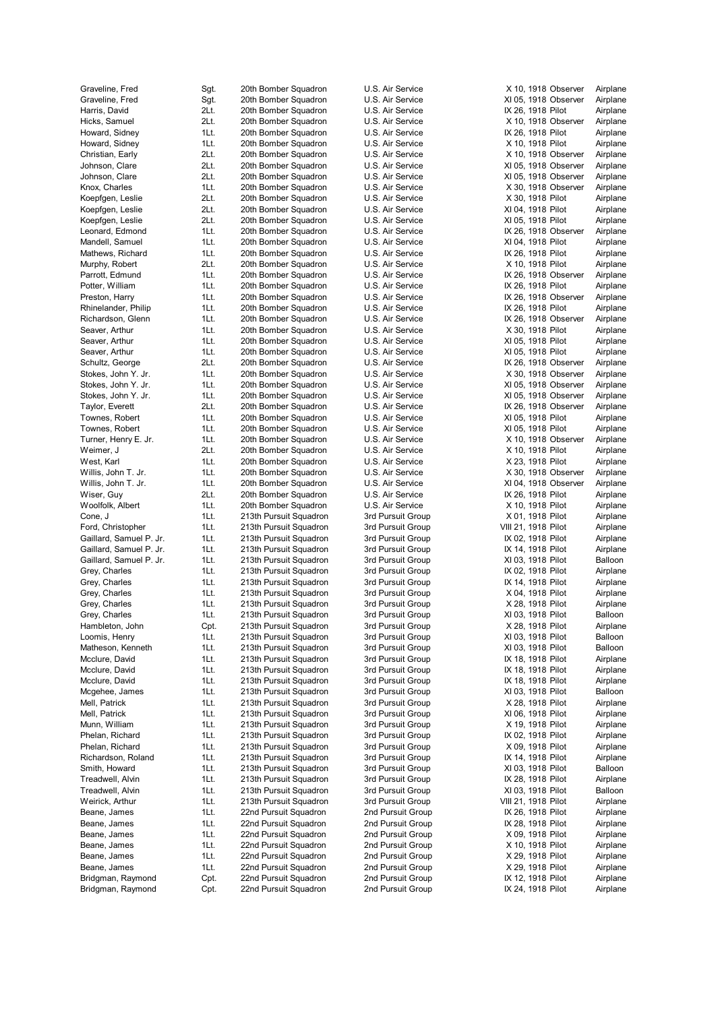| Graveline, Fred                              | Sgt.         | 20tł         |
|----------------------------------------------|--------------|--------------|
| Graveline, Fred                              | Sgt.         | 20tł         |
| Harris, David                                | 2Lt.         | 20th         |
| Hicks, Samuel                                | 2Lt.         | 20th         |
| Howard, Sidney                               | 1Lt.         | 20th         |
| Howard, Sidney                               | 1Lt.         | 20th         |
| Christian, Early                             | 2Lt.         | 20th         |
| Johnson, Clare                               | 2Lt.         | 20th         |
| Johnson, Clare                               | 2Lt.         | 20th         |
| Knox, Charles                                | 1Lt.         | 20th         |
| Koepfgen, Leslie                             | 2Lt.         | 20th         |
| Koepfgen, Leslie                             | 2Lt.         | 20th         |
| Koepfgen, Leslie<br>Leonard, Edmond          | 2Lt.<br>1Lt. | 20th<br>20th |
| Mandell, Samuel                              | 1Lt.         | 20th         |
| Mathews, Richard                             | 1Lt.         | 20th         |
| Murphy, Robert                               | 2Lt.         | 20th         |
| Parrott, Edmund                              | 1Lt.         | 20th         |
| Potter, William                              | 1Lt.         | 20th         |
| Preston, Harry                               | 1Lt.         | 20th         |
| Rhinelander, Philip                          | 1Lt.         | 20th         |
| Richardson, Glenn                            | 1Lt.         | 20th         |
| Seaver, Arthur                               | 1Lt.         | 20th         |
| Seaver, Arthur                               | 1Lt.         | 20th         |
| Seaver, Arthur                               | 1Lt.         | 20th         |
| Schultz, George                              | 2Lt.         | 20th         |
| Stokes, John Y. Jr.                          | 1Lt.         | 20th         |
| Stokes, John Y. Jr.                          | 1Lt.         | 20th         |
| Stokes, John Y. Jr.                          | 1Lt.         | 20th         |
| Taylor, Everett                              | 2Lt.         | 20th         |
| Townes, Robert                               | 1Lt.         | 20th         |
| Townes, Robert                               | 1Lt.         | 20th         |
| Turner, Henry E. Jr.                         | 1Lt.         | 20th         |
| Weimer, J                                    | 2Lt.         | 20th         |
| West, Karl                                   | 1Lt.         | 20th         |
| Willis, John T. Jr.                          | 1Lt.         | 20th         |
| Willis, John T. Jr.                          | 1Lt.         | 20th         |
| Wiser, Guy                                   | 2Lt.         | 20th         |
| Woolfolk, Albert                             | 1Lt.         | 20th         |
| Cone, J                                      | 1Lt.         | 213          |
| Ford, Christopher<br>Gaillard, Samuel P. Jr. | 1Lt.<br>1Lt. | 213<br>213   |
| Gaillard, Samuel P. Jr.                      | 1Lt.         | 213          |
| Gaillard, Samuel P. Jr.                      | 1Lt.         | 213          |
| Grey, Charles                                | 1Lt.         | 213          |
| Grey, Charles                                | 1Lt.         | 213          |
| Grey, Charles                                | 1Lt.         | 213          |
| Grey, Charles                                | 1Lt.         | 213          |
| Grey, Charles                                | 1Lt.         | 213          |
| Hambleton, John                              | Cpt.         | 213          |
| Loomis, Henry                                | 1Lt.         | 213          |
| Matheson, Kenneth                            | 1Lt.         | 213          |
| Mcclure, David                               | 1Lt.         | 213          |
| Mcclure, David                               | 1Lt.         | 213          |
| Mcclure, David                               | 1Lt.         | 213          |
| Mcgehee, James                               | 1Lt.         | 213          |
| Mell, Patrick                                | 1Lt.         | 213          |
| Mell, Patrick                                | 1Lt.         | 213          |
| Munn, William                                | 1Lt.         | 213          |
| Phelan, Richard                              | 1Lt.         | 213          |
| Phelan, Richard                              | 1Lt.         | 213          |
| Richardson, Roland                           | 1Lt.         | 213          |
| Smith, Howard                                | 1Lt.         | 213          |
| Treadwell, Alvin                             | 1Lt.         | 213          |
| Treadwell, Alvin                             | 1Lt.         | 213          |
| Weirick, Arthur                              | 1Lt.         | 213          |
| Beane, James                                 | 1Lt.         | 22n          |
| Beane, James                                 | 1Lt.         | 22n          |
| Beane, James                                 | 1Lt.         | 22n          |
| Beane, James                                 | 1Lt.<br>1Lt. | 22n<br>22n   |
| Beane, James<br>Beane, James                 | 1Lt.         | 22n          |
| Bridgman, Raymond                            | Cpt.         | 22n          |
| Bridgman, Raymond                            | Cpt.         | 22n          |
|                                              |              |              |

| Sgt.         | 20th Bomber Squadron                             | U.S             |
|--------------|--------------------------------------------------|-----------------|
| Sgt.         | 20th Bomber Squadron                             | U.S             |
| 2Lt.         | 20th Bomber Squadron                             | U.S             |
| 2Lt.         | 20th Bomber Squadron                             | U.S             |
| 1Lt.         | 20th Bomber Squadron                             | U.S             |
| 1Lt.<br>2Lt. | 20th Bomber Squadron<br>20th Bomber Squadron     | U.S<br>U.S      |
| 2Lt.         | 20th Bomber Squadron                             | U.S             |
| 2Lt.         | 20th Bomber Squadron                             | U.S             |
| 1Lt.         | 20th Bomber Squadron                             | U.S             |
| 2Lt.         | 20th Bomber Squadron                             | U.S             |
| 2Lt.         | 20th Bomber Squadron                             | U.S             |
| 2Lt.         | 20th Bomber Squadron                             | U.S             |
| 1Lt.         | 20th Bomber Squadron                             | U.S             |
| 1Lt.         | 20th Bomber Squadron                             | U.S             |
| 1Lt.         | 20th Bomber Squadron                             | U.S<br>U.S      |
| 2Lt.<br>1Lt. | 20th Bomber Squadron<br>20th Bomber Squadron     | U.S             |
| 1Lt.         | 20th Bomber Squadron                             | U.S             |
| 1Lt.         | 20th Bomber Squadron                             | U.S             |
| 1Lt.         | 20th Bomber Squadron                             | U.S             |
| 1Lt.         | 20th Bomber Squadron                             | U.S             |
| 1Lt.         | 20th Bomber Squadron                             | U.S             |
| 1Lt.         | 20th Bomber Squadron                             | U.S             |
| 1Lt.         | 20th Bomber Squadron                             | U.S             |
| 2Lt.         | 20th Bomber Squadron                             | U.S             |
| 1Lt.<br>1Lt. | 20th Bomber Squadron                             | U.S<br>U.S      |
| 1Lt.         | 20th Bomber Squadron<br>20th Bomber Squadron     | U.S             |
| 2Lt.         | 20th Bomber Squadron                             | U.S             |
| 1Lt.         | 20th Bomber Squadron                             | U.S             |
| 1Lt.         | 20th Bomber Squadron                             | U.S             |
| 1Lt.         | 20th Bomber Squadron                             | U.S             |
| 2Lt.         | 20th Bomber Squadron                             | U.S             |
| 1Lt.         | 20th Bomber Squadron                             | U.S             |
| 1Lt.         | 20th Bomber Squadron                             | U.S             |
| 1Lt.<br>2Lt. | 20th Bomber Squadron<br>20th Bomber Squadron     | U.S<br>U.S      |
| 1Lt.         | 20th Bomber Squadron                             | U.S             |
| 1Lt.         | 213th Pursuit Squadron                           | 3rd             |
| 1Lt.         | 213th Pursuit Squadron                           | 3rd             |
| 1Lt.         | 213th Pursuit Squadron                           | 3rd             |
| 1Lt.         | 213th Pursuit Squadron                           | 3rd             |
| 1Lt.         | 213th Pursuit Squadron                           | 3rd             |
| 1Lt.         | 213th Pursuit Squadron                           | 3rd             |
| 1Lt.         | 213th Pursuit Squadron                           | 3rd             |
| 1Lt.<br>1Lt. | 213th Pursuit Squadron<br>213th Pursuit Squadron | 3rd<br>3rd      |
| 1Lt.         | 213th Pursuit Squadron                           | 3rd             |
| Cpt.         | 213th Pursuit Squadron                           | 3rd             |
| 1Lt.         | 213th Pursuit Squadron                           | 3rd             |
| 1Lt.         | 213th Pursuit Squadron                           | 3rd             |
| 1Lt.         | 213th Pursuit Squadron                           | 3rd             |
| 1Lt.         | 213th Pursuit Squadron                           | 3rd             |
| 1Lt.         | 213th Pursuit Squadron                           | 3rd             |
| 1Lt.         | 213th Pursuit Squadron                           | 3rd             |
| 1Lt.<br>1Lt. | 213th Pursuit Squadron<br>213th Pursuit Squadron | 3rd<br>3rd      |
| 1Lt.         | 213th Pursuit Squadron                           | 3rd             |
| 1Lt.         | 213th Pursuit Squadron                           | 3rd             |
| 1Lt.         | 213th Pursuit Squadron                           | 3rd             |
| 1Lt.         | 213th Pursuit Squadron                           | 3rd             |
| 1Lt.         | 213th Pursuit Squadron                           | 3rd             |
| 1Lt.         | 213th Pursuit Squadron                           | 3rd             |
| 1Lt.         | 213th Pursuit Squadron                           | 3rd             |
| 1Lt.         | 213th Pursuit Squadron                           | 3rd             |
| 1Lt.         | 22nd Pursuit Squadron                            | 2nd             |
| 1Lt.<br>1Lt. | 22nd Pursuit Squadron<br>22nd Pursuit Squadron   | 2nd<br>2nd      |
| 1Lt.         | 22nd Pursuit Squadron                            | 2nd             |
| 1Lt.         | 22nd Pursuit Squadron                            | 2nd             |
| 1Lt.         | 22nd Pursuit Squadron                            | 2 <sub>nd</sub> |
| Cpt.         | 22nd Pursuit Squadron                            | 2nd             |
| Cpt.         | 22nd Pursuit Squadron                            | 2nd             |

| U.S. Air Service                       |
|----------------------------------------|
| U.S. Air Service                       |
| U.S. Air Service                       |
| U.S. Air Service                       |
| U.S. Air Service                       |
| U.S. Air Service                       |
| U.S. Air Service                       |
| U.S. Air Service                       |
| U.S. Air Service<br>U.S. Air Service   |
| U.S. Air Service                       |
| U.S. Air Service                       |
| U.S. Air Service                       |
| U.S. Air Service                       |
| U.S. Air Service                       |
| U.S. Air Service                       |
| U.S. Air Service                       |
| U.S. Air Service                       |
| U.S. Air Service                       |
| U.S. Air Service                       |
| U.S. Air Service                       |
| U.S. Air Service                       |
| U.S. Air Service                       |
| U.S. Air Service                       |
| U.S. Air Service                       |
| U.S. Air Service                       |
| U.S. Air Service                       |
| U.S. Air Service<br>U.S. Air Service   |
| U.S. Air Service                       |
| U.S. Air Service                       |
| U.S. Air Service                       |
| U.S. Air Service                       |
| U.S. Air Service                       |
|                                        |
|                                        |
| U.S. Air Service<br>U.S. Air Service   |
| U.S. Air Service                       |
| U.S. Air Service                       |
| U.S. Air Service                       |
| 3rd Pursuit Group                      |
| 3rd Pursuit Group                      |
| 3rd Pursuit Group                      |
| 3rd Pursuit Group                      |
| 3rd Pursuit Group                      |
| 3rd Pursuit Group                      |
| 3rd Pursuit Group<br>3rd Pursuit Group |
| 3rd Pursuit Group                      |
| 3rd Pursuit Group                      |
| 3rd Pursuit Group                      |
| 3rd Pursuit Group                      |
| 3rd Pursuit Group                      |
| 3rd<br>Pursuit Group                   |
| 3rd Pursuit Group                      |
| 3rd Pursuit Group                      |
| 3rd Pursuit Group                      |
| 3rd Pursuit Group                      |
| 3rd Pursuit Group                      |
| 3rd Pursuit Group                      |
| 3rd Pursuit Group                      |
| 3rd Pursuit Group<br>3rd Pursuit Group |
| 3rd Pursuit Group                      |
| 3rd Pursuit Group                      |
| 3rd<br><b>Pursuit Group</b>            |
| 3rd Pursuit Group                      |
| 2nd Pursuit Group                      |
| 2nd Pursuit Group                      |
| 2nd Pursuit Group                      |
| 2nd Pursuit Group                      |
| 2nd Pursuit Group                      |
| 2nd Pursuit Group<br>2nd Pursuit Group |

| ron          | U.S. Air Service                       |                                        | X 10, 1918 Observer                          | Airplane             |
|--------------|----------------------------------------|----------------------------------------|----------------------------------------------|----------------------|
| ron          | U.S. Air Service                       |                                        | XI 05, 1918 Observer                         | Airplane             |
| ron          | U.S. Air Service                       | IX 26, 1918 Pilot                      |                                              | Airplane             |
| ron          | U.S. Air Service                       |                                        | X 10, 1918 Observer                          | Airplane             |
| ron          | U.S. Air Service                       | IX 26, 1918 Pilot                      |                                              | Airplane             |
| ron          | U.S. Air Service                       | X 10, 1918 Pilot                       |                                              | Airplane             |
| ron          | U.S. Air Service<br>U.S. Air Service   |                                        | X 10, 1918 Observer                          | Airplane             |
| ron<br>ron   | U.S. Air Service                       |                                        | XI 05, 1918 Observer<br>XI 05, 1918 Observer | Airplane<br>Airplane |
| ron          | U.S. Air Service                       |                                        | X 30, 1918 Observer                          | Airplane             |
| ron          | U.S. Air Service                       | X 30, 1918 Pilot                       |                                              | Airplane             |
| ron          | U.S. Air Service                       | XI 04, 1918 Pilot                      |                                              | Airplane             |
| ron          | U.S. Air Service                       | XI 05, 1918 Pilot                      |                                              | Airplane             |
| ron          | U.S. Air Service                       |                                        | IX 26, 1918 Observer                         | Airplane             |
| ron          | U.S. Air Service                       | XI 04, 1918 Pilot                      |                                              | Airplane             |
| ron          | U.S. Air Service                       | IX 26, 1918 Pilot                      |                                              | Airplane             |
| ron          | U.S. Air Service                       | X 10, 1918 Pilot                       |                                              | Airplane             |
| ron          | U.S. Air Service                       |                                        | IX 26, 1918 Observer                         | Airplane             |
| ron          | U.S. Air Service                       | IX 26, 1918 Pilot                      |                                              | Airplane             |
| ron          | U.S. Air Service                       |                                        | IX 26, 1918 Observer                         | Airplane             |
| ron<br>ron   | U.S. Air Service<br>U.S. Air Service   | IX 26, 1918 Pilot                      | IX 26, 1918 Observer                         | Airplane<br>Airplane |
| ron          | U.S. Air Service                       | X 30, 1918 Pilot                       |                                              | Airplane             |
| ron          | U.S. Air Service                       | XI 05, 1918 Pilot                      |                                              | Airplane             |
| ron          | U.S. Air Service                       | XI 05, 1918 Pilot                      |                                              | Airplane             |
| ron          | U.S. Air Service                       |                                        | IX 26, 1918 Observer                         | Airplane             |
| ron          | U.S. Air Service                       |                                        | X 30, 1918 Observer                          | Airplane             |
| ron          | U.S. Air Service                       |                                        | XI 05, 1918 Observer                         | Airplane             |
| ron          | U.S. Air Service                       |                                        | XI 05, 1918 Observer                         | Airplane             |
| ron          | U.S. Air Service                       |                                        | IX 26, 1918 Observer                         | Airplane             |
| ron          | U.S. Air Service                       | XI 05, 1918 Pilot                      |                                              | Airplane             |
| ron          | U.S. Air Service<br>U.S. Air Service   | XI 05, 1918 Pilot                      |                                              | Airplane             |
| ron<br>ron   | U.S. Air Service                       | X 10, 1918 Pilot                       | X 10, 1918 Observer                          | Airplane<br>Airplane |
| ron          | U.S. Air Service                       | X 23, 1918 Pilot                       |                                              | Airplane             |
| ron          | U.S. Air Service                       |                                        | X 30, 1918 Observer                          | Airplane             |
| ron          | U.S. Air Service                       |                                        | XI 04, 1918 Observer                         | Airplane             |
| ron          | U.S. Air Service                       | IX 26, 1918 Pilot                      |                                              | Airplane             |
| ron          | U.S. Air Service                       | X 10, 1918 Pilot                       |                                              | Airplane             |
| iron         | 3rd Pursuit Group                      | X 01, 1918 Pilot                       |                                              | Airplane             |
| Iron         | 3rd Pursuit Group                      | VIII 21, 1918 Pilot                    |                                              | Airplane             |
| iron<br>iron | 3rd Pursuit Group<br>3rd Pursuit Group | IX 02, 1918 Pilot<br>IX 14, 1918 Pilot |                                              | Airplane<br>Airplane |
| iron         | 3rd Pursuit Group                      | XI 03, 1918 Pilot                      |                                              | Balloon              |
| Iron         | 3rd Pursuit Group                      | IX 02, 1918 Pilot                      |                                              | Airplane             |
| Iron         | 3rd Pursuit Group                      | IX 14, 1918 Pilot                      |                                              | Airplane             |
| Iron         | 3rd Pursuit Group                      | X 04, 1918 Pilot                       |                                              | Airplane             |
| Iron         | 3rd Pursuit Group                      | X 28, 1918 Pilot                       |                                              | Airplane             |
| Iron         | 3rd Pursuit Group                      | XI 03, 1918 Pilot                      |                                              | Balloon              |
| Iron         | 3rd Pursuit Group                      | X 28, 1918 Pilot                       |                                              | Airplane             |
| Iron<br>Iron | 3rd Pursuit Group<br>3rd Pursuit Group | XI 03, 1918 Pilot<br>XI 03, 1918 Pilot |                                              | Balloon<br>Balloon   |
| Iron         | 3rd Pursuit Group                      | IX 18, 1918 Pilot                      |                                              | Airplane             |
| Iron         | 3rd Pursuit Group                      | IX 18, 1918 Pilot                      |                                              | Airplane             |
| Iron         | 3rd Pursuit Group                      | IX 18, 1918 Pilot                      |                                              | Airplane             |
| Iron         | 3rd Pursuit Group                      | XI 03, 1918 Pilot                      |                                              | Balloon              |
| Iron         | 3rd Pursuit Group                      | X 28, 1918 Pilot                       |                                              | Airplane             |
| Iron         | 3rd Pursuit Group                      | XI 06, 1918 Pilot                      |                                              | Airplane             |
| Iron         | 3rd Pursuit Group                      | X 19, 1918 Pilot                       |                                              | Airplane             |
| Iron         | 3rd Pursuit Group                      | IX 02, 1918 Pilot                      |                                              | Airplane             |
| Iron<br>Iron | 3rd Pursuit Group                      | X 09, 1918 Pilot                       |                                              | Airplane             |
| Iron         | 3rd Pursuit Group<br>3rd Pursuit Group | IX 14, 1918 Pilot<br>XI 03, 1918 Pilot |                                              | Airplane<br>Balloon  |
| Iron         | 3rd Pursuit Group                      | IX 28, 1918 Pilot                      |                                              | Airplane             |
| Iron         | 3rd Pursuit Group                      | XI 03, 1918 Pilot                      |                                              | Balloon              |
| Iron         | 3rd Pursuit Group                      | VIII 21, 1918 Pilot                    |                                              | Airplane             |
| ron          | 2nd Pursuit Group                      | IX 26, 1918 Pilot                      |                                              | Airplane             |
| ron          | 2nd Pursuit Group                      | IX 28, 1918 Pilot                      |                                              | Airplane             |
| ron          | 2nd Pursuit Group                      | X 09, 1918 Pilot                       |                                              | Airplane             |
| ron          | 2nd Pursuit Group                      | X 10, 1918 Pilot                       |                                              | Airplane             |
| ron          | 2nd Pursuit Group<br>2nd Pursuit Group | X 29, 1918 Pilot<br>X 29, 1918 Pilot   |                                              | Airplane<br>Airplane |
| ron<br>ron   | 2nd Pursuit Group                      | IX 12, 1918 Pilot                      |                                              | Airplane             |
| ron          | 2nd Pursuit Group                      | IX 24, 1918 Pilot                      |                                              | Airplane             |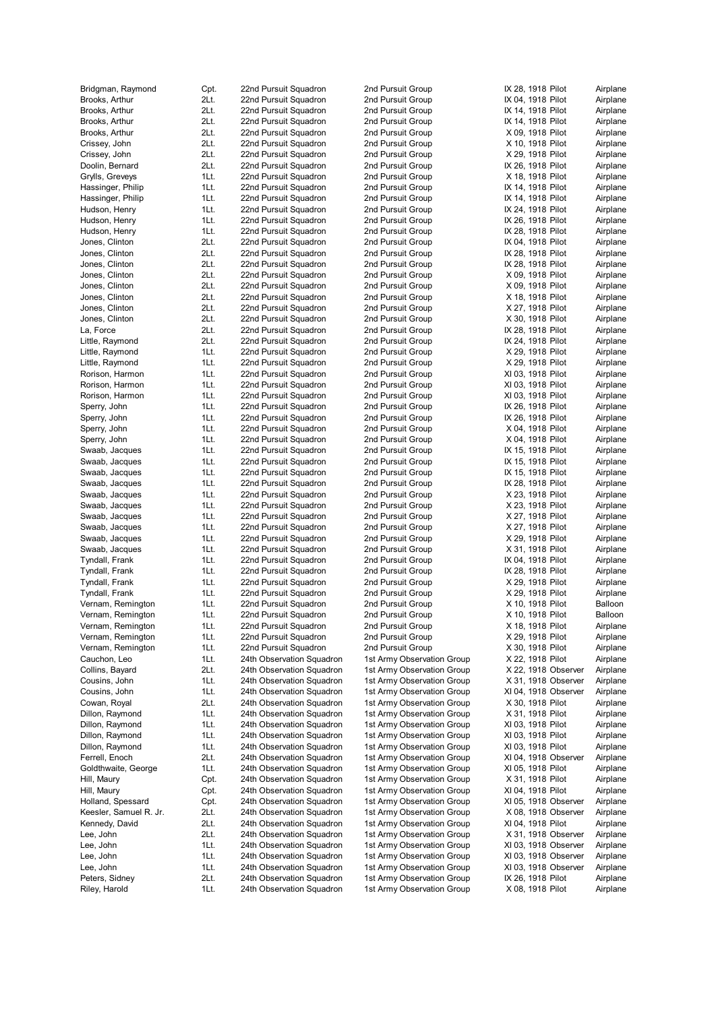| Bridgman, Raymond                      | Cpt.         | 22nd Pursuit Squadron                                  | 2nd Pursuit Group                                        | IX 28, 1918 Pilot                         | Airplane             |
|----------------------------------------|--------------|--------------------------------------------------------|----------------------------------------------------------|-------------------------------------------|----------------------|
| Brooks, Arthur                         | 2Lt.         | 22nd Pursuit Squadron                                  | 2nd Pursuit Group                                        | IX 04, 1918 Pilot                         | Airplane             |
| Brooks, Arthur                         | 2Lt.         | 22nd Pursuit Squadron                                  | 2nd Pursuit Group                                        | IX 14, 1918 Pilot                         | Airplane             |
| Brooks, Arthur                         | 2Lt.         | 22nd Pursuit Squadron                                  | 2nd Pursuit Group                                        | IX 14, 1918 Pilot                         | Airplane             |
| Brooks, Arthur                         | 2Lt.         | 22nd Pursuit Squadron                                  | 2nd Pursuit Group                                        | X 09, 1918 Pilot                          | Airplane             |
| Crissey, John                          | 2Lt.         | 22nd Pursuit Squadron                                  | 2nd Pursuit Group                                        | X 10, 1918 Pilot                          | Airplane             |
| Crissey, John                          | 2Lt.         | 22nd Pursuit Squadron                                  | 2nd Pursuit Group                                        | X 29, 1918 Pilot                          | Airplane             |
| Doolin, Bernard                        | 2Lt.<br>1Lt. | 22nd Pursuit Squadron<br>22nd Pursuit Squadron         | 2nd Pursuit Group<br>2nd Pursuit Group                   | IX 26, 1918 Pilot                         | Airplane             |
| Grylls, Greveys<br>Hassinger, Philip   | 1Lt.         | 22nd Pursuit Squadron                                  | 2nd Pursuit Group                                        | X 18, 1918 Pilot<br>IX 14, 1918 Pilot     | Airplane<br>Airplane |
| Hassinger, Philip                      | 1Lt.         | 22nd Pursuit Squadron                                  | 2nd Pursuit Group                                        | IX 14, 1918 Pilot                         | Airplane             |
| Hudson, Henry                          | 1Lt.         | 22nd Pursuit Squadron                                  | 2nd Pursuit Group                                        | IX 24, 1918 Pilot                         | Airplane             |
| Hudson, Henry                          | 1Lt.         | 22nd Pursuit Squadron                                  | 2nd Pursuit Group                                        | IX 26, 1918 Pilot                         | Airplane             |
| Hudson, Henry                          | 1Lt.         | 22nd Pursuit Squadron                                  | 2nd Pursuit Group                                        | IX 28, 1918 Pilot                         | Airplane             |
| Jones, Clinton                         | 2Lt.         | 22nd Pursuit Squadron                                  | 2nd Pursuit Group                                        | IX 04, 1918 Pilot                         | Airplane             |
| Jones, Clinton                         | 2Lt.         | 22nd Pursuit Squadron                                  | 2nd Pursuit Group                                        | IX 28, 1918 Pilot                         | Airplane             |
| Jones, Clinton                         | 2Lt.         | 22nd Pursuit Squadron                                  | 2nd Pursuit Group                                        | IX 28, 1918 Pilot                         | Airplane             |
| Jones, Clinton                         | 2Lt.         | 22nd Pursuit Squadron                                  | 2nd Pursuit Group                                        | X 09, 1918 Pilot                          | Airplane             |
| Jones, Clinton                         | 2Lt.         | 22nd Pursuit Squadron                                  | 2nd Pursuit Group                                        | X 09, 1918 Pilot                          | Airplane             |
| Jones, Clinton                         | 2Lt.         | 22nd Pursuit Squadron                                  | 2nd Pursuit Group                                        | X 18, 1918 Pilot                          | Airplane             |
| Jones, Clinton                         | 2Lt.         | 22nd Pursuit Squadron                                  | 2nd Pursuit Group                                        | X 27, 1918 Pilot                          | Airplane             |
| Jones, Clinton                         | 2Lt.         | 22nd Pursuit Squadron                                  | 2nd Pursuit Group                                        | X 30, 1918 Pilot                          | Airplane             |
| La, Force                              | 2Lt.         | 22nd Pursuit Squadron                                  | 2nd Pursuit Group                                        | IX 28, 1918 Pilot                         | Airplane             |
| Little, Raymond                        | 2Lt.         | 22nd Pursuit Squadron                                  | 2nd Pursuit Group                                        | IX 24, 1918 Pilot                         | Airplane             |
| Little, Raymond                        | 1Lt.         | 22nd Pursuit Squadron                                  | 2nd Pursuit Group                                        | X 29, 1918 Pilot                          | Airplane             |
| Little, Raymond                        | 1Lt.         | 22nd Pursuit Squadron                                  | 2nd Pursuit Group                                        | X 29, 1918 Pilot                          | Airplane             |
| Rorison, Harmon                        | 1Lt.         | 22nd Pursuit Squadron                                  | 2nd Pursuit Group                                        | XI 03, 1918 Pilot                         | Airplane             |
| Rorison, Harmon                        | 1Lt.         | 22nd Pursuit Squadron                                  | 2nd Pursuit Group                                        | XI 03, 1918 Pilot                         | Airplane             |
| Rorison, Harmon                        | 1Lt.         | 22nd Pursuit Squadron                                  | 2nd Pursuit Group                                        | XI 03, 1918 Pilot                         | Airplane             |
| Sperry, John                           | 1Lt.<br>1Lt. | 22nd Pursuit Squadron                                  | 2nd Pursuit Group                                        | IX 26, 1918 Pilot                         | Airplane<br>Airplane |
| Sperry, John<br>Sperry, John           | 1Lt.         | 22nd Pursuit Squadron<br>22nd Pursuit Squadron         | 2nd Pursuit Group<br>2nd Pursuit Group                   | IX 26, 1918 Pilot<br>X 04, 1918 Pilot     | Airplane             |
| Sperry, John                           | 1Lt.         | 22nd Pursuit Squadron                                  | 2nd Pursuit Group                                        | X 04, 1918 Pilot                          | Airplane             |
| Swaab, Jacques                         | 1Lt.         | 22nd Pursuit Squadron                                  | 2nd Pursuit Group                                        | IX 15, 1918 Pilot                         | Airplane             |
| Swaab, Jacques                         | 1Lt.         | 22nd Pursuit Squadron                                  | 2nd Pursuit Group                                        | IX 15, 1918 Pilot                         | Airplane             |
| Swaab, Jacques                         | 1Lt.         | 22nd Pursuit Squadron                                  | 2nd Pursuit Group                                        | IX 15, 1918 Pilot                         | Airplane             |
| Swaab, Jacques                         | 1Lt.         | 22nd Pursuit Squadron                                  | 2nd Pursuit Group                                        | IX 28, 1918 Pilot                         | Airplane             |
| Swaab, Jacques                         | 1Lt.         | 22nd Pursuit Squadron                                  | 2nd Pursuit Group                                        | X 23, 1918 Pilot                          | Airplane             |
| Swaab, Jacques                         | 1Lt.         | 22nd Pursuit Squadron                                  | 2nd Pursuit Group                                        | X 23, 1918 Pilot                          | Airplane             |
| Swaab, Jacques                         | 1Lt.         | 22nd Pursuit Squadron                                  | 2nd Pursuit Group                                        | X 27, 1918 Pilot                          | Airplane             |
| Swaab, Jacques                         | 1Lt.         | 22nd Pursuit Squadron                                  | 2nd Pursuit Group                                        | X 27, 1918 Pilot                          | Airplane             |
| Swaab, Jacques                         | 1Lt.         | 22nd Pursuit Squadron                                  | 2nd Pursuit Group                                        | X 29, 1918 Pilot                          | Airplane             |
| Swaab, Jacques                         | 1Lt.         | 22nd Pursuit Squadron                                  | 2nd Pursuit Group                                        | X 31, 1918 Pilot                          | Airplane             |
| Tyndall, Frank                         | 1Lt.         | 22nd Pursuit Squadron                                  | 2nd Pursuit Group                                        | IX 04, 1918 Pilot                         | Airplane             |
| Tyndall, Frank                         | 1Lt.         | 22nd Pursuit Squadron                                  | 2nd Pursuit Group                                        | IX 28, 1918 Pilot                         | Airplane             |
| Tyndall, Frank                         | 1Lt.         | 22nd Pursuit Squadron                                  | 2nd Pursuit Group                                        | X 29, 1918 Pilot                          | Airplane             |
| Tyndall, Frank                         | 1Lt.         | 22nd Pursuit Squadron                                  | 2nd Pursuit Group                                        | X 29, 1918 Pilot                          | Airplane             |
| Vernam, Remington                      | 1Lt.         | 22nd Pursuit Squadron                                  | 2nd Pursuit Group                                        | X 10, 1918 Pilot                          | Balloon              |
| Vernam, Remington                      | 1Lt.         | 22nd Pursuit Squadron                                  | 2nd Pursuit Group                                        | X 10, 1918 Pilot                          | Balloon              |
| Vernam, Remington                      | 1Lt.         | 22nd Pursuit Squadron                                  | 2nd Pursuit Group                                        | X 18, 1918 Pilot                          | Airplane             |
| Vernam, Remington<br>Vernam, Remington | 1Lt.         | 22nd Pursuit Squadron<br>22nd Pursuit Squadron         | 2nd Pursuit Group<br>2nd Pursuit Group                   | X 29, 1918 Pilot<br>X 30, 1918 Pilot      | Airplane<br>Airplane |
| Cauchon, Leo                           | 1Lt.<br>1Lt. | 24th Observation Squadron                              | 1st Army Observation Group                               | X 22, 1918 Pilot                          | Airplane             |
| Collins, Bayard                        | 2Lt.         | 24th Observation Squadron                              | 1st Army Observation Group                               | X 22, 1918 Observer                       | Airplane             |
| Cousins, John                          | 1Lt.         | 24th Observation Squadron                              | 1st Army Observation Group                               | X 31, 1918 Observer                       | Airplane             |
| Cousins, John                          | 1Lt.         | 24th Observation Squadron                              | 1st Army Observation Group                               | XI 04, 1918 Observer                      | Airplane             |
| Cowan, Royal                           | 2Lt.         | 24th Observation Squadron                              | 1st Army Observation Group                               | X 30, 1918 Pilot                          | Airplane             |
| Dillon, Raymond                        | 1Lt.         | 24th Observation Squadron                              | 1st Army Observation Group                               | X 31, 1918 Pilot                          | Airplane             |
| Dillon, Raymond                        | 1Lt.         | 24th Observation Squadron                              | 1st Army Observation Group                               | XI 03, 1918 Pilot                         | Airplane             |
| Dillon, Raymond                        | 1Lt.         | 24th Observation Squadron                              | 1st Army Observation Group                               | XI 03, 1918 Pilot                         | Airplane             |
| Dillon, Raymond                        | 1Lt.         | 24th Observation Squadron                              | 1st Army Observation Group                               | XI 03, 1918 Pilot                         | Airplane             |
| Ferrell, Enoch                         | 2Lt.         | 24th Observation Squadron                              | 1st Army Observation Group                               | XI 04, 1918 Observer                      | Airplane             |
| Goldthwaite, George                    | 1Lt.         | 24th Observation Squadron                              | 1st Army Observation Group                               | XI 05, 1918 Pilot                         | Airplane             |
| Hill, Maury                            | Cpt.         | 24th Observation Squadron                              | 1st Army Observation Group                               | X 31, 1918 Pilot                          | Airplane             |
| Hill, Maury                            | Cpt.         | 24th Observation Squadron                              | 1st Army Observation Group                               | XI 04, 1918 Pilot                         | Airplane             |
| Holland, Spessard                      | Cpt.         | 24th Observation Squadron                              | 1st Army Observation Group                               | XI 05, 1918 Observer                      | Airplane             |
| Keesler, Samuel R. Jr.                 | 2Lt.         | 24th Observation Squadron                              | 1st Army Observation Group                               | X 08, 1918 Observer                       | Airplane             |
| Kennedy, David                         | 2Lt.         | 24th Observation Squadron                              | 1st Army Observation Group                               | XI 04, 1918 Pilot                         | Airplane             |
| Lee, John                              | 2Lt.         | 24th Observation Squadron                              | 1st Army Observation Group                               | X 31, 1918 Observer                       | Airplane             |
| Lee, John                              | 1Lt.         | 24th Observation Squadron                              | 1st Army Observation Group                               | XI 03, 1918 Observer                      | Airplane             |
| Lee, John                              | 1Lt.         | 24th Observation Squadron                              | 1st Army Observation Group                               | XI 03, 1918 Observer                      | Airplane             |
| Lee, John<br>Peters, Sidney            | 1Lt.<br>2Lt. | 24th Observation Squadron<br>24th Observation Squadron | 1st Army Observation Group<br>1st Army Observation Group | XI 03, 1918 Observer<br>IX 26, 1918 Pilot | Airplane<br>Airplane |
| Riley, Harold                          | 1Lt.         | 24th Observation Squadron                              | 1st Army Observation Group                               | X 08, 1918 Pilot                          | Airplane             |
|                                        |              |                                                        |                                                          |                                           |                      |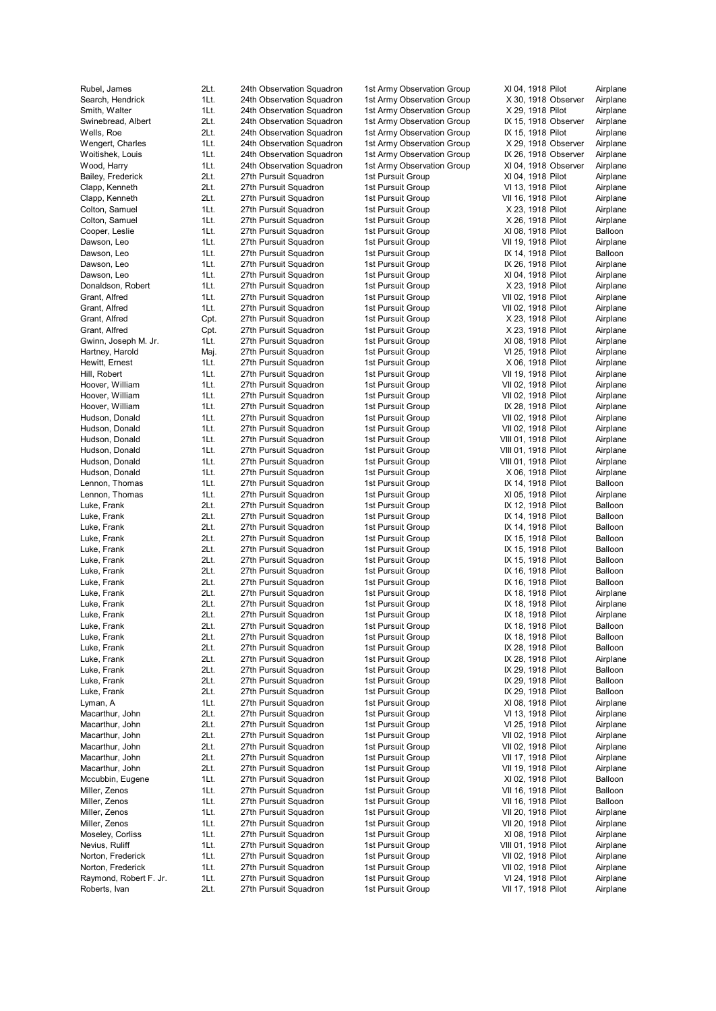| Rubel, James           | 2Lt. | 24th Observation Squadron |
|------------------------|------|---------------------------|
| Search, Hendrick       | 1Lt. | 24th Observation Squadron |
| Smith, Walter          | 1Lt. | 24th Observation Squadron |
| Swinebread, Albert     | 2Lt. | 24th Observation Squadron |
| Wells, Roe             | 2Lt. | 24th Observation Squadron |
| Wengert, Charles       | 1Lt. | 24th Observation Squadron |
| Woitishek, Louis       | 1Lt. | 24th Observation Squadron |
| Wood, Harry            | 1Lt. | 24th Observation Squadron |
| Bailey, Frederick      | 2Lt. | 27th Pursuit Squadron     |
| Clapp, Kenneth         | 2Lt. | 27th Pursuit Squadron     |
| Clapp, Kenneth         | 2Lt. | 27th Pursuit Squadron     |
| Colton, Samuel         | 1Lt. | 27th Pursuit Squadron     |
| Colton, Samuel         | 1Lt. | 27th Pursuit Squadron     |
| Cooper, Leslie         | 1Lt. | 27th Pursuit Squadron     |
| Dawson, Leo            | 1Lt. | 27th Pursuit Squadron     |
| Dawson, Leo            | 1Lt. | 27th Pursuit Squadron     |
| Dawson, Leo            | 1Lt. | 27th Pursuit Squadron     |
| Dawson, Leo            | 1Lt. | 27th Pursuit Squadron     |
| Donaldson, Robert      | 1Lt. | 27th Pursuit Squadron     |
| Grant, Alfred          | 1Lt. | 27th Pursuit Squadron     |
| Grant, Alfred          | 1Lt. | 27th Pursuit Squadron     |
| Grant, Alfred          | Cpt. | 27th Pursuit Squadron     |
| Grant, Alfred          | Cpt. | 27th Pursuit Squadron     |
| Gwinn, Joseph M. Jr.   | 1Lt. | 27th Pursuit Squadron     |
| Hartney, Harold        | Maj. | 27th Pursuit Squadron     |
| Hewitt, Ernest         | 1Lt. | 27th Pursuit Squadron     |
| Hill, Robert           | 1Lt. | 27th Pursuit Squadron     |
| Hoover, William        | 1Lt. | 27th Pursuit Squadron     |
| Hoover, William        | 1Lt. | 27th Pursuit Squadron     |
| Hoover, William        | 1Lt. | 27th Pursuit Squadron     |
|                        | 1Lt. |                           |
| Hudson, Donald         |      | 27th Pursuit Squadron     |
| Hudson, Donald         | 1Lt. | 27th Pursuit Squadron     |
| Hudson, Donald         | 1Lt. | 27th Pursuit Squadron     |
| Hudson, Donald         | 1Lt. | 27th Pursuit Squadron     |
| Hudson, Donald         | 1Lt. | 27th Pursuit Squadron     |
| Hudson, Donald         | 1Lt. | 27th Pursuit Squadron     |
| Lennon, Thomas         | 1Lt. | 27th Pursuit Squadron     |
| Lennon, Thomas         | 1Lt. | 27th Pursuit Squadron     |
| Luke, Frank            | 2Lt. | 27th Pursuit Squadron     |
| Luke, Frank            | 2Lt. | 27th Pursuit Squadron     |
| Luke, Frank            | 2Lt. | 27th Pursuit Squadron     |
| Luke, Frank            | 2Lt. | 27th Pursuit Squadron     |
| Luke, Frank            | 2Lt. | 27th Pursuit Squadron     |
| Luke, Frank            | 2Lt. | 27th Pursuit Squadron     |
| Luke, Frank            | 2Lt. | 27th Pursuit Squadron     |
| Luke, Frank            | 2Lt. | 27th Pursuit Squadron     |
| Luke, Frank            | 2Lt. | 27th Pursuit Squadron     |
| Luke, Frank            | 2Lt. | 27th Pursuit Squadron     |
| Luke, Frank            | 2Lt. | 27th Pursuit Squadron     |
| Luke, Frank            | 2Lt. | 27th Pursuit Squadron     |
| Luke, Frank            | 2Lt. | 27th Pursuit Squadron     |
| Luke, Frank            | 2Lt. | 27th Pursuit Squadron     |
| Luke, Frank            | 2Lt. | 27th Pursuit Squadron     |
| Luke, Frank            | 2Lt. | 27th Pursuit Squadron     |
| Luke, Frank            | 2Lt. | 27th Pursuit Squadron     |
| Luke, Frank            | 2Lt. | 27th Pursuit Squadron     |
| Lyman, A               | 1Lt. | 27th Pursuit Squadron     |
| Macarthur, John        | 2Lt. | 27th Pursuit Squadron     |
| Macarthur, John        | 2Lt. | 27th Pursuit Squadron     |
| Macarthur, John        | 2Lt. | 27th Pursuit Squadron     |
| Macarthur, John        | 2Lt. | 27th Pursuit Squadron     |
| Macarthur, John        | 2Lt. | 27th Pursuit Squadron     |
| Macarthur, John        | 2Lt. | 27th Pursuit Squadron     |
| Mccubbin, Eugene       | 1Lt. | 27th Pursuit Squadron     |
| Miller, Zenos          | 1Lt. | 27th Pursuit Squadron     |
| Miller, Zenos          | 1Lt. | 27th Pursuit Squadron     |
| Miller, Zenos          | 1Lt. | 27th Pursuit Squadron     |
| Miller, Zenos          | 1Lt. | 27th Pursuit Squadron     |
| Moseley, Corliss       | 1Lt. | 27th Pursuit Squadron     |
| Nevius, Ruliff         | 1Lt. | 27th Pursuit Squadron     |
| Norton, Frederick      | 1Lt. | 27th Pursuit Squadron     |
| Norton, Frederick      | 1Lt. | 27th Pursuit Squadron     |
| Raymond, Robert F. Jr. | 1Lt. | 27th Pursuit Squadron     |
| Roberts, Ivan          | 2Lt. | 27th Pursuit Squadron     |
|                        |      |                           |

1st Army Observation Group 1st Army Observation Group 1st Army Observation Group 1st Army Observation Group IX 15, 191 1st Army Observation Group IX 15, 191 1st Army Observation Group 1st Army Observation Group IX 26, 191 1st Army Observation Group 1st Pursuit Group 1st Pursuit Group 1st Pursuit Group 1st Pursuit Group 1st Pursuit Group 1st Pursuit Group 1st Pursuit Group 1st Pursuit Group IX 14, 191 1st Pursuit Group IX 26, 191 1st Pursuit Group 1st Pursuit Group 1st Pursuit Group 1st Pursuit Group 1st Pursuit Group 1st Pursuit Group 1st Pursuit Group 1st Pursuit Group 1st Pursuit Group 1st Pursuit Group 1st Pursuit Group 1st Pursuit Group 1st Pursuit Group IX 28, 191 1st Pursuit Group 1st Pursuit Group 1st Pursuit Group 1st Pursuit Group 1st Pursuit Group 1st Pursuit Group 1st Pursuit Group IX 14, 191 1st Pursuit Group 1st Pursuit Group IX 12, 191 1st Pursuit Group IX 14, 191 1st Pursuit Group IX 14, 191 1st Pursuit Group IX 15, 191 1 st P u r s uit G roup IX 15, 191 1st Pursuit Group IX 15, 191 1st Pursuit Group IX 16, 191 1 st P u r s uit G roup IX 16, 191 1st Pursuit Group IX 18, 191 1st Pursuit Group IX 18, 191 1 st P u r s uit G roup IX 18, 191 1st Pursuit Group IX 18, 191 1st Pursuit Group IX 18, 191 1 st P u r s uit G roup IX 28, 191 1st Pursuit Group IX 28, 191 1st Pursuit Group IX 29, 191 1st Pursuit Group IX 29, 191 1st Pursuit Group IX 29, 191 1st Pursuit Group 1st Pursuit Group 1st Pursuit Group 1st Pursuit Group 1st Pursuit Group 1st Pursuit Group 1st Pursuit Group 1st Pursuit Group 1st Pursuit Group 1st Pursuit Group 1st Pursuit Group 1st Pursuit Group 1st Pursuit Group 1st Pursuit Group 1st Pursuit Group 1st Pursuit Group 1st Pursuit Group 1st Pursuit Group

| XI 04, 1918 Pilot                         |                    |                      | Airplane             |
|-------------------------------------------|--------------------|----------------------|----------------------|
| X 30,                                     |                    | 1918 Observer        | Airplane             |
| X 29, 1918 Pilot                          |                    |                      | Airplane             |
| IX 15,                                    | 1918 Pilot         | IX 15, 1918 Observer | Airplane<br>Airplane |
|                                           |                    | X 29, 1918 Observer  | Airplane             |
| IX 26,                                    |                    | 1918 Observer        | Airplane             |
| XI 04,                                    |                    | 1918 Observer        | Airplane             |
| XI 04,                                    |                    | 1918 Pilot           | Airplane             |
| VI 13,                                    |                    | 1918 Pilot           | Airplane             |
| VII 16, 1918 Pilot                        |                    |                      | Airplane             |
| X 23,                                     |                    | 1918 Pilot           | Airplane             |
| X 26, 1918 Pilot                          |                    |                      | Airplane             |
| XI 08,                                    |                    | 1918 Pilot           | Balloon<br>Airplane  |
| VII 19,<br>IX 14,                         | 1918               | 1918 Pilot<br>Pilot  | Balloon              |
| IX 26,                                    | 1918               | Pilot                | Airplane             |
| XI 04, 1918                               |                    | Pilot                | Airplane             |
| X 23,                                     |                    | 1918 Pilot           | Airplane             |
| VII 02,                                   | 1918               | Pilot                | Airplane             |
| VII 02.                                   | 1918               | Pilot                | Airplane             |
| X 23,                                     | 1918               | Pilot                | Airplane             |
| X 23,                                     | 1918 Pilot         |                      | Airplane             |
| XI 08, 1918                               |                    | Pilot                | Airplane             |
| VI 25,                                    | 1918 Pilot         |                      | Airplane             |
| X 06,<br>VII 19,                          | 1918<br>1918 Pilot | Pilot                | Airplane<br>Airplane |
| VII 02,                                   | 1918 Pilot         |                      | Airplane             |
| VII 02,                                   | 1918 Pilot         |                      | Airplane             |
| IX 28,                                    | 1918 Pilot         |                      | Airplane             |
| VII 02,                                   | 1918 Pilot         |                      | Airplane             |
| VII 02.                                   | 1918 Pilot         |                      | Airplane             |
| VIII 01,                                  | 1918 Pilot         |                      | Airplane             |
| VIII 01,                                  | 1918 Pilot         |                      | Airplane             |
| VIII 01,                                  | 1918 Pilot         |                      | Airplane             |
| X 06,                                     | 1918 Pilot         |                      | Airplane             |
| IX 14,<br>XI 05,                          | 1918 Pilot         | 1918 Pilot           | Balloon<br>Airplane  |
| IX 12,                                    | 1918               | Pilot                | Balloon              |
| IX 14,                                    |                    | 1918 Pilot           | Balloon              |
| IX 14,                                    | 1918               | Pilot                | Balloon              |
| IX 15,                                    | 1918               | Pilot                | Balloon              |
| IX 15, 1918                               |                    | Pilot                | Balloon              |
| IX 15,                                    | 1918 Pilot         |                      | Balloon              |
| IX 16,                                    | 1918               | Pilot                | Balloon              |
| IX 16,                                    | 1918 Pilot         |                      | Balloon              |
| IX 18, 1918 Pilot                         |                    |                      | Airplane<br>Airplane |
| IX 18, 1918 Pilot<br>IX 18, 1918          |                    | Pilot                | Airplane             |
| IX 18,                                    |                    | 1918 Pilot           | Balloon              |
| IX 18, 1918 Pilot                         |                    |                      | Balloon              |
| IX 28, 1918 Pilot                         |                    |                      | Balloon              |
| IX 28, 1918 Pilot                         |                    |                      | Airplane             |
| IX 29, 1918 Pilot                         |                    |                      | Balloon              |
| IX 29, 1918 Pilot                         |                    |                      | Balloon              |
| IX 29, 1918 Pilot                         |                    |                      | Balloon              |
| XI 08, 1918 Pilot                         |                    |                      | Airplane             |
| VI 13, 1918 Pilot<br>VI 25, 1918 Pilot    |                    |                      | Airplane<br>Airplane |
| VII 02, 1918 Pilot                        |                    |                      | Airplane             |
| VII 02, 1918 Pilot                        |                    |                      | Airplane             |
| VII 17, 1918 Pilot                        |                    |                      | Airplane             |
| VII 19, 1918 Pilot                        |                    |                      | Airplane             |
| XI 02, 1918 Pilot                         |                    |                      | Balloon              |
| VII 16, 1918 Pilot                        |                    |                      | Balloon              |
| VII 16, 1918 Pilot                        |                    |                      | Balloon              |
| VII 20, 1918 Pilot                        |                    |                      | Airplane             |
| VII 20, 1918 Pilot                        |                    |                      | Airplane             |
| XI 08, 1918 Pilot                         |                    |                      | Airplane             |
| VIII 01, 1918 Pilot<br>VII 02, 1918 Pilot |                    |                      | Airplane<br>Airplane |
| VII 02, 1918 Pilot                        |                    |                      | Airplane             |
| VI 24, 1918 Pilot                         |                    |                      | Airplane             |
| VII 17, 1918 Pilot                        |                    |                      | Airplane             |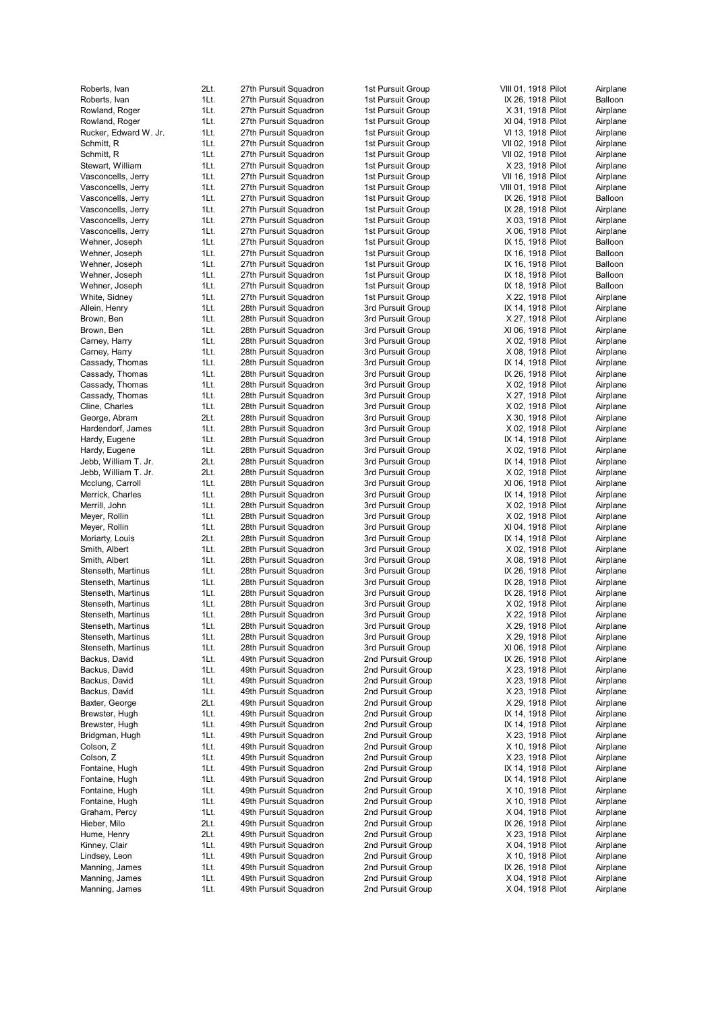| Roberts, Ivan         | 2Lt. | 27 |
|-----------------------|------|----|
| Roberts, Ivan         | 1Lt. | 27 |
| Rowland, Roger        | 1Lt. | 27 |
| Rowland, Roger        | 1Lt. | 27 |
|                       |      |    |
| Rucker, Edward W. Jr. | 1Lt. | 27 |
| Schmitt, R            | 1Lt. | 27 |
| Schmitt, R            | 1Lt. | 27 |
| Stewart, William      | 1Lt. | 27 |
| Vasconcells, Jerry    | 1Lt. | 27 |
| Vasconcells, Jerry    | 1Lt. | 27 |
|                       |      |    |
| Vasconcells, Jerry    | 1Lt. | 27 |
| Vasconcells, Jerry    | 1Lt. | 27 |
| Vasconcells, Jerry    | 1Lt. | 27 |
| Vasconcells, Jerry    | 1Lt. | 27 |
| Wehner, Joseph        | 1Lt. | 27 |
|                       |      |    |
| Wehner, Joseph        | 1Lt. | 27 |
| Wehner, Joseph        | 1Lt. | 27 |
| Wehner, Joseph        | 1Lt. | 27 |
| Wehner, Joseph        | 1Lt. | 27 |
| White, Sidney         | 1Lt. | 27 |
| Allein, Henry         | 1Lt. | 28 |
|                       |      |    |
| Brown, Ben            | 1Lt. | 28 |
| Brown, Ben            | 1Lt. | 28 |
| Carney, Harry         | 1Lt. | 28 |
| Carney, Harry         | 1Lt. | 28 |
| Cassady, Thomas       | 1Lt. | 28 |
|                       | 1Lt. |    |
| Cassady, Thomas       |      | 28 |
| Cassady, Thomas       | 1Lt. | 28 |
| Cassady, Thomas       | 1Lt. | 28 |
| Cline, Charles        | 1Lt. | 28 |
| George, Abram         | 2Lt. | 28 |
|                       | 1Lt. |    |
| Hardendorf, James     |      | 28 |
| Hardy, Eugene         | 1Lt. | 28 |
| Hardy, Eugene         | 1Lt. | 28 |
| Jebb, William T. Jr.  | 2Lt. | 28 |
| Jebb, William T. Jr.  | 2Lt. | 28 |
| Mcclung, Carroll      | 1Lt. | 28 |
|                       |      |    |
| Merrick, Charles      | 1Lt. | 28 |
| Merrill, John         | 1Lt. | 28 |
| Meyer, Rollin         | 1Lt. | 28 |
| Meyer, Rollin         | 1Lt. | 28 |
| Moriarty, Louis       | 2Lt. | 28 |
|                       | 1Lt. |    |
| Smith, Albert         |      | 28 |
| Smith, Albert         | 1Lt. | 28 |
| Stenseth, Martinus    | 1Lt. | 28 |
| Stenseth, Martinus    | 1Lt. | 28 |
| Stenseth, Martinus    | 1Lt. | 28 |
| Stenseth, Martinus    | 1Lt. | 28 |
|                       |      |    |
| Stenseth, Martinus    | 1Lt. | 28 |
| Stenseth, Martinus    | 1Lt. | 28 |
| Stenseth, Martinus    | 1Lt. | 28 |
| Stenseth, Martinus    | 1Lt. | 28 |
| Backus, David         | 1Lt. | 49 |
|                       |      |    |
| Backus, David         | 1Lt. | 49 |
| Backus, David         | 1Lt. | 49 |
| Backus, David         | 1Lt. | 49 |
| Baxter, George        | 2Lt. | 49 |
| Brewster, Hugh        | 1Lt. | 49 |
| Brewster, Hugh        |      | 49 |
|                       | 1Lt. |    |
| Bridgman, Hugh        | 1Lt. | 49 |
| Colson, Z             | 1Lt. | 49 |
| Colson, Z             | 1Lt. | 49 |
| Fontaine, Hugh        | 1Lt. | 49 |
| Fontaine, Hugh        | 1Lt. | 49 |
|                       |      |    |
| Fontaine, Hugh        | 1Lt. | 49 |
| Fontaine, Hugh        | 1Lt. | 49 |
| Graham, Percy         | 1Lt. | 49 |
| Hieber, Milo          | 2Lt. | 49 |
| Hume, Henry           | 2Lt. | 49 |
| Kinney, Clair         | 1Lt. | 49 |
|                       |      |    |
| Lindsey, Leon         | 1Lt. | 49 |
| Manning, James        | 1Lt. | 49 |
| Manning, James        |      | 49 |
| Manning, James        | 1Lt. |    |

| 27th Pursuit Squadron | 1st Pursuit Group |
|-----------------------|-------------------|
| 27th Pursuit Squadron | 1st Pursuit Group |
| 27th Pursuit Squadron | 1st Pursuit Group |
| 27th Pursuit Squadron | 1st Pursuit Group |
|                       |                   |
| 27th Pursuit Squadron | 1st Pursuit Group |
| 27th Pursuit Squadron | 1st Pursuit Group |
| 27th Pursuit Squadron | 1st Pursuit Group |
| 27th Pursuit Squadron | 1st Pursuit Group |
| 27th Pursuit Squadron | 1st Pursuit Group |
| 27th Pursuit Squadron | 1st Pursuit Group |
| 27th Pursuit Squadron | 1st Pursuit Group |
| 27th Pursuit Squadron | 1st Pursuit Group |
| 27th Pursuit Squadron | 1st Pursuit Group |
| 27th Pursuit Squadron | 1st Pursuit Group |
| 27th Pursuit Squadron |                   |
|                       | 1st Pursuit Group |
| 27th Pursuit Squadron | 1st Pursuit Group |
| 27th Pursuit Squadron | 1st Pursuit Group |
| 27th Pursuit Squadron | 1st Pursuit Group |
| 27th Pursuit Squadron | 1st Pursuit Group |
| 27th Pursuit Squadron | 1st Pursuit Group |
| 28th Pursuit Squadron | 3rd Pursuit Group |
| 28th Pursuit Squadron | 3rd Pursuit Group |
| 28th Pursuit Squadron | 3rd Pursuit Group |
| 28th Pursuit Squadron | 3rd Pursuit Group |
|                       |                   |
| 28th Pursuit Squadron | 3rd Pursuit Group |
| 28th Pursuit Squadron | 3rd Pursuit Group |
| 28th Pursuit Squadron | 3rd Pursuit Group |
| 28th Pursuit Squadron | 3rd Pursuit Group |
| 28th Pursuit Squadron | 3rd Pursuit Group |
| 28th Pursuit Squadron | 3rd Pursuit Group |
| 28th Pursuit Squadron | 3rd Pursuit Group |
| 28th Pursuit Squadron | 3rd Pursuit Group |
| 28th Pursuit Squadron | 3rd Pursuit Group |
| 28th Pursuit Squadron | 3rd Pursuit Group |
| 28th Pursuit Squadron | 3rd Pursuit Group |
| 28th Pursuit Squadron |                   |
|                       | 3rd Pursuit Group |
| 28th Pursuit Squadron | 3rd Pursuit Group |
| 28th Pursuit Squadron | 3rd Pursuit Group |
| 28th Pursuit Squadron | 3rd Pursuit Group |
| 28th Pursuit Squadron | 3rd Pursuit Group |
| 28th Pursuit Squadron | 3rd Pursuit Group |
| 28th Pursuit Squadron | 3rd Pursuit Group |
| 28th Pursuit Squadron | 3rd Pursuit Group |
| 28th Pursuit Squadron | 3rd Pursuit Group |
| 28th Pursuit Squadron | 3rd Pursuit Group |
| 28th Pursuit Squadron | 3rd Pursuit Group |
| 28th Pursuit Squadron | 3rd Pursuit Group |
| 28th Pursuit Squadron | 3rd Pursuit Group |
|                       |                   |
| 28th Pursuit Squadron | 3rd Pursuit Group |
| 28th Pursuit Squadron | 3rd Pursuit Group |
| 28th Pursuit Squadron | 3rd Pursuit Group |
| 28th Pursuit Squadron | 3rd Pursuit Group |
| 49th Pursuit Squadron | 2nd Pursuit Group |
| 49th Pursuit Squadron | 2nd Pursuit Group |
| 49th Pursuit Squadron | 2nd Pursuit Group |
| 49th Pursuit Squadron | 2nd Pursuit Group |
| 49th Pursuit Squadron | 2nd Pursuit Group |
| 49th Pursuit Squadron | 2nd Pursuit Group |
| 49th Pursuit Squadron | 2nd Pursuit Group |
| 49th Pursuit Squadron | 2nd Pursuit Group |
|                       |                   |
| 49th Pursuit Squadron | 2nd Pursuit Group |
| 49th Pursuit Squadron | 2nd Pursuit Group |
| 49th Pursuit Squadron | 2nd Pursuit Group |
| 49th Pursuit Squadron | 2nd Pursuit Group |
| 49th Pursuit Squadron | 2nd Pursuit Group |
| 49th Pursuit Squadron | 2nd Pursuit Group |
| 49th Pursuit Squadron | 2nd Pursuit Group |
| 49th Pursuit Squadron | 2nd Pursuit Group |
| 49th Pursuit Squadron | 2nd Pursuit Group |
| 49th Pursuit Squadron | 2nd Pursuit Group |
| 49th Pursuit Squadron |                   |
|                       | 2nd Pursuit Group |
| 49th Pursuit Squadron | 2nd Pursuit Group |
| 49th Pursuit Squadron | 2nd Pursuit Group |
| 49th Pursuit Squadron | 2nd Pursuit Group |

| 1st Pursuit Group                            |
|----------------------------------------------|
| 1st Pursuit Group                            |
| 1st Pursuit Group                            |
| 1st Pursuit Group                            |
| 1st Pursuit Group<br>1st Pursuit Group       |
| 1st Pursuit Group                            |
| 1st Pursuit Group                            |
| 1st Pursuit<br>Group                         |
| 1st Pursuit Group                            |
| 1st Pursuit Group                            |
| 1st Pursuit Group                            |
| 1st Pursuit Group                            |
| 1st Pursuit Group                            |
| 1st Pursuit Group                            |
| 1st Pursuit Group                            |
| 1st Pursuit Group                            |
| 1st Pursuit Group                            |
| 1st Pursuit Group                            |
| 1st Pursuit Group                            |
| 3rd Pursuit Group<br>3rd Pursuit Group       |
| 3rd Pursuit Group                            |
| 3rd Pursuit Group                            |
| 3rd Pursuit Group                            |
| 3rd Pursuit Group                            |
| 3rd Pursuit Group                            |
| 3rd Pursuit Group                            |
| 3rd Pursuit Group                            |
| 3rd Pursuit<br>Group                         |
| 3rd Pursuit Group                            |
| 3rd Pursuit Group                            |
| 3rd Pursuit<br>Group                         |
| 3rd Pursuit<br>Group                         |
| 3rd Pursuit Group                            |
| 3rd Pursuit<br>Group                         |
| 3rd Pursuit<br>Group                         |
| 3rd Pursuit<br>Group                         |
| 3rd Pursuit<br>Group<br>3rd Pursuit<br>Group |
| 3rd Pursuit<br>Group                         |
| 3rd Pursuit<br>Group                         |
| 3rd Pursuit<br>Group                         |
| 3rd Pursuit Group                            |
| 3rd Pursuit Group                            |
| 3rd Pursuit Group                            |
| 3rd Pursuit Group                            |
| 3rd Pursuit Group                            |
| 3rd Pursuit Group                            |
| 3rd Pursuit Group<br>3rd Pursuit Group       |
| 3rd Pursuit Group                            |
| <b>Pursuit Group</b><br>2nd                  |
| <b>Pursuit Group</b><br>2nd                  |
| 2nd<br>Pursuit<br>Group                      |
| 2nd<br>Pursuit<br>Group                      |
| 2nd<br>Pursuit<br>Group                      |
| Pursuit<br>2nd<br>Group                      |
| 2nd<br>Pursuit<br>Group                      |
| Pursuit<br>2nd<br>Group                      |
| 2nd<br>Pursuit<br>Group                      |
| Pursuit<br>2nd<br>Group                      |
| Pursuit<br>2nd<br>Group                      |
| 2 <sub>nd</sub><br>Pursuit<br>Group          |
| 2nd<br>Pursuit<br>Group                      |
| Pursuit<br>2nd<br>Group                      |
| Pursuit<br>2nd<br>Group                      |
| Pursuit<br>2nd<br>Group                      |
| 2nd<br>Pursuit<br>Group<br>Pursuit           |
| 2nd<br>Group<br>2nd<br>Pursuit<br>Group      |
| Pursuit<br>2nd<br>Group                      |
| Pursuit<br>2nd<br>Group                      |
|                                              |

| roup           | VIII 01, 1918 Pilot                    | Airplane             |
|----------------|----------------------------------------|----------------------|
| roup           | IX 26, 1918 Pilot                      | Balloon              |
| roup           | X 31, 1918 Pilot                       | Airplane             |
| roup           | XI 04, 1918 Pilot                      | Airplane             |
| roup           | VI 13, 1918 Pilot                      | Airplane             |
| roup           | VII 02, 1918 Pilot                     | Airplane             |
| roup<br>roup   | VII 02, 1918 Pilot<br>X 23, 1918 Pilot | Airplane<br>Airplane |
| roup           | VII 16, 1918 Pilot                     | Airplane             |
| roup           | VIII 01, 1918 Pilot                    | Airplane             |
| roup           | IX 26, 1918 Pilot                      | Balloon              |
| roup           | IX 28, 1918 Pilot                      | Airplane             |
| roup           | X 03, 1918 Pilot                       | Airplane             |
| roup           | X 06, 1918 Pilot                       | Airplane             |
| roup           | IX 15, 1918 Pilot                      | Balloon              |
| roup           | IX 16, 1918 Pilot                      | Balloon              |
| roup           | IX 16, 1918 Pilot                      | Balloon              |
| roup           | IX 18, 1918 Pilot                      | Balloon              |
| roup           | IX 18, 1918 Pilot<br>X 22, 1918 Pilot  | Balloon<br>Airplane  |
| roup<br>roup   | IX 14, 1918 Pilot                      | Airplane             |
| roup           | X 27, 1918 Pilot                       | Airplane             |
| roup           | XI 06, 1918 Pilot                      | Airplane             |
| roup           | X 02, 1918 Pilot                       | Airplane             |
| roup           | X 08, 1918 Pilot                       | Airplane             |
| roup           | IX 14, 1918 Pilot                      | Airplane             |
| roup           | IX 26, 1918 Pilot                      | Airplane             |
| roup           | X 02, 1918 Pilot                       | Airplane             |
| roup           | X 27, 1918 Pilot                       | Airplane             |
| roup           | X 02, 1918 Pilot                       | Airplane             |
| roup           | X 30, 1918 Pilot<br>X 02, 1918 Pilot   | Airplane<br>Airplane |
| roup<br>roup   | IX 14, 1918 Pilot                      | Airplane             |
| roup           | X 02, 1918 Pilot                       | Airplane             |
| roup           | IX 14, 1918 Pilot                      | Airplane             |
| roup           | X 02, 1918 Pilot                       | Airplane             |
| roup           | XI 06, 1918 Pilot                      | Airplane             |
| roup           | IX 14, 1918 Pilot                      | Airplane             |
| roup           | X 02, 1918 Pilot                       | Airplane             |
| roup           | X 02, 1918 Pilot                       | Airplane             |
| roup           | XI 04, 1918 Pilot                      | Airplane             |
| roup           | IX 14, 1918 Pilot                      | Airplane             |
| roup           | X 02, 1918 Pilot                       | Airplane             |
| roup<br>roup   | X 08, 1918 Pilot<br>IX 26, 1918 Pilot  | Airplane<br>Airplane |
| roup           | IX 28, 1918 Pilot                      | Airplane             |
| roup           | IX 28, 1918 Pilot                      | Airplane             |
| roup           | X 02, 1918 Pilot                       | Airplane             |
| roup           | X 22, 1918 Pilot                       | Airplane             |
| roup           | X 29, 1918 Pilot                       | Airplane             |
| roup           | X 29, 1918 Pilot                       | Airplane             |
| roup           | XI 06, 1918 Pilot                      | Airplane             |
| }roup          | IX 26, 1918 Pilot                      | Airplane             |
| }roup          | X 23, 1918 Pilot                       | Airplane             |
| }roup          | X 23, 1918 Pilot                       | Airplane<br>Airplane |
| Group<br>}roup | X 23, 1918 Pilot<br>X 29, 1918 Pilot   | Airplane             |
| }roup          | IX 14, 1918 Pilot                      | Airplane             |
| }roup          | IX 14, 1918 Pilot                      | Airplane             |
| }roup          | X 23, 1918 Pilot                       | Airplane             |
| Group          | X 10, 1918 Pilot                       | Airplane             |
| }roup          | X 23, 1918 Pilot                       | Airplane             |
| }roup          | IX 14, 1918 Pilot                      | Airplane             |
| }roup          | IX 14, 1918 Pilot                      | Airplane             |
| }roup          | X 10, 1918 Pilot                       | Airplane             |
| }roup          | X 10, 1918 Pilot                       | Airplane             |
| }roup          | X 04, 1918 Pilot                       | Airplane             |
| }roup          | IX 26, 1918 Pilot                      | Airplane             |
| Group          | X 23, 1918 Pilot                       | Airplane             |
| }roup<br>}roup | X 04, 1918 Pilot<br>X 10, 1918 Pilot   | Airplane<br>Airplane |
| Group          | IX 26, 1918 Pilot                      | Airplane             |
| Group          | X 04, 1918 Pilot                       | Airplane             |
| }roup          | X 04, 1918 Pilot                       | Airplane             |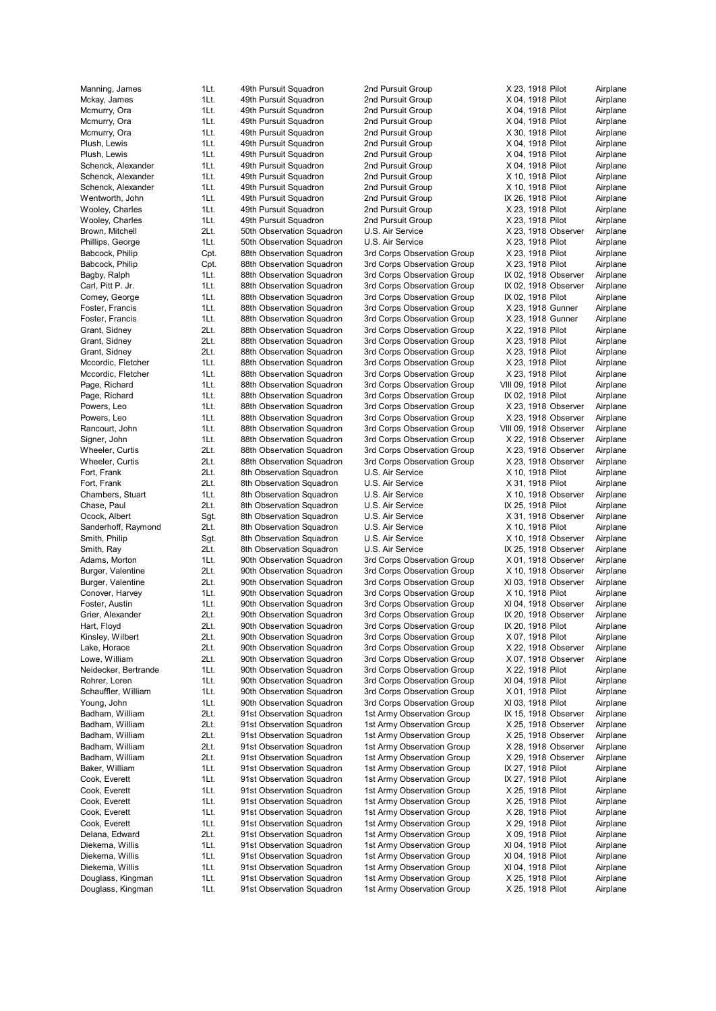Douglass, Kingman 1Lt. 91st Observation Squadron 1st Army Observation Group X 25, 1918 Pilot Airplane

Mckay, James 1Lt. 49th Pursuit Squadron 2nd Pursuit Group X 04, 1918 Pilot Airplane Mcmurry, Ora 1Lt. 49th Pursuit Squadron 2nd Pursuit Group X 04, 1918 Pilot Airplane Mcmurry, Ora 1Lt. 49th Pursuit Squadron 2nd Pursuit Group X 04, 1918 Pilot Airplane Mcmurry, Ora 1Lt. 49th Pursuit Squadron 2nd Pursuit Group X 30, 1918 Pilot Airplane Plush, Lewis **1Lt.** 49th Pursuit Squadron 2nd Pursuit Group X 04, 1918 Pilot Airplane Plush, Lewis 1Lt. 49th Pursuit Squadron 2nd Pursuit Group X 04, 1918 Pilot Airplane Schenck, Alexander 1Lt. 49th Pursuit Squadron 2nd Pursuit Group X 04, 1918 Pilot Airplane Schenck, Alexander 11. 19th Pursuit Squadron 2nd Pursuit Group X 10, 1918 Pilot Airplane Schenck, Alexander 1Lt. 49th Pursuit Squadron 2nd Pursuit Group X 10, 1918 Pilot Airplane Wentworth, John 1Lt. 49th Pursuit Squadron 2nd Pursuit Group IX 26, 1918 Pilot Airplane Wooley, Charles **1Lt.** 49th Pursuit Squadron 2nd Pursuit Group X 23, 1918 Pilot Airplane Wooley, Charles 1Lt. 49th Pursuit Squadron 2nd Pursuit Group X 23, 1918 Pilot Airplane Brown, Mitchell 2Lt. 50th Observation Squadron U.S. Air Service X 23, 1918 Observer Airplane Phillips, George **1Lt.** 50th Observation Squadron U.S. Air Service X 23, 1918 Pilot Airplane Babcock, Philip Cpt. 88th Observation Squadron 3rd Corps Observation Group X 23, 1918 Pilot Airplane Babcock, Philip Cpt. 88th Observation Squadron 3rd Corps Observation Group X 23, 1918 Pilot Airplane Bagby, Ralph 1Lt. 88th Observation Squadron 3rd Corps Observation Group IX 02, 1918 Observer Airplane Carl, Pitt P. Jr. 1Lt. 88th Observation Squadron 3rd Corps Observation Group IX 02, 1918 Observer Airplane Comey, George 1Lt. 88th Observation Squadron 3rd Corps Observation Group IX 02, 1918 Pilot Airplane Foster, Francis 1Lt. 88th Observation Squadron 3rd Corps Observation Group X 23, 1918 Gunner Airplane Foster, Francis **1Lt.** 88th Observation Squadron 3rd Corps Observation Group X 23, 1918 Gunner Airplane Grant, Sidney 2Lt. 88th Observation Squadron 3rd Corps Observation Group X 22, 1918 Pilot Airplane Grant, Sidney 2Lt. 88th Observation Squadron 3rd Corps Observation Group X 23, 1918 Pilot Airplane Grant, Sidney 2Lt. 88th Observation Squadron 3rd Corps Observation Group X 23, 1918 Pilot Airplane Mccordic, Fletcher 1Lt. 88th Observation Squadron 3rd Corps Observation Group X 23, 1918 Pilot Airplane Mccordic, Fletcher 1Lt. 88th Observation Squadron 3rd Corps Observation Group X 23, 1918 Pilot Airplane Page, Richard **1Lt.** 88th Observation Squadron 3rd Corps Observation Group VIII 09, 1918 Pilot Airplane Page, Richard 1Lt. 88th Observation Squadron 3rd Corps Observation Group IX 02, 1918 Pilot Airplane Powers, Leo 1Lt. 88th Observation Squadron 3rd Corps Observation Group X 23, 1918 Observer Airplane Powers, Leo 1Lt. 88th Observation Squadron 3rd Corps Observation Group X 23, 1918 Observer Airplane Rancourt, John 1Lt. 88th Observation Squadron 3rd Corps Observation Group VIII 09, 1918 Observer Airplane Signer, John 1Lt. 88th Observation Squadron 3rd Corps Observation Group X 22, 1918 Observer Airplane Wheeler, Curtis 2Lt. 88th Observation Squadron 3rd Corps Observation Group X 23, 1918 Observer Airplane Wheeler, Curtis 2Lt. 88th Observation Squadron 3rd Corps Observation Group X 23, 1918 Observer Airplane Fort, Frank 2Lt. 8th Observation Squadron U.S. Air Service X 10, 1918 Pilot Airplane Fort, Frank 2Lt. 8th Observation Squadron U.S. Air Service X 31, 1918 Pilot Airplane Chambers, Stuart 1Lt. 8th Observation Squadron U.S. Air Service X 10, 1918 Observer Airplane Chase, Paul 2Lt. 8th Observation Squadron U.S. Air Service IX 25, 1918 Pilot Airplane Ocock, Albert Sgt. 8th Observation Squadron U.S. Air Service X 31, 1918 Observer Airplane Sanderhoff, Raymond 2Lt. 8th Observation Squadron U.S. Air Service X 10, 1918 Pilot Airplane Smith, Philip Sgt. 8th Observation Squadron U.S. Air Service X 10, 1918 Observer Airplane Smith, Ray 2Lt. 8th Observation Squadron U.S. Air Service IX 25, 1918 Observer Airplane Adams, Morton 1Lt. 90th Observation Squadron 3rd Corps Observation Group X 01, 1918 Observer Airplane Burger, Valentine 2Lt. 90th Observation Squadron 3rd Corps Observation Group X 10, 1918 Observer Airplane Burger, Valentine 2Lt. 90th Observation Squadron 3rd Corps Observation Group XI 03, 1918 Observer Airplane Conover, Harvey **1Lt.** 90th Observation Squadron 3rd Corps Observation Group X 10, 1918 Pilot Airplane Foster, Austin 1Lt. 90th Observation Squadron 3rd Corps Observation Group XI 04, 1918 Observer Airplane Grier, Alexander 2Lt. 90th Observation Squadron 3rd Corps Observation Group IX 20, 1918 Observer Airplane Hart, Floyd **21. 2008** 20th Observation Squadron 3rd Corps Observation Group IX 20, 1918 Pilot Airplane Kinsley, Wilbert 2Lt. 90th Observation Squadron 3rd Corps Observation Group X 07, 1918 Pilot Airplane Lake, Horace 2Lt. 90th Observation Squadron 3rd Corps Observation Group X 22, 1918 Observer Airplane Lowe, William 2Lt. 90th Observation Squadron 3rd Corps Observation Group X 07, 1918 Observer Airplane Neidecker, Bertrande 1Lt. 90th Observation Squadron 3rd Corps Observation Group X 22, 1918 Pilot Airplane Rohrer, Loren 1Lt. 90th Observation Squadron 3rd Corps Observation Group XI 04, 1918 Pilot Airplane Schauffler, William 1Lt. 90th Observation Squadron 3rd Corps Observation Group X 01, 1918 Pilot Airplane Young, John 1Lt. 90th Observation Squadron 3rd Corps Observation Group XI 03, 1918 Pilot Airplane Badham, William 2Lt. 91st Observation Squadron 1st Army Observation Group IX 15, 1918 Observer Airplane Badham, William 2Lt. 91st Observation Squadron 1st Army Observation Group X 25, 1918 Observer Airplane<br>Badham, William 2Lt. 91st Observation Squadron 1st Army Observation Group X 25, 1918 Observer Airplane 2Lt. 91st Observation Squadron 1st Army Observation Group X 25, 1918 Observer Airplane Badham, William 2Lt. 91st Observation Squadron 1st Army Observation Group X 28, 1918 Observer Airplane Badham, William 2Lt. 91st Observation Squadron 1st Army Observation Group X 29, 1918 Observer Airplane Baker, William 1Lt. 91st Observation Squadron 1st Army Observation Group IX 27, 1918 Pilot Airplane<br>11t. 91st Observation Squadron 1st Army Observation Group IX 27, 1918 Pilot Airplane Cook, Everett 1Lt. 91st Observation Squadron 1st Army Observation Group IX 27, 1918 Pilot Airplane Cook, Everett 1Lt. 91st Observation Squadron 1st Army Observation Group X 25, 1918 Pilot Airplane Cook, Everett 1Lt. 91st Observation Squadron 1st Army Observation Group X 25, 1918 Pilot Airplane Cook, Everett 1Lt. 91st Observation Squadron 1st Army Observation Group X 28, 1918 Pilot Airplane Cook, Everett 1Lt. 91st Observation Squadron 1st Army Observation Group X 29, 1918 Pilot Airplane Delana, Edward 2Lt. 91st Observation Squadron 1st Army Observation Group X 09, 1918 Pilot Airplane Diekema, Willis 1Lt. 91st Observation Squadron 1st Army Observation Group XI 04, 1918 Pilot Airplane Diekema, Willis 1Lt. 91st Observation Squadron 1st Army Observation Group XI 04, 1918 Pilot Airplane Diekema, Willis 1Lt. 91st Observation Squadron 1st Army Observation Group XI 04, 1918 Pilot Airplane Douglass, Kingman 1Lt. 91st Observation Squadron 1st Army Observation Group X 25, 1918 Pilot Airplane

Manning, James 1Lt. 49th Pursuit Squadron 2nd Pursuit Group X 23, 1918 Pilot Airplane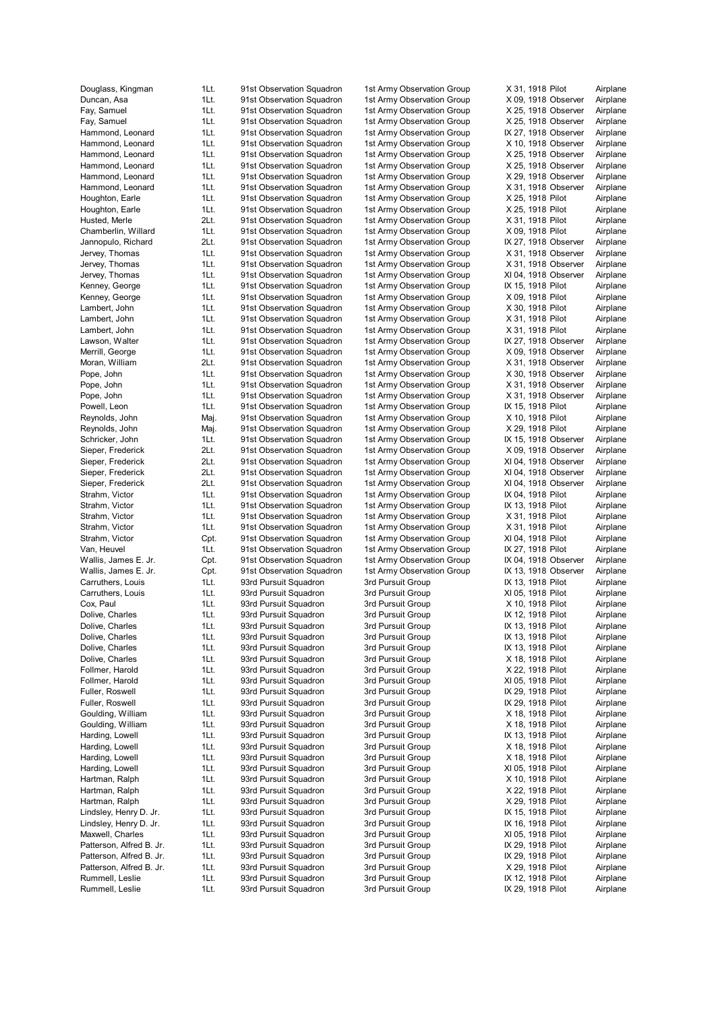Douglass, King man 1Lt. 91 Dun can, A sa 1Lt. 91 F a y, S a muel 1Lt. 91 F a y, S a muel 1Lt. 91 H ammond, Leona H ammond, Leona H ammond, Leona H ammond, Leona H ammond, Leona H ammond, Leona Houghton, Ea Hough ton, E a Husted, Me rle 2Lt. 91 Chamberlin, Willa Jannopulo, Richard Jervey, Thom as 1Lt. 91 Jervey, Thom Jervey, Thom Kenne y, Geo rge 1Lt. 91 Kenne y, Geo La mbe rt, John 1Lt. 91 La mbe rt, John 1Lt. 91 La mbe rt, John 1Lt. 91 La w son, W alt M errill, Geo rge 1Lt. 91 Moran, Willi am 2Lt. 91 Pope, John 1Lt. 91 Pope, John 1Lt. 91 Pope, John 1Lt. 91 Powell, Leon 1Lt. 91 R e ynold s, John R e ynold s, John Schricker, John 1Lt. 91 Siepe r, Frede Siepe r, Frede rick 2Lt. 91 Siepe r, Frede Siepe r, Frede Strahm, Vict or 1Lt. 91 Strahm, Vict or 1Lt. 91 Strahm, Vict or 1Lt. 91 Strahm, Vict Strahm, Victor Van, Heu vel 1Lt. 91 Wallis, James E. Jr. Wallis, James E. Jr. Carruthers, Louis 1Lt. 93 Carruthers, Louis 1Lt. 93 C o x, Paul 1Lt. 93 D oli ve, Cha rles 1Lt. 93 D oli ve, Cha Dolive, Charles 1Lt. 93 Dolive, Charles 1Lt. 93 D oli ve, Cha Follmer, Har Follmer, Har Fuller, Rosw Fuller, Rosw ell 1Lt. 93 Goulding, Willi Goulding, Willi Harding, Low ell 1Lt. 93 Harding, Low Harding, Low Harding, Low Hartman, R alph 1Lt. 93 H a r t man, R alph 1Lt. 93 Hartman, Ralph 1Lt. 93 Lindsley, Henry D. Lindsley, Henry D. M a xw ell, Cha Patterson, Alfred B. Patterson, Alfred B. Patterson, Alfred B. R umm ell, Leslie 1Lt. 93 R umm ell, Leslie 1Lt. 93

st Observation Squadron st Observation Squadron st Observation Squadron st Observation Squadron st Observation Squadron st Observation Squadron st Observation Squadron st Observation Squadron st Observation Squadron st Observation Squadron st Observation Squadron st Observation Squadron st Observation Squadron st Observation Squadron st Observation Squadron st Observation Squadron st Observation Squadron st Observation Squadron st Observation Squadron st Observation Squadron st Observation Squadron st Observation Squadron st Observation Squadron st Observation Squadron st Observation Squadron st Observation Squadron st Observation Squadron st Observation Squadron st Observation Squadron st Observation Squadron aj. 91st Observation Squadron aj. 91st Observation Squadron st Observation Squadron st Observation Squadron st Observation Squadron st Observation Squadron st Observation Squadron st Observation Squadron st Observation Squadron st Observation Squadron st Observation Squadron pt. 91st Observation Squadron st Observation Squadron pt. 91st Observation Squadron pt. 91st Observation Squadron rd Pursuit Squadron rd Pursuit Squadron rd Pursuit Squadron rd Pursuit Squadron rd Pursuit Squadron rd Pursuit Squadron rd Pursuit Squadron rd Pursuit Squadron rd Pursuit Squadron rd Pursuit Squadron rd Pursuit Squadron rd Pursuit Squadron rd Pursuit Squadron rd Pursuit Squadron rd Pursuit Squadron rd Pursuit Squadron rd Pursuit Squadron rd Pursuit Squadron rd Pursuit Squadron rd Pursuit Squadron rd Pursuit Squadron rd Pursuit Squadron rd Pursuit Squadron rd Pursuit Squadron rd Pursuit Squadron rd Pursuit Squadron rd Pursuit Squadron rd Pursuit Squadron rd Pursuit Squadron

 $11t$ 

 $1$ Lt.

 $1$ Lt.

 $1$ Lt.

 $1$ Lt.

 $11t$ 

 $1$ Lt.

 $1$ Lt.

 $1$ Lt.

 $2$ Lt.

 $1$ Lt.

 $1$ Lt.

 $1$ Lt.

 $1$ Lt.

Mai.

Mai.

 $2Lt$ .

 $2$ Lt.

 $21t$ 

 $1$ Lt.

Cpt.

C<sub>pt</sub>

C<sub>pt</sub>

 $1$ Lt.

1Lt.

1Lt.

 $1$ Lt.

 $1$ Lt.

 $1$ Lt.

 $1$ Lt.

 $1$ Lt.

 $1$ Lt.

 $1$ Lt.

 $1$ Lt.

 $1$ Lt.

 $1$ Lt.

 $1$ Lt.

 $1$ Lt.

 $11t$ 

1st Army Observation Group 1st Army Observation Group 1st Army Observation Group 1st Army Observation Group 1st Army Observation G 1st Army Observation Group 1st Army Observation Group 1st Army Observation Group 1st Army Observation Group 1st Army Observation Group 1st Army Observation Group 1st Army Observation Group 1st Army Observation Group 1st Army Observation Group 1st Army Observation G 1st Army Observation Group 1st Army Observation Group 1st Army Observation Group 1st Army Observation G 1st Army Observation Group 1st Army Observation Group 1st Army Observation Group 1st Army Observation Group 1st Army Observation G 1st Army Observation Group 1st Army Observation Group 1st Army Observation Group 1st Army Observation Group 1st Army Observation Group 1st Army Observation G 1st Army Observation Group 1st Army Observation Group 1st Army Observation G 1st Army Observation Group 1st Army Observation Group 1st Army Observation Group 1st Army Observation Group 1st Army Observation G 1st Army Observation G 1st Army Observation Group 1st Army Observation Group 1st Army Observation Group 1st Army Observation G 1st Army Observation G 1st Army Observation G 3rd Pursuit G 3rd Pursuit Group 3rd Pursuit Group 3rd Pursuit G 3rd Pursuit G 3rd Pursuit G 3rd Pursuit G 3rd Pursuit Group 3rd Pursuit Group 3rd Pursuit Group 3rd Pursuit G 3rd Pursuit G 3rd Pursuit Group 3rd Pursuit Group 3rd Pursuit G 3rd Pursuit Group 3rd Pursuit Group 3rd Pursuit Group 3rd Pursuit Group 3rd Pursuit Group 3rd Pursuit Group 3rd Pursuit G 3rd Pursuit G 3rd Pursuit Group 3rd Pursuit G 3rd Pursuit G 3rd Pursuit Group 3rd Pursuit G

3rd Pursuit G

X 31, 191 8 Pilot Air plane X 09, 1918 Observer Air plane X 25, 191 8 O b s e r ver Air plane X 25, 1918 Observer Air plane roup IX 27, 1918 Observer Air plane X 10, 191 8 O b s e r ver Air plane X 25, 1918 Observer Air plane X 25, 1918 Observer Air plane X 29, 191 8 O b s e r ver Air plane X 31, 1918 Observer Air plane X 25, 191 8 Pilot Air plane X 25, 191 8 Pilot Air plane X 31, 191 8 Pilot Air plane X 09, 191 8 Pilot Air plane roup IX 27, 1918 Observer Air plane X 31, 1918 Observer Air plane X 31, 1918 Observer Air plane XI 04, 1918 Observer Air plane roup IX 15, 191 8 Pilot Air plane X 09, 191 8 Pilot Air plane X 30, 191 8 Pilot Air plane X 31, 191 8 Pilot Air plane X 31, 191 8 Pilot Air plane roup IX 27, 1918 Observer Air plane X 09, 191 8 O b s e r ver Air plane X 31, 1918 Observer Air plane X 30, 191 8 O b s e r ver Air plane X 31, 191 8 O b s e r ver Air plane X 31, 1918 Observer Air plane roup IX 15, 191 8 Pilot Air plane X 10, 191 8 Pilot Air plane X 29, 191 8 Pilot Air plane roup IX 15, 1918 Observer Air plane X 09, 191 8 O b s e r ver Air plane XI 04, 1918 Observer Air plane XI 04, 1918 Observer Air plane XI 04, 1918 Observer Air plane roup IX 04, 1918 Pilot Air plane roup IX 13, 1918 Pilot Air plane X 31, 191 8 Pilot Air plane X 31, 191 8 Pilot Air plane XI 04, 191 8 Pilot Air plane roup IX 27, 191 8 Pilot Air plane roup IX 04, 1918 Observer Air plane roup IX 13, 1918 Observer Air plane roup IX 13, 191 8 Pilot Air plane XI 05, 191 8 Pilot Air plane X 10, 191 8 Pilot Air plane roup IX 12, 191 8 Pilot Air plane roup IX 13, 191 8 Pilot Air plane roup IX 13, 191 8 Pilot Air plane roup IX 13, 191 8 Pilot Air plane X 18, 191 8 Pilot Air plane X 22, 191 8 Pilot Air plane XI 05, 191 8 Pilot Air plane roup IX 29, 191 8 Pilot Air plane roup IX 29, 191 8 Pilot Air plane X 18, 191 8 Pilot Air plane X 18, 191 8 Pilot Air plane roup IX 13, 191 8 Pilot Air plane X 18, 191 8 Pilot Air plane X 18, 191 8 Pilot Air plane XI 05, 191 8 Pilot Air plane X 10, 191 8 Pilot Air plane X 22, 191 8 Pilot Air plane X 29, 191 8 Pilot Air plane roup IX 15, 191 8 Pilot Air plane roup IX 16, 191 8 Pilot Air plane XI 05, 191 8 Pilot Air plane roup IX 29, 191 8 Pilot Air plane roup IX 29, 191 8 Pilot Air plane X 29, 191 8 Pilot Air plane roup IX 12, 191 8 Pilot Air plane roup IX 29, 191 8 Pilot Air plane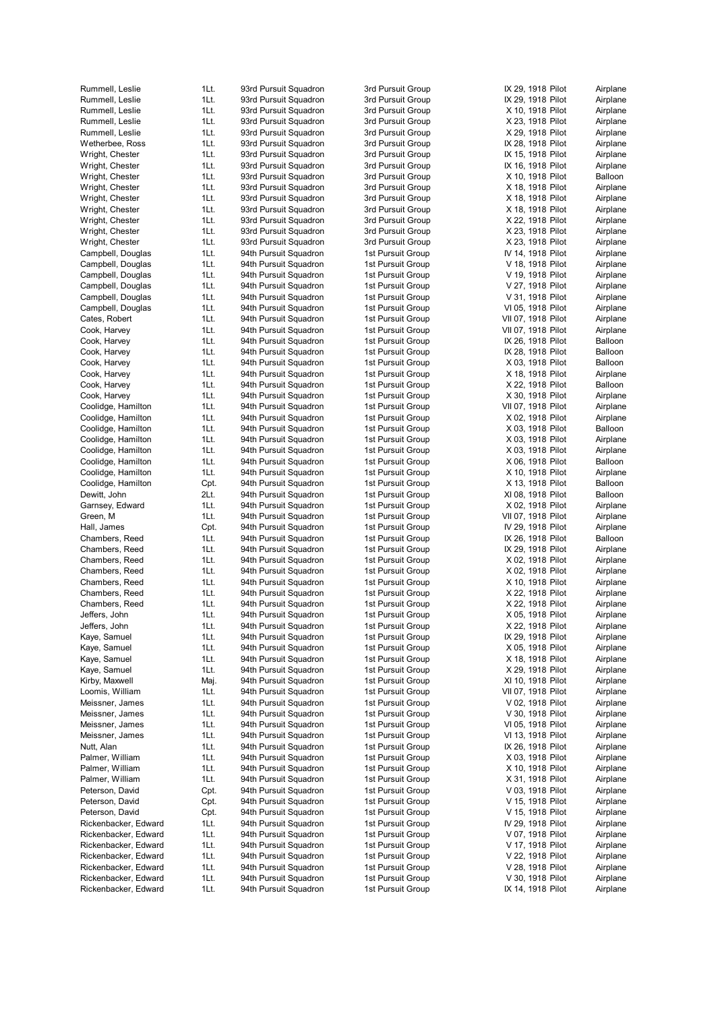| Rummell, Leslie      | 1Lt. | 93rd Pursuit Squadron | 3rd Pursuit Group | IX 29, 1918 Pilot  | Airplane |
|----------------------|------|-----------------------|-------------------|--------------------|----------|
| Rummell, Leslie      | 1Lt. | 93rd Pursuit Squadron | 3rd Pursuit Group | IX 29, 1918 Pilot  | Airplane |
|                      |      |                       |                   |                    |          |
| Rummell, Leslie      | 1Lt. | 93rd Pursuit Squadron | 3rd Pursuit Group | X 10, 1918 Pilot   | Airplane |
| Rummell, Leslie      | 1Lt. | 93rd Pursuit Squadron | 3rd Pursuit Group | X 23, 1918 Pilot   | Airplane |
| Rummell, Leslie      | 1Lt. | 93rd Pursuit Squadron | 3rd Pursuit Group | X 29, 1918 Pilot   | Airplane |
| Wetherbee, Ross      | 1Lt. | 93rd Pursuit Squadron | 3rd Pursuit Group | IX 28, 1918 Pilot  | Airplane |
| Wright, Chester      | 1Lt. | 93rd Pursuit Squadron | 3rd Pursuit Group | IX 15, 1918 Pilot  | Airplane |
| Wright, Chester      | 1Lt. | 93rd Pursuit Squadron | 3rd Pursuit Group | IX 16, 1918 Pilot  | Airplane |
| Wright, Chester      | 1Lt. | 93rd Pursuit Squadron | 3rd Pursuit Group | X 10, 1918 Pilot   | Balloon  |
|                      |      |                       |                   |                    |          |
| Wright, Chester      | 1Lt. | 93rd Pursuit Squadron | 3rd Pursuit Group | X 18, 1918 Pilot   | Airplane |
| Wright, Chester      | 1Lt. | 93rd Pursuit Squadron | 3rd Pursuit Group | X 18, 1918 Pilot   | Airplane |
| Wright, Chester      | 1Lt. | 93rd Pursuit Squadron | 3rd Pursuit Group | X 18, 1918 Pilot   | Airplane |
| Wright, Chester      | 1Lt. | 93rd Pursuit Squadron | 3rd Pursuit Group | X 22, 1918 Pilot   | Airplane |
| Wright, Chester      | 1Lt. | 93rd Pursuit Squadron | 3rd Pursuit Group | X 23, 1918 Pilot   | Airplane |
| Wright, Chester      | 1Lt. | 93rd Pursuit Squadron | 3rd Pursuit Group | X 23, 1918 Pilot   | Airplane |
| Campbell, Douglas    | 1Lt. | 94th Pursuit Squadron | 1st Pursuit Group | IV 14, 1918 Pilot  | Airplane |
|                      |      |                       |                   |                    |          |
| Campbell, Douglas    | 1Lt. | 94th Pursuit Squadron | 1st Pursuit Group | V 18, 1918 Pilot   | Airplane |
| Campbell, Douglas    | 1Lt. | 94th Pursuit Squadron | 1st Pursuit Group | V 19, 1918 Pilot   | Airplane |
| Campbell, Douglas    | 1Lt. | 94th Pursuit Squadron | 1st Pursuit Group | V 27, 1918 Pilot   | Airplane |
| Campbell, Douglas    | 1Lt. | 94th Pursuit Squadron | 1st Pursuit Group | V 31, 1918 Pilot   | Airplane |
| Campbell, Douglas    | 1Lt. | 94th Pursuit Squadron | 1st Pursuit Group | VI 05, 1918 Pilot  | Airplane |
| Cates, Robert        | 1Lt. | 94th Pursuit Squadron | 1st Pursuit Group | VII 07, 1918 Pilot | Airplane |
| Cook, Harvey         | 1Lt. | 94th Pursuit Squadron | 1st Pursuit Group | VII 07, 1918 Pilot | Airplane |
|                      |      |                       |                   |                    |          |
| Cook, Harvey         | 1Lt. | 94th Pursuit Squadron | 1st Pursuit Group | IX 26, 1918 Pilot  | Balloon  |
| Cook, Harvey         | 1Lt. | 94th Pursuit Squadron | 1st Pursuit Group | IX 28, 1918 Pilot  | Balloon  |
| Cook, Harvey         | 1Lt. | 94th Pursuit Squadron | 1st Pursuit Group | X 03, 1918 Pilot   | Balloon  |
| Cook, Harvey         | 1Lt. | 94th Pursuit Squadron | 1st Pursuit Group | X 18, 1918 Pilot   | Airplane |
| Cook, Harvey         | 1Lt. | 94th Pursuit Squadron | 1st Pursuit Group | X 22, 1918 Pilot   | Balloon  |
| Cook, Harvey         | 1Lt. | 94th Pursuit Squadron | 1st Pursuit Group | X 30, 1918 Pilot   | Airplane |
|                      |      |                       |                   |                    | Airplane |
| Coolidge, Hamilton   | 1Lt. | 94th Pursuit Squadron | 1st Pursuit Group | VII 07, 1918 Pilot |          |
| Coolidge, Hamilton   | 1Lt. | 94th Pursuit Squadron | 1st Pursuit Group | X 02, 1918 Pilot   | Airplane |
| Coolidge, Hamilton   | 1Lt. | 94th Pursuit Squadron | 1st Pursuit Group | X 03, 1918 Pilot   | Balloon  |
| Coolidge, Hamilton   | 1Lt. | 94th Pursuit Squadron | 1st Pursuit Group | X 03, 1918 Pilot   | Airplane |
| Coolidge, Hamilton   | 1Lt. | 94th Pursuit Squadron | 1st Pursuit Group | X 03, 1918 Pilot   | Airplane |
| Coolidge, Hamilton   | 1Lt. | 94th Pursuit Squadron | 1st Pursuit Group | X 06, 1918 Pilot   | Balloon  |
| Coolidge, Hamilton   | 1Lt. | 94th Pursuit Squadron | 1st Pursuit Group | X 10, 1918 Pilot   | Airplane |
|                      |      |                       |                   |                    |          |
| Coolidge, Hamilton   | Cpt. | 94th Pursuit Squadron | 1st Pursuit Group | X 13, 1918 Pilot   | Balloon  |
| Dewitt, John         | 2Lt. | 94th Pursuit Squadron | 1st Pursuit Group | XI 08, 1918 Pilot  | Balloon  |
| Garnsey, Edward      | 1Lt. | 94th Pursuit Squadron | 1st Pursuit Group | X 02, 1918 Pilot   | Airplane |
| Green, M             | 1Lt. | 94th Pursuit Squadron | 1st Pursuit Group | VII 07, 1918 Pilot | Airplane |
| Hall, James          | Cpt. | 94th Pursuit Squadron | 1st Pursuit Group | IV 29, 1918 Pilot  | Airplane |
| Chambers, Reed       | 1Lt. | 94th Pursuit Squadron | 1st Pursuit Group | IX 26, 1918 Pilot  | Balloon  |
| Chambers, Reed       | 1Lt. | 94th Pursuit Squadron | 1st Pursuit Group | IX 29, 1918 Pilot  | Airplane |
|                      |      |                       |                   |                    |          |
| Chambers, Reed       | 1Lt. | 94th Pursuit Squadron | 1st Pursuit Group | X 02, 1918 Pilot   | Airplane |
| Chambers, Reed       | 1Lt. | 94th Pursuit Squadron | 1st Pursuit Group | X 02, 1918 Pilot   | Airplane |
| Chambers, Reed       | 1Lt. | 94th Pursuit Squadron | 1st Pursuit Group | X 10, 1918 Pilot   | Airplane |
| Chambers, Reed       | 1Lt. | 94th Pursuit Squadron | 1st Pursuit Group | X 22, 1918 Pilot   | Airplane |
| Chambers, Reed       | 1Lt. | 94th Pursuit Squadron | 1st Pursuit Group | X 22, 1918 Pilot   | Airplane |
| Jeffers, John        | 1Lt. | 94th Pursuit Squadron | 1st Pursuit Group | X 05, 1918 Pilot   | Airplane |
| Jeffers, John        | 1Lt. | 94th Pursuit Squadron | 1st Pursuit Group | X 22, 1918 Pilot   | Airplane |
|                      |      |                       |                   |                    |          |
| Kaye, Samuel         | 1Lt. | 94th Pursuit Squadron | 1st Pursuit Group | IX 29, 1918 Pilot  | Airplane |
| Kaye, Samuel         | 1Lt. | 94th Pursuit Squadron | 1st Pursuit Group | X 05, 1918 Pilot   | Airplane |
| Kaye, Samuel         | 1Lt. | 94th Pursuit Squadron | 1st Pursuit Group | X 18, 1918 Pilot   | Airplane |
| Kaye, Samuel         | 1Lt. | 94th Pursuit Squadron | 1st Pursuit Group | X 29, 1918 Pilot   | Airplane |
| Kirby, Maxwell       | Maj. | 94th Pursuit Squadron | 1st Pursuit Group | XI 10, 1918 Pilot  | Airplane |
| Loomis, William      | 1Lt. | 94th Pursuit Squadron | 1st Pursuit Group | VII 07, 1918 Pilot | Airplane |
|                      |      | 94th Pursuit Squadron | 1st Pursuit Group | V 02, 1918 Pilot   | Airplane |
| Meissner, James      | 1Lt. |                       |                   |                    |          |
| Meissner, James      | 1Lt. | 94th Pursuit Squadron | 1st Pursuit Group | V 30, 1918 Pilot   | Airplane |
| Meissner, James      | 1Lt. | 94th Pursuit Squadron | 1st Pursuit Group | VI 05, 1918 Pilot  | Airplane |
| Meissner, James      | 1Lt. | 94th Pursuit Squadron | 1st Pursuit Group | VI 13, 1918 Pilot  | Airplane |
| Nutt, Alan           | 1Lt. | 94th Pursuit Squadron | 1st Pursuit Group | IX 26, 1918 Pilot  | Airplane |
| Palmer, William      | 1Lt. | 94th Pursuit Squadron | 1st Pursuit Group | X 03, 1918 Pilot   | Airplane |
| Palmer, William      | 1Lt. | 94th Pursuit Squadron | 1st Pursuit Group | X 10, 1918 Pilot   | Airplane |
|                      |      |                       |                   |                    |          |
| Palmer, William      | 1Lt. | 94th Pursuit Squadron | 1st Pursuit Group | X 31, 1918 Pilot   | Airplane |
| Peterson, David      | Cpt. | 94th Pursuit Squadron | 1st Pursuit Group | V 03, 1918 Pilot   | Airplane |
| Peterson, David      | Cpt. | 94th Pursuit Squadron | 1st Pursuit Group | V 15, 1918 Pilot   | Airplane |
| Peterson, David      | Cpt. | 94th Pursuit Squadron | 1st Pursuit Group | V 15, 1918 Pilot   | Airplane |
| Rickenbacker, Edward | 1Lt. | 94th Pursuit Squadron | 1st Pursuit Group | IV 29, 1918 Pilot  | Airplane |
| Rickenbacker, Edward | 1Lt. | 94th Pursuit Squadron | 1st Pursuit Group | V 07, 1918 Pilot   | Airplane |
| Rickenbacker, Edward | 1Lt. | 94th Pursuit Squadron | 1st Pursuit Group | V 17, 1918 Pilot   | Airplane |
|                      |      |                       |                   |                    |          |
| Rickenbacker, Edward | 1Lt. | 94th Pursuit Squadron | 1st Pursuit Group | V 22, 1918 Pilot   | Airplane |
| Rickenbacker, Edward | 1Lt. | 94th Pursuit Squadron | 1st Pursuit Group | V 28, 1918 Pilot   | Airplane |
| Rickenbacker, Edward | 1Lt. | 94th Pursuit Squadron | 1st Pursuit Group | V 30, 1918 Pilot   | Airplane |
| Rickenbacker, Edward | 1Lt. | 94th Pursuit Squadron | 1st Pursuit Group | IX 14, 1918 Pilot  | Airplane |
|                      |      |                       |                   |                    |          |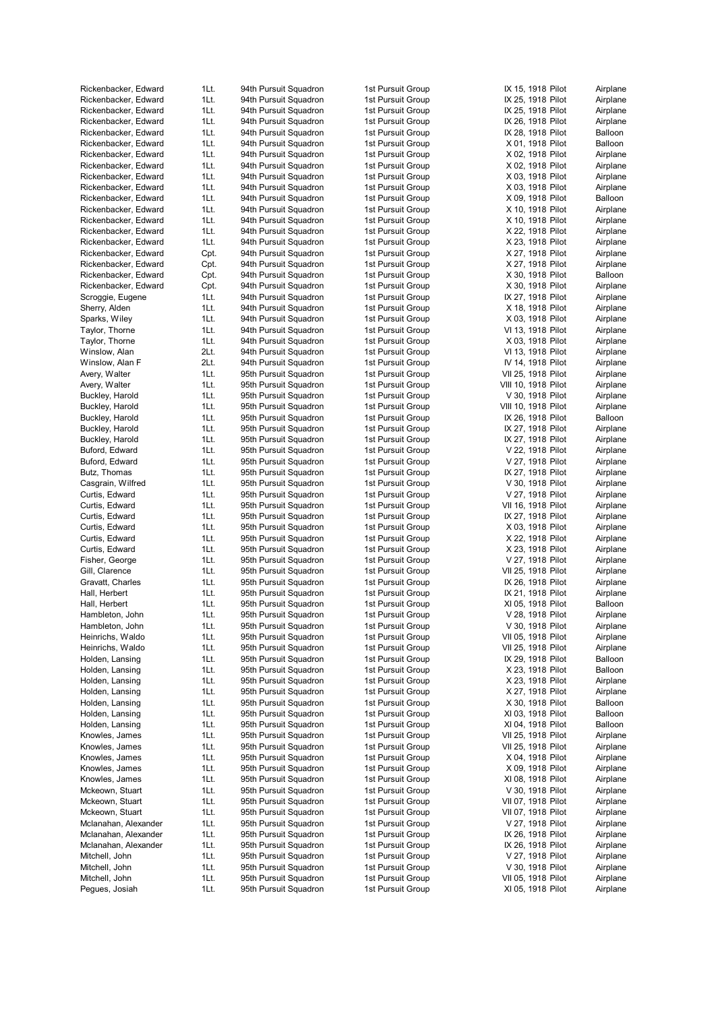| Rickenbacker, Edward | 1Lt.         | 94th Pursuit Squadron                          | 1st Pursuit Group | IX 15, 1918 Pilot   | Airplane |
|----------------------|--------------|------------------------------------------------|-------------------|---------------------|----------|
| Rickenbacker, Edward | 1Lt.         | 94th Pursuit Squadron                          | 1st Pursuit Group | IX 25, 1918 Pilot   | Airplane |
| Rickenbacker, Edward | 1Lt.         | 94th Pursuit Squadron                          | 1st Pursuit Group | IX 25, 1918 Pilot   | Airplane |
| Rickenbacker, Edward | 1Lt.         | 94th Pursuit Squadron                          | 1st Pursuit Group | IX 26, 1918 Pilot   | Airplane |
| Rickenbacker, Edward | 1Lt.         | 94th Pursuit Squadron                          | 1st Pursuit Group | IX 28, 1918 Pilot   | Balloon  |
| Rickenbacker, Edward | 1Lt.         | 94th Pursuit Squadron                          | 1st Pursuit Group | X 01, 1918 Pilot    | Balloon  |
| Rickenbacker, Edward | 1Lt.         | 94th Pursuit Squadron                          | 1st Pursuit Group | X 02, 1918 Pilot    | Airplane |
| Rickenbacker, Edward | 1Lt.         | 94th Pursuit Squadron                          | 1st Pursuit Group | X 02, 1918 Pilot    | Airplane |
| Rickenbacker, Edward | 1Lt.         | 94th Pursuit Squadron                          | 1st Pursuit Group | X 03, 1918 Pilot    | Airplane |
| Rickenbacker, Edward | 1Lt.         | 94th Pursuit Squadron                          | 1st Pursuit Group | X 03, 1918 Pilot    | Airplane |
| Rickenbacker, Edward | 1Lt.         | 94th Pursuit Squadron                          | 1st Pursuit Group | X 09, 1918 Pilot    | Balloon  |
| Rickenbacker, Edward | 1Lt.         | 94th Pursuit Squadron                          | 1st Pursuit Group | X 10, 1918 Pilot    | Airplane |
| Rickenbacker, Edward | 1Lt.         | 94th Pursuit Squadron                          | 1st Pursuit Group | X 10, 1918 Pilot    | Airplane |
| Rickenbacker, Edward | 1Lt.         | 94th Pursuit Squadron                          | 1st Pursuit Group | X 22, 1918 Pilot    | Airplane |
| Rickenbacker, Edward | 1Lt.         | 94th Pursuit Squadron                          | 1st Pursuit Group | X 23, 1918 Pilot    | Airplane |
| Rickenbacker, Edward | Cpt.         | 94th Pursuit Squadron                          | 1st Pursuit Group | X 27, 1918 Pilot    | Airplane |
| Rickenbacker, Edward | Cpt.         | 94th Pursuit Squadron                          | 1st Pursuit Group | X 27, 1918 Pilot    | Airplane |
| Rickenbacker, Edward | Cpt.         | 94th Pursuit Squadron                          | 1st Pursuit Group | X 30, 1918 Pilot    | Balloon  |
| Rickenbacker, Edward | Cpt.         | 94th Pursuit Squadron                          | 1st Pursuit Group | X 30, 1918 Pilot    | Airplane |
| Scroggie, Eugene     | 1Lt.         | 94th Pursuit Squadron                          | 1st Pursuit Group | IX 27, 1918 Pilot   | Airplane |
| Sherry, Alden        | 1Lt.         | 94th Pursuit Squadron                          | 1st Pursuit Group | X 18, 1918 Pilot    | Airplane |
| Sparks, Wiley        | 1Lt.         | 94th Pursuit Squadron                          | 1st Pursuit Group | X 03, 1918 Pilot    | Airplane |
| Taylor, Thorne       | 1Lt.         | 94th Pursuit Squadron                          | 1st Pursuit Group | VI 13, 1918 Pilot   | Airplane |
| Taylor, Thorne       | 1Lt.         | 94th Pursuit Squadron                          | 1st Pursuit Group | X 03, 1918 Pilot    | Airplane |
| Winslow, Alan        | 2Lt.         | 94th Pursuit Squadron                          | 1st Pursuit Group | VI 13, 1918 Pilot   | Airplane |
| Winslow, Alan F      | 2Lt.         | 94th Pursuit Squadron                          | 1st Pursuit Group | IV 14, 1918 Pilot   | Airplane |
| Avery, Walter        | 1Lt.         | 95th Pursuit Squadron                          | 1st Pursuit Group | VII 25, 1918 Pilot  | Airplane |
| Avery, Walter        | 1Lt.         | 95th Pursuit Squadron                          | 1st Pursuit Group | VIII 10, 1918 Pilot | Airplane |
| Buckley, Harold      | 1Lt.         | 95th Pursuit Squadron                          | 1st Pursuit Group | V 30, 1918 Pilot    | Airplane |
| Buckley, Harold      | 1Lt.         | 95th Pursuit Squadron                          | 1st Pursuit Group | VIII 10, 1918 Pilot | Airplane |
| Buckley, Harold      | 1Lt.         | 95th Pursuit Squadron                          | 1st Pursuit Group | IX 26, 1918 Pilot   | Balloon  |
| Buckley, Harold      | 1Lt.         | 95th Pursuit Squadron                          | 1st Pursuit Group | IX 27, 1918 Pilot   | Airplane |
| Buckley, Harold      | 1Lt.         | 95th Pursuit Squadron                          | 1st Pursuit Group | IX 27, 1918 Pilot   | Airplane |
| Buford, Edward       | 1Lt.         | 95th Pursuit Squadron                          | 1st Pursuit Group | V 22, 1918 Pilot    | Airplane |
| Buford, Edward       | 1Lt.         | 95th Pursuit Squadron                          | 1st Pursuit Group | V 27, 1918 Pilot    | Airplane |
| Butz, Thomas         | 1Lt.         | 95th Pursuit Squadron                          | 1st Pursuit Group | IX 27, 1918 Pilot   | Airplane |
| Casgrain, Wilfred    | 1Lt.         | 95th Pursuit Squadron                          | 1st Pursuit Group | V 30, 1918 Pilot    | Airplane |
| Curtis, Edward       | 1Lt.         | 95th Pursuit Squadron                          | 1st Pursuit Group | V 27, 1918 Pilot    | Airplane |
| Curtis, Edward       | 1Lt.         | 95th Pursuit Squadron                          | 1st Pursuit Group | VII 16, 1918 Pilot  | Airplane |
|                      | 1Lt.         |                                                | 1st Pursuit Group |                     |          |
| Curtis, Edward       |              | 95th Pursuit Squadron                          |                   | IX 27, 1918 Pilot   | Airplane |
| Curtis, Edward       | 1Lt.<br>1Lt. | 95th Pursuit Squadron<br>95th Pursuit Squadron | 1st Pursuit Group | X 03, 1918 Pilot    | Airplane |
| Curtis, Edward       | 1Lt.         |                                                | 1st Pursuit Group | X 22, 1918 Pilot    | Airplane |
| Curtis, Edward       |              | 95th Pursuit Squadron<br>95th Pursuit Squadron | 1st Pursuit Group | X 23, 1918 Pilot    | Airplane |
| Fisher, George       | 1Lt.         |                                                | 1st Pursuit Group | V 27, 1918 Pilot    | Airplane |
| Gill, Clarence       | 1Lt.         | 95th Pursuit Squadron                          | 1st Pursuit Group | VII 25, 1918 Pilot  | Airplane |
| Gravatt, Charles     | 1Lt.         | 95th Pursuit Squadron                          | 1st Pursuit Group | IX 26, 1918 Pilot   | Airplane |
| Hall, Herbert        | 1Lt.         | 95th Pursuit Squadron                          | 1st Pursuit Group | IX 21, 1918 Pilot   | Airplane |
| Hall, Herbert        | 1Lt.         | 95th Pursuit Squadron                          | 1st Pursuit Group | XI 05, 1918 Pilot   | Balloon  |
| Hambleton, John      | 1Lt.         | 95th Pursuit Squadron                          | 1st Pursuit Group | V 28, 1918 Pilot    | Airplane |
| Hambleton, John      | 1Lt.         | 95th Pursuit Squadron                          | 1st Pursuit Group | V 30, 1918 Pilot    | Airplane |
| Heinrichs, Waldo     | 1Lt.         | 95th Pursuit Squadron                          | 1st Pursuit Group | VII 05, 1918 Pilot  | Airplane |
| Heinrichs, Waldo     | 1Lt.         | 95th Pursuit Squadron                          | 1st Pursuit Group | VII 25, 1918 Pilot  | Airplane |
| Holden, Lansing      | 1Lt.         | 95th Pursuit Squadron                          | 1st Pursuit Group | IX 29, 1918 Pilot   | Balloon  |
| Holden, Lansing      | 1Lt.         | 95th Pursuit Squadron                          | 1st Pursuit Group | X 23, 1918 Pilot    | Balloon  |
| Holden, Lansing      | 1Lt.         | 95th Pursuit Squadron                          | 1st Pursuit Group | X 23, 1918 Pilot    | Airplane |
| Holden, Lansing      | 1Lt.         | 95th Pursuit Squadron                          | 1st Pursuit Group | X 27, 1918 Pilot    | Airplane |
| Holden, Lansing      | 1Lt.         | 95th Pursuit Squadron                          | 1st Pursuit Group | X 30, 1918 Pilot    | Balloon  |
| Holden, Lansing      | 1Lt.         | 95th Pursuit Squadron                          | 1st Pursuit Group | XI 03, 1918 Pilot   | Balloon  |
| Holden, Lansing      | 1Lt.         | 95th Pursuit Squadron                          | 1st Pursuit Group | XI 04, 1918 Pilot   | Balloon  |
| Knowles, James       | 1Lt.         | 95th Pursuit Squadron                          | 1st Pursuit Group | VII 25, 1918 Pilot  | Airplane |
| Knowles, James       | 1Lt.         | 95th Pursuit Squadron                          | 1st Pursuit Group | VII 25, 1918 Pilot  | Airplane |
| Knowles, James       | 1Lt.         | 95th Pursuit Squadron                          | 1st Pursuit Group | X 04, 1918 Pilot    | Airplane |
| Knowles, James       | 1Lt.         | 95th Pursuit Squadron                          | 1st Pursuit Group | X 09, 1918 Pilot    | Airplane |
| Knowles, James       | 1Lt.         | 95th Pursuit Squadron                          | 1st Pursuit Group | XI 08, 1918 Pilot   | Airplane |
| Mckeown, Stuart      | 1Lt.         | 95th Pursuit Squadron                          | 1st Pursuit Group | V 30, 1918 Pilot    | Airplane |
| Mckeown, Stuart      | 1Lt.         | 95th Pursuit Squadron                          | 1st Pursuit Group | VII 07, 1918 Pilot  | Airplane |
| Mckeown, Stuart      | 1Lt.         | 95th Pursuit Squadron                          | 1st Pursuit Group | VII 07, 1918 Pilot  | Airplane |
| Mclanahan, Alexander | 1Lt.         | 95th Pursuit Squadron                          | 1st Pursuit Group | V 27, 1918 Pilot    | Airplane |
| Mclanahan, Alexander | 1Lt.         | 95th Pursuit Squadron                          | 1st Pursuit Group | IX 26, 1918 Pilot   | Airplane |
| Mclanahan, Alexander | 1Lt.         | 95th Pursuit Squadron                          | 1st Pursuit Group | IX 26, 1918 Pilot   | Airplane |
| Mitchell, John       | 1Lt.         | 95th Pursuit Squadron                          | 1st Pursuit Group | V 27, 1918 Pilot    | Airplane |
| Mitchell, John       | 1Lt.         | 95th Pursuit Squadron                          | 1st Pursuit Group | V 30, 1918 Pilot    | Airplane |
| Mitchell, John       | 1Lt.         | 95th Pursuit Squadron                          | 1st Pursuit Group | VII 05, 1918 Pilot  | Airplane |
| Pegues, Josiah       | 1Lt.         | 95th Pursuit Squadron                          | 1st Pursuit Group | XI 05, 1918 Pilot   | Airplane |
|                      |              |                                                |                   |                     |          |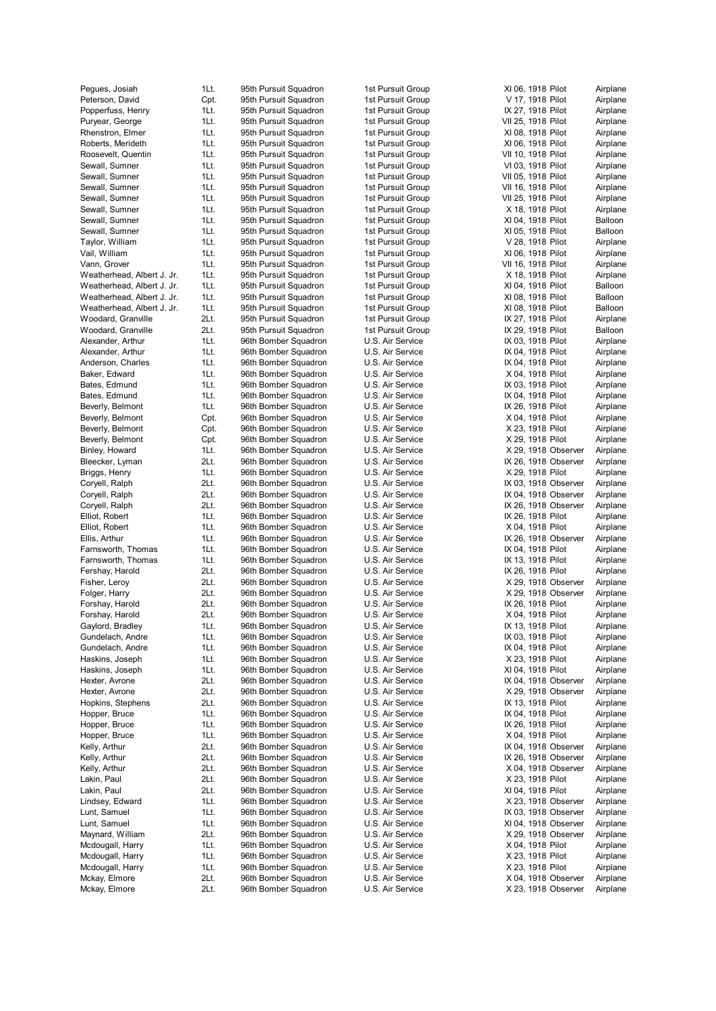| Pegues, Josiah             | 1Lt. | 95 |
|----------------------------|------|----|
| Peterson, David            | Cpt. | 95 |
| Popperfuss, Henry          | 1Lt. | 95 |
| Puryear, George            | 1Lt. | 95 |
|                            |      |    |
| Rhenstron, Elmer           | 1Lt. | 95 |
| Roberts, Merideth          | 1Lt. | 95 |
| Roosevelt, Quentin         | 1Lt. | 95 |
| Sewall, Sumner             | 1Lt. | 95 |
| Sewall, Sumner             | 1Lt. | 95 |
| Sewall, Sumner             | 1Lt. | 95 |
|                            | 1Lt. | 95 |
| Sewall, Sumner             |      |    |
| Sewall, Sumner             | 1Lt. | 95 |
| Sewall, Sumner             | 1Lt. | 95 |
| Sewall, Sumner             | 1Lt. | 95 |
| Taylor, William            | 1Lt. | 95 |
| Vail, William              | 1Lt. | 95 |
| Vann, Grover               | 1Lt. | 95 |
|                            |      |    |
| Weatherhead, Albert J. Jr. | 1Lt. | 95 |
| Weatherhead, Albert J. Jr. | 1Lt. | 95 |
| Weatherhead, Albert J. Jr. | 1Lt. | 95 |
| Weatherhead, Albert J. Jr. | 1Lt. | 95 |
| Woodard, Granville         | 2Lt. | 95 |
| Woodard, Granville         | 2Lt. | 95 |
| Alexander, Arthur          | 1Lt. | 96 |
|                            |      |    |
| Alexander, Arthur          | 1Lt. | 96 |
| Anderson, Charles          | 1Lt. | 96 |
| Baker, Edward              | 1Lt. | 96 |
| Bates, Edmund              | 1Lt. | 96 |
| Bates, Edmund              | 1Lt. | 96 |
| Beverly, Belmont           | 1Lt. | 96 |
|                            |      |    |
| Beverly, Belmont           | Cpt. | 96 |
| Beverly, Belmont           | Cpt. | 96 |
| Beverly, Belmont           | Cpt. | 96 |
| Binley, Howard             | 1Lt. | 96 |
| Bleecker, Lyman            | 2Lt. | 96 |
| Briggs, Henry              | 1Lt. | 96 |
| Coryell, Ralph             | 2Lt. | 96 |
|                            |      |    |
| Coryell, Ralph             | 2Lt. | 96 |
| Coryell, Ralph             | 2Lt. | 96 |
| Elliot, Robert             | 1Lt. | 96 |
| Elliot, Robert             | 1Lt. | 96 |
| Ellis, Arthur              | 1Lt. | 96 |
| Farnsworth, Thomas         | 1Lt. | 96 |
| Farnsworth, Thomas         | 1Lt. | 96 |
|                            |      |    |
| Fershay, Harold            | 2Lt. | 96 |
| Fisher, Leroy              | 2Lt. | 96 |
| Folger, Harry              | 2Lt. | 96 |
| Forshay, Harold            | 2Lt. | 96 |
| Forshay, Harold            | 2Lt. | 96 |
| Gaylord, Bradley           | 1Lt. | 96 |
|                            |      |    |
| Gundelach, Andre           | 1Lt. | 96 |
| Gundelach, Andre           | 1Lt. | 96 |
| Haskins, Joseph            | 1Lt. | 96 |
| Haskins, Joseph            | 1Lt. | 96 |
| Hexter, Avrone             | 2Lt. | 96 |
| Hexter, Avrone             | 2Lt. | 96 |
|                            |      |    |
| Hopkins, Stephens          | 2Lt. | 96 |
| Hopper, Bruce              | 1Lt. | 96 |
| Hopper, Bruce              | 1Lt. | 96 |
| Hopper, Bruce              | 1Lt. | 96 |
| Kelly, Arthur              | 2Lt. | 96 |
| Kelly, Arthur              | 2Lt. | 96 |
| Kelly, Arthur              | 2Lt. | 96 |
|                            |      | 96 |
| Lakin, Paul                | 2Lt. |    |
| Lakin, Paul                | 2Lt. | 96 |
| Lindsey, Edward            | 1Lt. | 96 |
| Lunt, Samuel               | 1Lt. | 96 |
| Lunt, Samuel               | 1Lt. | 96 |
| Maynard, William           | 2Lt. | 96 |
|                            |      |    |
| Mcdougall, Harry           | 1Lt. | 96 |
| Mcdougall, Harry           | 1Lt. | 96 |
| Mcdougall, Harry           | 1Lt. | 96 |
| Mckay, Elmore              | 2Lt. | 96 |
| Mckay, Elmore              | 2Lt. | 96 |
|                            |      |    |

| 1Lt.         | 95th Pursuit Squadron                          | 1st Pursuit Grou                     |
|--------------|------------------------------------------------|--------------------------------------|
| Cpt.         | 95th Pursuit Squadron                          | 1st Pursuit Grou                     |
| 1Lt.         | 95th Pursuit Squadron                          | 1st Pursuit Grou                     |
| 1Lt.         | 95th Pursuit Squadron                          | 1st Pursuit Grou                     |
| 1Lt.         | 95th Pursuit Squadron                          | 1st Pursuit Grou                     |
| 1Lt.<br>1Lt. | 95th Pursuit Squadron                          | 1st Pursuit Grou<br>1st Pursuit Grou |
| 1Lt.         | 95th Pursuit Squadron<br>95th Pursuit Squadron | 1st Pursuit Grou                     |
| 1Lt.         | 95th Pursuit Squadron                          | 1st Pursuit Grou                     |
| 1Lt.         | 95th Pursuit Squadron                          | 1st Pursuit Grou                     |
| 1Lt.         | 95th Pursuit Squadron                          | 1st Pursuit Grou                     |
| 1Lt.         | 95th Pursuit Squadron                          | 1st Pursuit Grou                     |
| 1Lt.         | 95th Pursuit Squadron                          | 1st Pursuit Grou                     |
| 1Lt.         | 95th Pursuit Squadron                          | 1st Pursuit Grou                     |
| 1Lt.         | 95th Pursuit Squadron                          | 1st Pursuit Grou                     |
| 1Lt.         | 95th Pursuit Squadron                          | 1st Pursuit Grou                     |
| 1Lt.         | 95th Pursuit Squadron                          | 1st Pursuit Grou                     |
| 1Lt.         | 95th Pursuit Squadron                          | 1st Pursuit Grou                     |
| 1Lt.         | 95th Pursuit Squadron                          | 1st Pursuit Grou                     |
| 1Lt.         | 95th Pursuit Squadron                          | 1st Pursuit Grou                     |
| 1Lt.         | 95th Pursuit Squadron                          | 1st Pursuit Grou                     |
| 2Lt.         | 95th Pursuit Squadron                          | 1st Pursuit Grou                     |
| 2Lt.<br>1Lt. | 95th Pursuit Squadron<br>96th Bomber Squadron  | 1st Pursuit Grou<br>U.S. Air Service |
| 1Lt.         | 96th Bomber Squadron                           | U.S. Air Service                     |
| 1Lt.         | 96th Bomber Squadron                           | U.S. Air Service                     |
| 1Lt.         | 96th Bomber Squadron                           | U.S. Air Service                     |
| 1Lt.         | 96th Bomber Squadron                           | U.S. Air Service                     |
| 1Lt.         | 96th Bomber Squadron                           | U.S. Air Service                     |
| 1Lt.         | 96th Bomber Squadron                           | U.S. Air Service                     |
| Cpt.         | 96th Bomber Squadron                           | U.S. Air Service                     |
| Cpt.         | 96th Bomber Squadron                           | U.S. Air Service                     |
| Cpt.         | 96th Bomber Squadron                           | U.S. Air Service                     |
| 1Lt.         | 96th Bomber Squadron                           | U.S. Air Service                     |
| 2Lt.         | 96th Bomber Squadron                           | U.S. Air Service                     |
| 1Lt.         | 96th Bomber Squadron                           | U.S. Air Service                     |
| 2Lt.         | 96th Bomber Squadron                           | U.S. Air Service                     |
| 2Lt.         | 96th Bomber Squadron                           | U.S. Air Service<br>U.S. Air Service |
| 2Lt.<br>1Lt. | 96th Bomber Squadron<br>96th Bomber Squadron   | U.S. Air Service                     |
| 1Lt.         | 96th Bomber Squadron                           | U.S. Air Service                     |
| 1Lt.         | 96th Bomber Squadron                           | U.S. Air Service                     |
| 1Lt.         | 96th Bomber Squadron                           | U.S. Air Service                     |
| 1Lt.         | 96th Bomber Squadron                           | U.S. Air Service                     |
| 2Lt.         | 96th Bomber Squadron                           | U.S. Air Service                     |
| 2Lt.         | 96th Bomber Squadron                           | U.S. Air Service                     |
| 2Lt.         | 96th Bomber Squadron                           | U.S. Air Service                     |
| 2Lt.         | 96th Bomber Squadron                           | U.S. Air Service                     |
| 2Lt.         | 96th Bomber Squadron                           | U.S. Air Service                     |
| 1Lt.<br>1Lt. | 96th Bomber Squadron<br>96th Bomber Squadron   | U.S. Air Service<br>U.S. Air Service |
| 1Lt.         | 96th Bomber Squadron                           | U.S. Air Service                     |
| 1Lt.         | 96th Bomber Squadron                           | U.S. Air Service                     |
| 1Lt.         | 96th Bomber Squadron                           | U.S. Air Service                     |
| 2Lt.         | 96th Bomber Squadron                           | U.S. Air Service                     |
| 2Lt.         | 96th Bomber Squadron                           | U.S. Air Service                     |
| 2Lt.         | 96th Bomber Squadron                           | U.S. Air Service                     |
| 1Lt.         | 96th Bomber Squadron                           | U.S. Air Service                     |
| 1Lt.         | 96th Bomber Squadron                           | U.S. Air Service                     |
| 1Lt.         | 96th Bomber Squadron                           | U.S. Air Service                     |
| 2Lt.         | 96th Bomber Squadron                           | U.S. Air Service                     |
| 2Lt.         | 96th Bomber Squadron                           | U.S. Air Service                     |
| 2Lt.         | 96th Bomber Squadron<br>96th Bomber Squadron   | U.S. Air Service                     |
| 2Lt.<br>2Lt. | 96th Bomber Squadron                           | U.S. Air Service<br>U.S. Air Service |
| 1Lt.         | 96th Bomber Squadron                           | U.S. Air Service                     |
| 1Lt.         | 96th Bomber Squadron                           | U.S. Air Service                     |
| 1Lt.         | 96th Bomber Squadron                           | U.S. Air Service                     |
| 2Lt.         | 96th Bomber Squadron                           | U.S. Air Service                     |
| 1Lt.         | 96th Bomber Squadron                           | U.S. Air Service                     |
| 1Lt.         | 96th Bomber Squadron                           | U.S. Air Service                     |
| 1Lt.         | 96th Bomber Squadron                           | U.S. Air Service                     |
| 2Lt.         | 96th Bomber Squadron                           | U.S. Air Service                     |
| 2Lt.         | 96th Bomber Squadron                           | U.S. Air Service                     |

| 1st Pursuit Group                      |
|----------------------------------------|
| 1st Pursuit Group                      |
| 1st Pursuit Group<br>1st Pursuit Group |
| 1st Pursuit Group                      |
| 1st Pursuit Group                      |
| 1st Pursuit Group                      |
| 1st Pursuit Group                      |
| 1st Pursuit Group                      |
| 1st Pursuit Group<br>1st Pursuit Group |
| 1st Pursuit Group                      |
| 1st Pursuit Group                      |
| 1st Pursuit Group                      |
| 1st Pursuit Group                      |
| 1st Pursuit Group                      |
| 1st Pursuit Group<br>1st Pursuit Group |
| 1st Pursuit Group                      |
| 1st Pursuit Group                      |
| 1st Pursuit Group                      |
| 1st Pursuit Group                      |
| 1st Pursuit Group                      |
| U.S. Air Service<br>U.S. Air Service   |
| U.S. Air Service                       |
| U.S. Air Service                       |
| U.S. Air Service                       |
| U.S. Air Service                       |
| U.S. Air Service<br>U.S. Air Service   |
| U.S. Air Service                       |
| U.S. Air Service                       |
| U.S. Air Service                       |
| U.S. Air Service                       |
| U.S. Air Service                       |
| U.S. Air Service                       |
| U.S. Air Service<br>U.S. Air Service   |
| U.S. Air Service                       |
| U.S. Air Service                       |
| U.S. Air Service                       |
| U.S. Air Service                       |
| U.S. Air Service                       |
| U.S. Air Service<br>U.S. Air Service   |
| U.S. Air Service                       |
| U.S. Air Service                       |
| Air Service<br>U.S.                    |
| Air Service<br>υ<br>.S.                |
| U.S. Air Service                       |
| U.S. Air Service<br>U.S. Air Service   |
| U.S. Air Service                       |
| U.S. Air Service                       |
| U.S. Air Service                       |
| U.S. Air Service                       |
| U.S. Air Service                       |
| U.S. Air Service<br>U.S. Air Service   |
| U.S. Air Service                       |
| U.S. Air Service                       |
| U.S. Air Service                       |
| U.S. Air Service                       |
| U.S. Air Service                       |
| U.S. Air Service<br>U.S. Air Service   |
| U.S. Air Service                       |
| U.S. Air Service                       |
| U.S. Air Service                       |
| U.S. Air Service                       |
| U.S. Air Service                       |
| U.S. Air Service                       |

| Group                                        | XI 06, 1918 Pilot    | Airplane |
|----------------------------------------------|----------------------|----------|
| Group                                        | V 17, 1918 Pilot     | Airplane |
| Group                                        | IX 27, 1918 Pilot    | Airplane |
| Group                                        | VII 25, 1918 Pilot   | Airplane |
| Group                                        | XI 08, 1918 Pilot    | Airplane |
| Group                                        | XI 06, 1918 Pilot    | Airplane |
| Group                                        | VII 10, 1918 Pilot   | Airplane |
| Group                                        | VI 03, 1918 Pilot    | Airplane |
| Group                                        | VII 05, 1918 Pilot   | Airplane |
| Group                                        | VII 16, 1918 Pilot   | Airplane |
| Group                                        | VII 25, 1918 Pilot   | Airplane |
| Group                                        | X 18, 1918 Pilot     | Airplane |
| Group                                        | XI 04, 1918 Pilot    | Balloon  |
| Group                                        | XI 05, 1918 Pilot    | Balloon  |
| Group                                        | V 28, 1918 Pilot     | Airplane |
| Group                                        | XI 06, 1918 Pilot    | Airplane |
| Group                                        | VII 16, 1918 Pilot   | Airplane |
| Group                                        | X 18, 1918 Pilot     | Airplane |
| Group                                        | XI 04, 1918 Pilot    | Balloon  |
| Group                                        | XI 08, 1918 Pilot    | Balloon  |
| Group                                        | XI 08, 1918 Pilot    | Balloon  |
| Group                                        | IX 27, 1918 Pilot    | Airplane |
|                                              |                      |          |
| Group                                        | IX 29, 1918 Pilot    | Balloon  |
| vice                                         | IX 03, 1918 Pilot    | Airplane |
| vice                                         | IX 04, 1918 Pilot    | Airplane |
| vice                                         | IX 04, 1918 Pilot    | Airplane |
| vice                                         | X 04, 1918 Pilot     | Airplane |
| vice                                         | IX 03, 1918 Pilot    | Airplane |
| vice                                         | IX 04, 1918 Pilot    | Airplane |
| vice                                         | IX 26, 1918 Pilot    | Airplane |
| vice                                         | X 04, 1918 Pilot     | Airplane |
| vice                                         | X 23, 1918 Pilot     | Airplane |
| vice                                         | X 29, 1918 Pilot     | Airplane |
| vice                                         | X 29, 1918 Observer  | Airplane |
| vice                                         | IX 26, 1918 Observer | Airplane |
| vice                                         | X 29, 1918 Pilot     | Airplane |
| vice                                         | IX 03, 1918 Observer | Airplane |
| vice                                         | IX 04, 1918 Observer | Airplane |
| vice                                         | IX 26, 1918 Observer | Airplane |
| vice                                         | IX 26, 1918 Pilot    | Airplane |
| vice                                         | X 04, 1918 Pilot     | Airplane |
| vice                                         | IX 26, 1918 Observer | Airplane |
| vice                                         | IX 04, 1918 Pilot    | Airplane |
| vice                                         | IX 13, 1918 Pilot    | Airplane |
| vice                                         | IX 26, 1918 Pilot    | Airplane |
| vice                                         | X 29, 1918 Observer  | Airplane |
| vice                                         | X 29, 1918 Observer  | Airplane |
| vice                                         | IX 26, 1918 Pilot    | Airplane |
| vice                                         |                      |          |
|                                              |                      |          |
|                                              | X 04, 1918 Pilot     | Airplane |
| vice                                         | IX 13, 1918 Pilot    | Airplane |
| vice                                         | IX 03, 1918 Pilot    | Airplane |
| vice                                         | IX 04, 1918 Pilot    | Airplane |
| vice                                         | X 23, 1918 Pilot     | Airplane |
| vice                                         | XI 04, 1918 Pilot    | Airplane |
| vice                                         | IX 04, 1918 Observer | Airplane |
| vice                                         | X 29, 1918 Observer  | Airplane |
| vice                                         | IX 13, 1918 Pilot    | Airplane |
| vice                                         | IX 04, 1918 Pilot    | Airplane |
| vice                                         | IX 26, 1918 Pilot    | Airplane |
| vice                                         | X 04, 1918 Pilot     | Airplane |
| vice                                         | IX 04, 1918 Observer | Airplane |
| vice                                         | IX 26, 1918 Observer | Airplane |
| vice                                         | X 04, 1918 Observer  | Airplane |
| vice                                         | X 23, 1918 Pilot     | Airplane |
|                                              | XI 04, 1918 Pilot    | Airplane |
|                                              | X 23, 1918 Observer  | Airplane |
|                                              | IX 03, 1918 Observer | Airplane |
|                                              | XI 04, 1918 Observer | Airplane |
|                                              | X 29, 1918 Observer  | Airplane |
| vice<br>vice<br>vice<br>vice<br>vice<br>vice | X 04, 1918 Pilot     | Airplane |
| vice                                         | X 23, 1918 Pilot     | Airplane |
| vice                                         | X 23, 1918 Pilot     | Airplane |
| vice                                         | X 04, 1918 Observer  | Airplane |